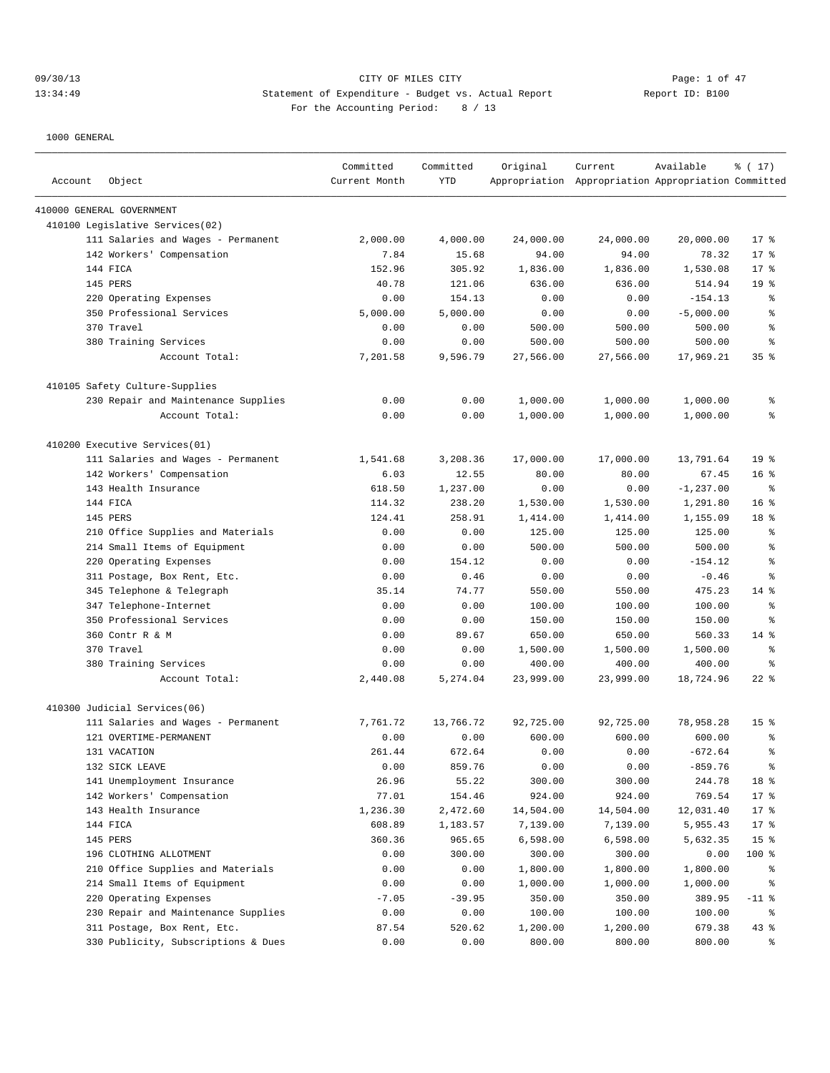## 09/30/13 CITY OF MILES CITY Page: 1 of 47 13:34:49 Statement of Expenditure - Budget vs. Actual Report Changer Report ID: B100 For the Accounting Period: 8 / 13

| Account | Object                              | Committed<br>Current Month | Committed<br>YTD | Original  | Current<br>Appropriation Appropriation Appropriation Committed | Available    | % (17)                   |
|---------|-------------------------------------|----------------------------|------------------|-----------|----------------------------------------------------------------|--------------|--------------------------|
|         | 410000 GENERAL GOVERNMENT           |                            |                  |           |                                                                |              |                          |
|         | 410100 Legislative Services(02)     |                            |                  |           |                                                                |              |                          |
|         | 111 Salaries and Wages - Permanent  | 2,000.00                   | 4,000.00         | 24,000.00 | 24,000.00                                                      | 20,000.00    | $17*$                    |
|         | 142 Workers' Compensation           | 7.84                       | 15.68            | 94.00     | 94.00                                                          | 78.32        | $17*$                    |
|         | 144 FICA                            | 152.96                     | 305.92           | 1,836.00  | 1,836.00                                                       | 1,530.08     | $17*$                    |
|         | 145 PERS                            | 40.78                      | 121.06           | 636.00    | 636.00                                                         | 514.94       | 19 <sup>°</sup>          |
|         | 220 Operating Expenses              | 0.00                       | 154.13           | 0.00      | 0.00                                                           | $-154.13$    | န္                       |
|         | 350 Professional Services           | 5,000.00                   | 5,000.00         | 0.00      | 0.00                                                           | $-5,000.00$  | g                        |
|         | 370 Travel                          | 0.00                       | 0.00             | 500.00    | 500.00                                                         | 500.00       | န့                       |
|         | 380 Training Services               | 0.00                       | 0.00             | 500.00    | 500.00                                                         | 500.00       | န္                       |
|         | Account Total:                      | 7,201.58                   | 9,596.79         | 27,566.00 | 27,566.00                                                      | 17,969.21    | 35 <sup>8</sup>          |
|         | 410105 Safety Culture-Supplies      |                            |                  |           |                                                                |              |                          |
|         | 230 Repair and Maintenance Supplies | 0.00                       | 0.00             | 1,000.00  | 1,000.00                                                       | 1,000.00     | န့                       |
|         | Account Total:                      | 0.00                       | 0.00             | 1,000.00  | 1,000.00                                                       | 1,000.00     | ి                        |
|         | 410200 Executive Services (01)      |                            |                  |           |                                                                |              |                          |
|         | 111 Salaries and Wages - Permanent  | 1,541.68                   | 3,208.36         | 17,000.00 | 17,000.00                                                      | 13,791.64    | 19 <sup>°</sup>          |
|         | 142 Workers' Compensation           | 6.03                       | 12.55            | 80.00     | 80.00                                                          | 67.45        | 16 <sup>8</sup>          |
|         | 143 Health Insurance                | 618.50                     | 1,237.00         | 0.00      | 0.00                                                           | $-1, 237.00$ | န့                       |
|         | 144 FTCA                            | 114.32                     | 238.20           | 1,530.00  | 1,530.00                                                       | 1,291.80     | 16 <sup>8</sup>          |
|         | 145 PERS                            | 124.41                     | 258.91           | 1,414.00  | 1,414.00                                                       | 1,155.09     | 18 %                     |
|         | 210 Office Supplies and Materials   | 0.00                       | 0.00             | 125.00    | 125.00                                                         | 125.00       | န္                       |
|         | 214 Small Items of Equipment        | 0.00                       | 0.00             | 500.00    | 500.00                                                         | 500.00       | န့                       |
| 220     | Operating Expenses                  | 0.00                       | 154.12           | 0.00      | 0.00                                                           | $-154.12$    | š                        |
|         | 311 Postage, Box Rent, Etc.         | 0.00                       | 0.46             | 0.00      | 0.00                                                           | $-0.46$      | ႜ                        |
|         | 345 Telephone & Telegraph           | 35.14                      | 74.77            | 550.00    | 550.00                                                         | 475.23       | $14*$                    |
|         | 347 Telephone-Internet              | 0.00                       | 0.00             | 100.00    | 100.00                                                         | 100.00       | န္                       |
|         | 350 Professional Services           | 0.00                       | 0.00             | 150.00    | 150.00                                                         | 150.00       | န့                       |
|         | 360 Contr R & M                     | 0.00                       | 89.67            | 650.00    | 650.00                                                         | 560.33       | $14*$                    |
|         | 370 Travel                          | 0.00                       | 0.00             | 1,500.00  | 1,500.00                                                       | 1,500.00     | နွ                       |
|         | 380 Training Services               | 0.00                       | 0.00             | 400.00    | 400.00                                                         | 400.00       | န္                       |
|         | Account Total:                      | 2,440.08                   | 5,274.04         | 23,999.00 | 23,999.00                                                      | 18,724.96    | $22$ %                   |
|         | 410300 Judicial Services(06)        |                            |                  |           |                                                                |              |                          |
|         | 111 Salaries and Wages - Permanent  | 7,761.72                   | 13,766.72        | 92,725.00 | 92,725.00                                                      | 78,958.28    | 15 <sup>8</sup>          |
|         | 121 OVERTIME-PERMANENT              | 0.00                       | 0.00             | 600.00    | 600.00                                                         | 600.00       | န္                       |
|         | 131 VACATION                        | 261.44                     | 672.64           | 0.00      | 0.00                                                           | $-672.64$    | š                        |
|         | 132 SICK LEAVE                      | 0.00                       | 859.76           | 0.00      | 0.00                                                           | $-859.76$    | $\,{}^{\circ}\!\!\delta$ |
|         | 141 Unemployment Insurance          | 26.96                      | 55.22            | 300.00    | 300.00                                                         | 244.78       | 18 %                     |
|         | 142 Workers' Compensation           | 77.01                      | 154.46           | 924.00    | 924.00                                                         | 769.54       | $17$ %                   |
|         | 143 Health Insurance                | 1,236.30                   | 2,472.60         | 14,504.00 | 14,504.00                                                      | 12,031.40    | $17$ %                   |
|         | 144 FICA                            | 608.89                     | 1,183.57         | 7,139.00  | 7,139.00                                                       | 5,955.43     | 17 <sub>8</sub>          |
|         | 145 PERS                            | 360.36                     | 965.65           | 6,598.00  | 6,598.00                                                       | 5,632.35     | 15 <sup>°</sup>          |
|         | 196 CLOTHING ALLOTMENT              | 0.00                       | 300.00           | 300.00    | 300.00                                                         | 0.00         | 100 %                    |
|         | 210 Office Supplies and Materials   | 0.00                       | 0.00             | 1,800.00  | 1,800.00                                                       | 1,800.00     | န့                       |
|         | 214 Small Items of Equipment        | 0.00                       | 0.00             | 1,000.00  | 1,000.00                                                       | 1,000.00     | ိင                       |
|         | 220 Operating Expenses              | $-7.05$                    | $-39.95$         | 350.00    | 350.00                                                         | 389.95       | $-11$ %                  |
|         | 230 Repair and Maintenance Supplies | 0.00                       | 0.00             | 100.00    | 100.00                                                         | 100.00       | ိ                        |
|         | 311 Postage, Box Rent, Etc.         | 87.54                      | 520.62           | 1,200.00  | 1,200.00                                                       | 679.38       | 43 %                     |
|         | 330 Publicity, Subscriptions & Dues | 0.00                       | 0.00             | 800.00    | 800.00                                                         | 800.00       | ိ                        |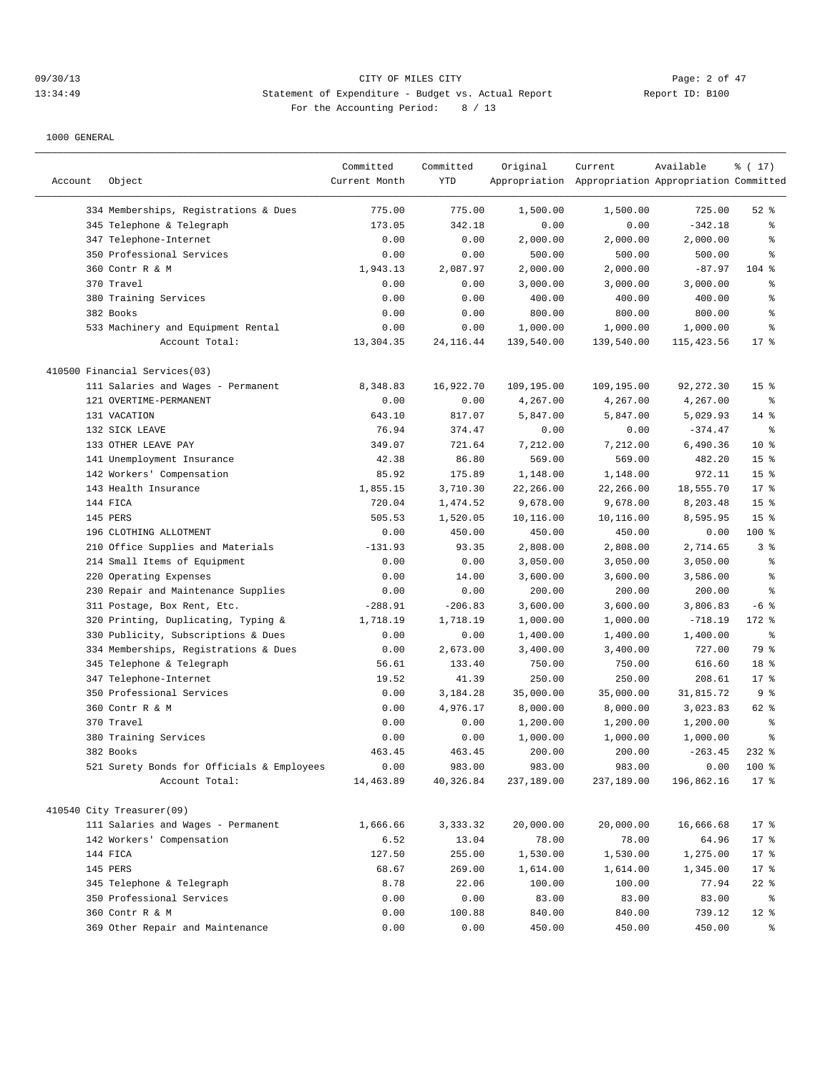## 09/30/13 CITY OF MILES CITY Page: 2 of 47 13:34:49 Statement of Expenditure - Budget vs. Actual Report Changer Report ID: B100 For the Accounting Period: 8 / 13

|         |                                            | Committed     | Committed   | Original   | Current                                             | Available  | % (17)           |
|---------|--------------------------------------------|---------------|-------------|------------|-----------------------------------------------------|------------|------------------|
| Account | Object                                     | Current Month | YTD         |            | Appropriation Appropriation Appropriation Committed |            |                  |
|         |                                            |               |             |            |                                                     |            |                  |
|         | 334 Memberships, Registrations & Dues      | 775.00        | 775.00      | 1,500.00   | 1,500.00                                            | 725.00     | $52$ $%$         |
|         | 345 Telephone & Telegraph                  | 173.05        | 342.18      | 0.00       | 0.00                                                | $-342.18$  | ి                |
|         | 347 Telephone-Internet                     | 0.00          | 0.00        | 2,000.00   | 2,000.00                                            | 2,000.00   | ి                |
|         | 350 Professional Services                  | 0.00          | 0.00        | 500.00     | 500.00                                              | 500.00     | ి                |
|         | 360 Contr R & M                            | 1,943.13      | 2,087.97    | 2,000.00   | 2,000.00                                            | $-87.97$   | $104$ %          |
|         | 370 Travel                                 | 0.00          | 0.00        | 3,000.00   | 3,000.00                                            | 3,000.00   | ి                |
|         | 380 Training Services                      | 0.00          | 0.00        | 400.00     | 400.00                                              | 400.00     | ి                |
|         | 382 Books                                  | 0.00          | 0.00        | 800.00     | 800.00                                              | 800.00     | ి                |
|         | 533 Machinery and Equipment Rental         | 0.00          | 0.00        | 1,000.00   | 1,000.00                                            | 1,000.00   | ి                |
|         | Account Total:                             | 13,304.35     | 24, 116. 44 | 139,540.00 | 139,540.00                                          | 115,423.56 | $17*$            |
|         | 410500 Financial Services(03)              |               |             |            |                                                     |            |                  |
|         | 111 Salaries and Wages - Permanent         | 8,348.83      | 16,922.70   | 109,195.00 | 109,195.00                                          | 92, 272.30 | 15 <sup>°</sup>  |
|         | 121 OVERTIME-PERMANENT                     | 0.00          | 0.00        | 4,267.00   | 4,267.00                                            | 4,267.00   | $\epsilon$       |
|         | 131 VACATION                               | 643.10        | 817.07      | 5,847.00   | 5,847.00                                            | 5,029.93   | $14*$            |
|         | 132 SICK LEAVE                             | 76.94         | 374.47      | 0.00       | 0.00                                                | $-374.47$  | န္               |
|         | 133 OTHER LEAVE PAY                        | 349.07        | 721.64      | 7,212.00   | 7,212.00                                            | 6,490.36   | $10*$            |
|         | 141 Unemployment Insurance                 | 42.38         | 86.80       | 569.00     | 569.00                                              | 482.20     | 15 <sup>8</sup>  |
|         | 142 Workers' Compensation                  | 85.92         | 175.89      | 1,148.00   | 1,148.00                                            | 972.11     | 15 <sup>8</sup>  |
|         | 143 Health Insurance                       | 1,855.15      | 3,710.30    | 22,266.00  | 22,266.00                                           | 18,555.70  | $17*$            |
|         | 144 FICA                                   | 720.04        | 1,474.52    | 9,678.00   | 9,678.00                                            | 8,203.48   | 15 <sup>°</sup>  |
|         | 145 PERS                                   | 505.53        | 1,520.05    | 10,116.00  | 10,116.00                                           | 8,595.95   | 15 <sup>°</sup>  |
|         | 196 CLOTHING ALLOTMENT                     | 0.00          | 450.00      | 450.00     | 450.00                                              | 0.00       | 100 %            |
|         | 210 Office Supplies and Materials          | $-131.93$     | 93.35       | 2,808.00   | 2,808.00                                            | 2,714.65   | 3%               |
| 214     | Small Items of Equipment                   | 0.00          | 0.00        | 3,050.00   | 3,050.00                                            | 3,050.00   | ి                |
| 220     | Operating Expenses                         | 0.00          | 14.00       | 3,600.00   | 3,600.00                                            | 3,586.00   | $\,{}^{\circ}\!$ |
|         | 230 Repair and Maintenance Supplies        | 0.00          | 0.00        | 200.00     | 200.00                                              | 200.00     | ి                |
|         | 311 Postage, Box Rent, Etc.                | $-288.91$     | $-206.83$   | 3,600.00   | 3,600.00                                            | 3,806.83   | $-6$ %           |
|         | 320 Printing, Duplicating, Typing &        | 1,718.19      | 1,718.19    | 1,000.00   | 1,000.00                                            | $-718.19$  | 172 %            |
| 330     | Publicity, Subscriptions & Dues            | 0.00          | 0.00        | 1,400.00   | 1,400.00                                            | 1,400.00   | $\epsilon$       |
|         | 334 Memberships, Registrations & Dues      | 0.00          | 2,673.00    | 3,400.00   | 3,400.00                                            | 727.00     | 79 %             |
|         | 345 Telephone & Telegraph                  | 56.61         | 133.40      | 750.00     | 750.00                                              | 616.60     | 18 %             |
|         | 347 Telephone-Internet                     | 19.52         | 41.39       | 250.00     | 250.00                                              | 208.61     | 17.8             |
|         | 350 Professional Services                  | 0.00          | 3,184.28    | 35,000.00  | 35,000.00                                           | 31,815.72  | 9%               |
|         | 360 Contr R & M                            | 0.00          | 4,976.17    | 8,000.00   | 8,000.00                                            | 3,023.83   | 62 %             |
|         | 370 Travel                                 | 0.00          | 0.00        | 1,200.00   | 1,200.00                                            | 1,200.00   | ి                |
|         | 380 Training Services                      | 0.00          | 0.00        | 1,000.00   | 1,000.00                                            | 1,000.00   | ి                |
|         | 382 Books                                  | 463.45        | 463.45      | 200.00     | 200.00                                              | $-263.45$  | $232$ $%$        |
|         | 521 Surety Bonds for Officials & Employees | 0.00          | 983.00      | 983.00     | 983.00                                              | 0.00       | 100 %            |
|         | Account Total:                             | 14,463.89     | 40,326.84   | 237,189.00 | 237,189.00                                          | 196,862.16 | 17.8             |
|         |                                            |               |             |            |                                                     |            |                  |
|         | 410540 City Treasurer(09)                  |               |             |            |                                                     |            |                  |
|         | 111 Salaries and Wages - Permanent         | 1,666.66      | 3,333.32    | 20,000.00  | 20,000.00                                           | 16,666.68  | 17 <sup>°</sup>  |
|         | 142 Workers' Compensation                  | 6.52          | 13.04       | 78.00      | 78.00                                               | 64.96      | 17 <sub>8</sub>  |
|         | 144 FICA                                   | 127.50        | 255.00      | 1,530.00   | 1,530.00                                            | 1,275.00   | 17 <sup>°</sup>  |
|         | 145 PERS                                   | 68.67         | 269.00      | 1,614.00   | 1,614.00                                            | 1,345.00   | 17 <sub>8</sub>  |
|         | 345 Telephone & Telegraph                  | 8.78          | 22.06       | 100.00     | 100.00                                              | 77.94      | $22$ %           |
|         | 350 Professional Services                  | 0.00          | 0.00        | 83.00      | 83.00                                               | 83.00      | ိ                |
|         | 360 Contr R & M                            | 0.00          | 100.88      | 840.00     | 840.00                                              | 739.12     | $12$ %           |
|         | 369 Other Repair and Maintenance           | 0.00          | 0.00        | 450.00     | 450.00                                              | 450.00     | နွ               |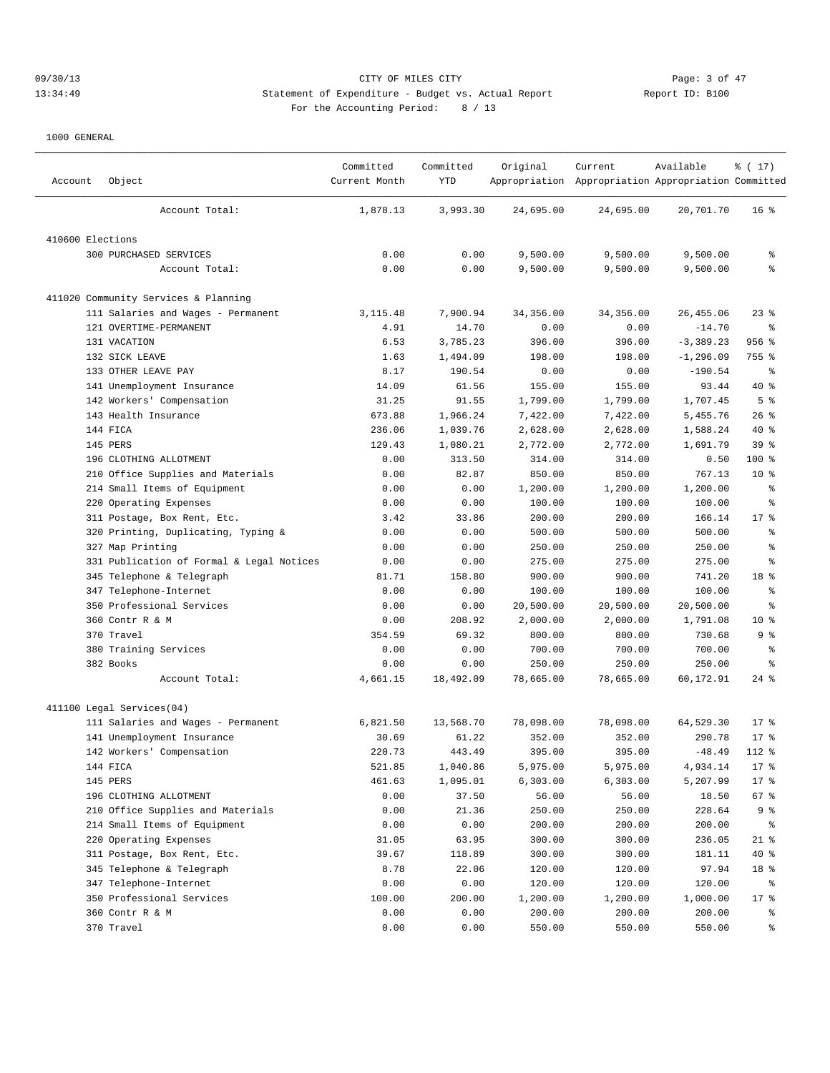## 09/30/13 CITY OF MILES CITY Page: 3 of 47 13:34:49 Statement of Expenditure - Budget vs. Actual Report 11: Report ID: B100 For the Accounting Period: 8 / 13

|                  |                                           | Committed     | Committed | Original  | Current                                             | Available    | % (17)          |
|------------------|-------------------------------------------|---------------|-----------|-----------|-----------------------------------------------------|--------------|-----------------|
| Account          | Object                                    | Current Month | YTD       |           | Appropriation Appropriation Appropriation Committed |              |                 |
|                  | Account Total:                            | 1,878.13      | 3,993.30  | 24,695.00 | 24,695.00                                           | 20,701.70    | 16 <sup>°</sup> |
| 410600 Elections |                                           |               |           |           |                                                     |              |                 |
|                  | 300 PURCHASED SERVICES                    | 0.00          | 0.00      | 9,500.00  | 9,500.00                                            | 9,500.00     | န့              |
|                  | Account Total:                            | 0.00          | 0.00      | 9,500.00  | 9,500.00                                            | 9,500.00     | ి               |
|                  | 411020 Community Services & Planning      |               |           |           |                                                     |              |                 |
|                  | 111 Salaries and Wages - Permanent        | 3, 115.48     | 7,900.94  | 34,356.00 | 34,356.00                                           | 26, 455.06   | $23$ $%$        |
|                  | 121 OVERTIME-PERMANENT                    | 4.91          | 14.70     | 0.00      | 0.00                                                | $-14.70$     | နွ              |
|                  | 131 VACATION                              | 6.53          | 3,785.23  | 396.00    | 396.00                                              | $-3,389.23$  | 956 %           |
|                  | 132 SICK LEAVE                            | 1.63          | 1,494.09  | 198.00    | 198.00                                              | $-1, 296.09$ | 755 %           |
|                  | 133 OTHER LEAVE PAY                       | 8.17          | 190.54    | 0.00      | 0.00                                                | $-190.54$    | နွ              |
|                  | 141 Unemployment Insurance                | 14.09         | 61.56     | 155.00    | 155.00                                              | 93.44        | $40*$           |
|                  | 142 Workers' Compensation                 | 31.25         | 91.55     | 1,799.00  | 1,799.00                                            | 1,707.45     | 5 <sup>°</sup>  |
|                  | 143 Health Insurance                      | 673.88        | 1,966.24  | 7,422.00  | 7,422.00                                            | 5,455.76     | 26%             |
|                  | 144 FICA                                  | 236.06        | 1,039.76  | 2,628.00  | 2,628.00                                            | 1,588.24     | $40*$           |
|                  | 145 PERS                                  | 129.43        | 1,080.21  | 2,772.00  | 2,772.00                                            | 1,691.79     | 39 <sup>8</sup> |
|                  | 196 CLOTHING ALLOTMENT                    | 0.00          | 313.50    | 314.00    | 314.00                                              | 0.50         | 100 %           |
|                  | 210 Office Supplies and Materials         | 0.00          | 82.87     | 850.00    | 850.00                                              | 767.13       | $10*$           |
|                  | 214 Small Items of Equipment              | 0.00          | 0.00      | 1,200.00  | 1,200.00                                            | 1,200.00     | န့              |
|                  | 220 Operating Expenses                    | 0.00          | 0.00      | 100.00    | 100.00                                              | 100.00       | ႜ               |
|                  | 311 Postage, Box Rent, Etc.               | 3.42          | 33.86     | 200.00    | 200.00                                              | 166.14       | $17*$           |
|                  | 320 Printing, Duplicating, Typing &       | 0.00          | 0.00      | 500.00    | 500.00                                              | 500.00       | ႜ               |
|                  | 327 Map Printing                          | 0.00          | 0.00      | 250.00    | 250.00                                              | 250.00       | န့              |
|                  | 331 Publication of Formal & Legal Notices | 0.00          | 0.00      | 275.00    | 275.00                                              | 275.00       | န္              |
|                  | 345 Telephone & Telegraph                 | 81.71         | 158.80    | 900.00    | 900.00                                              | 741.20       | 18 %            |
|                  | 347 Telephone-Internet                    | 0.00          | 0.00      | 100.00    | 100.00                                              | 100.00       | န္              |
|                  | 350 Professional Services                 | 0.00          | 0.00      | 20,500.00 | 20,500.00                                           | 20,500.00    | g               |
|                  | 360 Contr R & M                           | 0.00          | 208.92    | 2,000.00  | 2,000.00                                            | 1,791.08     | $10*$           |
|                  | 370 Travel                                | 354.59        | 69.32     | 800.00    | 800.00                                              | 730.68       | 9 %             |
|                  | 380 Training Services                     | 0.00          | 0.00      | 700.00    | 700.00                                              | 700.00       | နွ              |
|                  | 382 Books                                 | 0.00          | 0.00      | 250.00    | 250.00                                              | 250.00       | ႜ               |
|                  | Account Total:                            | 4,661.15      | 18,492.09 | 78,665.00 | 78,665.00                                           | 60,172.91    | $24$ %          |
|                  | 411100 Legal Services(04)                 |               |           |           |                                                     |              |                 |
|                  | 111 Salaries and Wages - Permanent        | 6,821.50      | 13,568.70 | 78,098.00 | 78,098.00                                           | 64,529.30    | $17$ %          |
|                  | 141 Unemployment Insurance                | 30.69         | 61.22     | 352.00    | 352.00                                              | 290.78       | $17$ %          |
|                  | 142 Workers' Compensation                 | 220.73        | 443.49    | 395.00    | 395.00                                              | $-48.49$     | $112$ %         |
|                  | 144 FICA                                  | 521.85        | 1,040.86  | 5,975.00  | 5,975.00                                            | 4,934.14     | 17 <sub>8</sub> |
|                  | 145 PERS                                  | 461.63        | 1,095.01  | 6,303.00  | 6,303.00                                            | 5,207.99     | $17$ %          |
|                  | 196 CLOTHING ALLOTMENT                    | 0.00          | 37.50     | 56.00     | 56.00                                               | 18.50        | 67 %            |
|                  | 210 Office Supplies and Materials         | 0.00          | 21.36     | 250.00    | 250.00                                              | 228.64       | 9%              |
|                  | 214 Small Items of Equipment              | 0.00          | 0.00      | 200.00    | 200.00                                              | 200.00       | ွေ              |
|                  | 220 Operating Expenses                    | 31.05         | 63.95     | 300.00    | 300.00                                              | 236.05       | $21$ %          |
|                  | 311 Postage, Box Rent, Etc.               | 39.67         | 118.89    | 300.00    | 300.00                                              | 181.11       | 40 %            |
|                  | 345 Telephone & Telegraph                 | 8.78          | 22.06     | 120.00    | 120.00                                              | 97.94        | 18 %            |
|                  | 347 Telephone-Internet                    | 0.00          | 0.00      | 120.00    | 120.00                                              | 120.00       | ိ               |
|                  | 350 Professional Services                 | 100.00        | 200.00    | 1,200.00  | 1,200.00                                            | 1,000.00     | $17$ %          |
|                  | 360 Contr R & M                           | 0.00          | 0.00      | 200.00    | 200.00                                              | 200.00       | ွေ              |
|                  | 370 Travel                                | 0.00          | 0.00      | 550.00    | 550.00                                              | 550.00       | နွ              |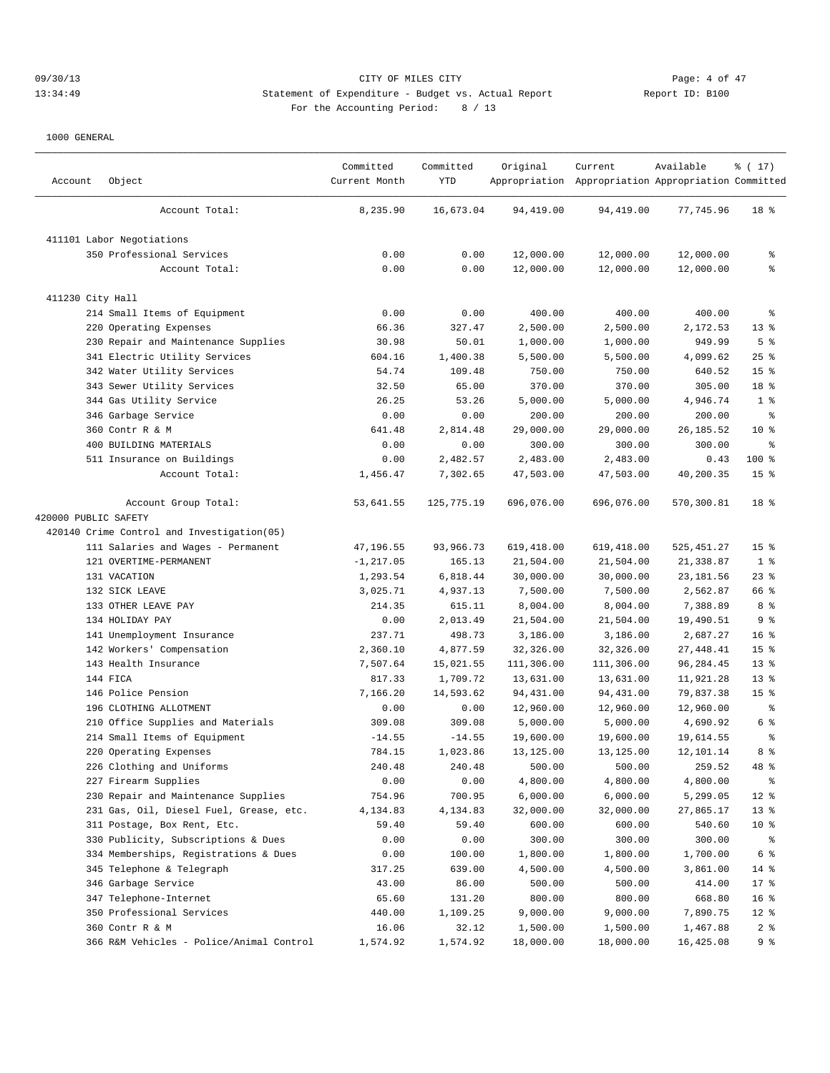## 09/30/13 Page: 4 of 47 13:34:49 Statement of Expenditure - Budget vs. Actual Report Report ID: B100 For the Accounting Period: 8 / 13

| Account              | Object                                     | Committed<br>Current Month | Committed<br>YTD | Original   | Current<br>Appropriation Appropriation Appropriation Committed | Available   | ៖ ( 17)         |
|----------------------|--------------------------------------------|----------------------------|------------------|------------|----------------------------------------------------------------|-------------|-----------------|
|                      | Account Total:                             | 8,235.90                   | 16,673.04        | 94,419.00  | 94,419.00                                                      | 77,745.96   | 18 %            |
|                      | 411101 Labor Negotiations                  |                            |                  |            |                                                                |             |                 |
|                      | 350 Professional Services                  | 0.00                       | 0.00             | 12,000.00  | 12,000.00                                                      | 12,000.00   | န္              |
|                      | Account Total:                             | 0.00                       | 0.00             | 12,000.00  | 12,000.00                                                      | 12,000.00   | နွ              |
| 411230 City Hall     |                                            |                            |                  |            |                                                                |             |                 |
|                      | 214 Small Items of Equipment               | 0.00                       | 0.00             | 400.00     | 400.00                                                         | 400.00      | ႜ               |
|                      | 220 Operating Expenses                     | 66.36                      | 327.47           | 2,500.00   | 2,500.00                                                       | 2,172.53    | $13*$           |
|                      | 230 Repair and Maintenance Supplies        | 30.98                      | 50.01            | 1,000.00   | 1,000.00                                                       | 949.99      | 5 <sup>°</sup>  |
|                      | 341 Electric Utility Services              | 604.16                     | 1,400.38         | 5,500.00   | 5,500.00                                                       | 4,099.62    | $25$ %          |
|                      | 342 Water Utility Services                 | 54.74                      | 109.48           | 750.00     | 750.00                                                         | 640.52      | 15 <sup>°</sup> |
|                      | 343 Sewer Utility Services                 | 32.50                      | 65.00            | 370.00     | 370.00                                                         | 305.00      | 18 %            |
|                      | 344 Gas Utility Service                    | 26.25                      | 53.26            | 5,000.00   | 5,000.00                                                       | 4,946.74    | 1 <sup>8</sup>  |
|                      | 346 Garbage Service                        | 0.00                       | 0.00             | 200.00     | 200.00                                                         | 200.00      | နွ              |
|                      | 360 Contr R & M                            | 641.48                     | 2,814.48         | 29,000.00  | 29,000.00                                                      | 26, 185.52  | $10*$           |
|                      | 400 BUILDING MATERIALS                     | 0.00                       | 0.00             | 300.00     | 300.00                                                         | 300.00      | နွ              |
|                      | 511 Insurance on Buildings                 | 0.00                       | 2,482.57         | 2,483.00   | 2,483.00                                                       | 0.43        | 100 %           |
|                      | Account Total:                             | 1,456.47                   | 7,302.65         | 47,503.00  | 47,503.00                                                      | 40,200.35   | 15 <sup>°</sup> |
|                      | Account Group Total:                       | 53,641.55                  | 125,775.19       | 696,076.00 | 696,076.00                                                     | 570,300.81  | 18 <sup>8</sup> |
| 420000 PUBLIC SAFETY |                                            |                            |                  |            |                                                                |             |                 |
|                      | 420140 Crime Control and Investigation(05) |                            |                  |            |                                                                |             |                 |
|                      | 111 Salaries and Wages - Permanent         | 47,196.55                  | 93,966.73        | 619,418.00 | 619,418.00                                                     | 525, 451.27 | 15 <sup>8</sup> |
|                      | 121 OVERTIME-PERMANENT                     | $-1, 217.05$               | 165.13           | 21,504.00  | 21,504.00                                                      | 21,338.87   | 1 <sup>°</sup>  |
|                      | 131 VACATION                               | 1,293.54                   | 6,818.44         | 30,000.00  | 30,000.00                                                      | 23, 181.56  | $23$ %          |
|                      | 132 SICK LEAVE                             | 3,025.71                   | 4,937.13         | 7,500.00   | 7,500.00                                                       | 2,562.87    | 66 %            |
|                      | 133 OTHER LEAVE PAY                        | 214.35                     | 615.11           | 8,004.00   | 8,004.00                                                       | 7,388.89    | 8 %             |
|                      | 134 HOLIDAY PAY                            | 0.00                       | 2,013.49         | 21,504.00  | 21,504.00                                                      | 19,490.51   | 9%              |
|                      | 141 Unemployment Insurance                 | 237.71                     | 498.73           | 3,186.00   | 3,186.00                                                       | 2,687.27    | 16 <sup>°</sup> |
|                      | 142 Workers' Compensation                  | 2,360.10                   | 4,877.59         | 32,326.00  | 32,326.00                                                      | 27,448.41   | 15 <sup>°</sup> |
|                      | 143 Health Insurance                       | 7,507.64                   | 15,021.55        | 111,306.00 | 111,306.00                                                     | 96,284.45   | 13 <sup>8</sup> |
|                      | 144 FICA                                   | 817.33                     | 1,709.72         | 13,631.00  | 13,631.00                                                      | 11,921.28   | 13 <sup>8</sup> |
|                      | 146 Police Pension                         | 7,166.20                   | 14,593.62        | 94,431.00  | 94,431.00                                                      | 79,837.38   | 15 <sup>8</sup> |
|                      | 196 CLOTHING ALLOTMENT                     | 0.00                       | 0.00             | 12,960.00  | 12,960.00                                                      | 12,960.00   | ್ಠಿ             |
|                      | 210 Office Supplies and Materials          | 309.08                     | 309.08           | 5,000.00   | 5,000.00                                                       | 4,690.92    | 6 %             |
|                      | 214 Small Items of Equipment               | $-14.55$                   | $-14.55$         | 19,600.00  | 19,600.00                                                      | 19,614.55   | နွ              |
|                      | 220 Operating Expenses                     | 784.15                     | 1,023.86         | 13,125.00  | 13,125.00                                                      | 12,101.14   | 8 %             |
|                      | 226 Clothing and Uniforms                  | 240.48                     | 240.48           | 500.00     | 500.00                                                         | 259.52      | 48 %            |
|                      | 227 Firearm Supplies                       | 0.00                       | 0.00             | 4,800.00   | 4,800.00                                                       | 4,800.00    | ႜૢ              |
|                      | 230 Repair and Maintenance Supplies        | 754.96                     | 700.95           | 6,000.00   | 6,000.00                                                       | 5,299.05    | $12$ %          |
|                      | 231 Gas, Oil, Diesel Fuel, Grease, etc.    | 4,134.83                   | 4,134.83         | 32,000.00  | 32,000.00                                                      | 27,865.17   | 13 <sup>°</sup> |
|                      | 311 Postage, Box Rent, Etc.                | 59.40                      | 59.40            | 600.00     | 600.00                                                         | 540.60      | 10 <sup>°</sup> |
|                      | 330 Publicity, Subscriptions & Dues        | 0.00                       | 0.00             | 300.00     | 300.00                                                         | 300.00      | ႜૢ              |
|                      | 334 Memberships, Registrations & Dues      | 0.00                       | 100.00           | 1,800.00   | 1,800.00                                                       | 1,700.00    | $6\degree$      |
|                      | 345 Telephone & Telegraph                  | 317.25                     | 639.00           | 4,500.00   | 4,500.00                                                       | 3,861.00    | 14 %            |
|                      | 346 Garbage Service                        | 43.00                      | 86.00            | 500.00     | 500.00                                                         | 414.00      | $17$ %          |
|                      | 347 Telephone-Internet                     | 65.60                      | 131.20           | 800.00     | 800.00                                                         | 668.80      | 16 <sup>°</sup> |
|                      | 350 Professional Services                  | 440.00                     | 1,109.25         | 9,000.00   | 9,000.00                                                       | 7,890.75    | $12$ %          |
|                      | 360 Contr R & M                            | 16.06                      | 32.12            | 1,500.00   | 1,500.00                                                       | 1,467.88    | 2 <sup>8</sup>  |
|                      | 366 R&M Vehicles - Police/Animal Control   | 1,574.92                   | 1,574.92         | 18,000.00  | 18,000.00                                                      | 16,425.08   | 9%              |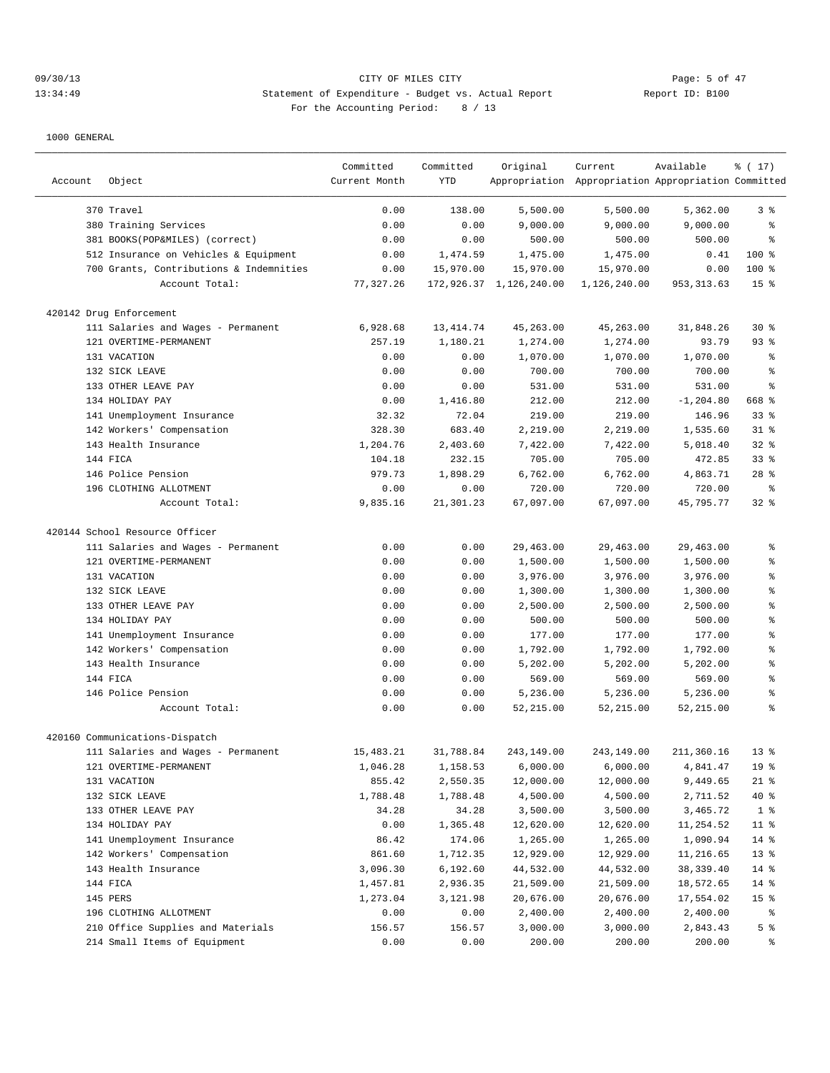# 09/30/13 Page: 5 of 47 13:34:49 Statement of Expenditure - Budget vs. Actual Report Changer Report ID: B100 For the Accounting Period: 8 / 13

| Object<br>Account                       | Committed<br>Current Month | Committed<br><b>YTD</b> | Original                | Current<br>Appropriation Appropriation Appropriation Committed | Available    | % (17)          |
|-----------------------------------------|----------------------------|-------------------------|-------------------------|----------------------------------------------------------------|--------------|-----------------|
| 370 Travel                              | 0.00                       | 138.00                  | 5,500.00                | 5,500.00                                                       | 5,362.00     | 3%              |
| 380 Training Services                   | 0.00                       | 0.00                    | 9,000.00                | 9,000.00                                                       | 9,000.00     | ి               |
| 381 BOOKS(POP&MILES) (correct)          | 0.00                       | 0.00                    | 500.00                  | 500.00                                                         | 500.00       | ⊱               |
| 512 Insurance on Vehicles & Equipment   | 0.00                       | 1,474.59                | 1,475.00                | 1,475.00                                                       | 0.41         | 100 %           |
| 700 Grants, Contributions & Indemnities | 0.00                       | 15,970.00               | 15,970.00               | 15,970.00                                                      | 0.00         | 100 %           |
| Account Total:                          | 77, 327.26                 |                         | 172,926.37 1,126,240.00 | 1,126,240.00                                                   | 953, 313.63  | 15 <sup>°</sup> |
| 420142 Drug Enforcement                 |                            |                         |                         |                                                                |              |                 |
| 111 Salaries and Wages - Permanent      | 6,928.68                   | 13, 414.74              | 45,263.00               | 45,263.00                                                      | 31,848.26    | $30*$           |
| 121 OVERTIME-PERMANENT                  | 257.19                     | 1,180.21                | 1,274.00                | 1,274.00                                                       | 93.79        | $93$ $%$        |
| 131 VACATION                            | 0.00                       | 0.00                    | 1,070.00                | 1,070.00                                                       | 1,070.00     | ႜ               |
| 132 SICK LEAVE                          | 0.00                       | 0.00                    | 700.00                  | 700.00                                                         | 700.00       | ి               |
| 133 OTHER LEAVE PAY                     | 0.00                       | 0.00                    | 531.00                  | 531.00                                                         | 531.00       | 昙               |
| 134 HOLIDAY PAY                         | 0.00                       | 1,416.80                | 212.00                  | 212.00                                                         | $-1, 204.80$ | 668 %           |
| 141 Unemployment Insurance              | 32.32                      | 72.04                   | 219.00                  | 219.00                                                         | 146.96       | 33 <sup>8</sup> |
| 142 Workers' Compensation               | 328.30                     | 683.40                  | 2,219.00                | 2,219.00                                                       | 1,535.60     | $31$ %          |
| 143 Health Insurance                    | 1,204.76                   | 2,403.60                | 7,422.00                | 7,422.00                                                       | 5,018.40     | $32$ $%$        |
| 144 FICA                                | 104.18                     | 232.15                  | 705.00                  | 705.00                                                         | 472.85       | 33%             |
| 146 Police Pension                      | 979.73                     | 1,898.29                | 6,762.00                | 6,762.00                                                       | 4,863.71     | $28$ %          |
| 196 CLOTHING ALLOTMENT                  | 0.00                       | 0.00                    | 720.00                  | 720.00                                                         | 720.00       | နွ              |
| Account Total:                          | 9,835.16                   | 21,301.23               | 67,097.00               | 67,097.00                                                      | 45,795.77    | 32%             |
| 420144 School Resource Officer          |                            |                         |                         |                                                                |              |                 |
| 111 Salaries and Wages - Permanent      | 0.00                       | 0.00                    | 29,463.00               | 29,463.00                                                      | 29,463.00    | န္              |
| 121 OVERTIME-PERMANENT                  | 0.00                       | 0.00                    | 1,500.00                | 1,500.00                                                       | 1,500.00     | $\epsilon$      |
| 131 VACATION                            | 0.00                       | 0.00                    | 3,976.00                | 3,976.00                                                       | 3,976.00     | $\epsilon$      |
| 132 SICK LEAVE                          | 0.00                       | 0.00                    | 1,300.00                | 1,300.00                                                       | 1,300.00     | $\,$ $\,$ $\,$  |
| 133 OTHER LEAVE PAY                     | 0.00                       | 0.00                    | 2,500.00                | 2,500.00                                                       | 2,500.00     | ి               |
| 134 HOLIDAY PAY                         | 0.00                       | 0.00                    | 500.00                  | 500.00                                                         | 500.00       | $\,$ %          |
| 141 Unemployment Insurance              | 0.00                       | 0.00                    | 177.00                  | 177.00                                                         | 177.00       | $\epsilon$      |
| 142 Workers' Compensation               | 0.00                       | 0.00                    | 1,792.00                | 1,792.00                                                       | 1,792.00     | ి               |
| 143 Health Insurance                    | 0.00                       | 0.00                    | 5,202.00                | 5,202.00                                                       | 5,202.00     | $\approx$       |
| 144 FICA                                | 0.00                       | 0.00                    | 569.00                  | 569.00                                                         | 569.00       | ి               |
| 146 Police Pension                      | 0.00                       | 0.00                    | 5,236.00                | 5,236.00                                                       | 5,236.00     | န္              |
| Account Total:                          | 0.00                       | 0.00                    | 52,215.00               | 52, 215.00                                                     | 52,215.00    | $\approx$       |
| 420160 Communications-Dispatch          |                            |                         |                         |                                                                |              |                 |
| 111 Salaries and Wages - Permanent      | 15,483.21                  | 31,788.84               | 243,149.00              | 243,149.00                                                     | 211,360.16   | $13*$           |
| 121 OVERTIME-PERMANENT                  | 1,046.28                   | 1,158.53                | 6,000.00                | 6,000.00                                                       | 4,841.47     | 19 <sup>°</sup> |
| 131 VACATION                            | 855.42                     | 2,550.35                | 12,000.00               | 12,000.00                                                      | 9,449.65     | $21$ %          |
| 132 SICK LEAVE                          | 1,788.48                   | 1,788.48                | 4,500.00                | 4,500.00                                                       | 2,711.52     | 40 %            |
| 133 OTHER LEAVE PAY                     | 34.28                      | 34.28                   | 3,500.00                | 3,500.00                                                       | 3,465.72     | 1 <sup>8</sup>  |
| 134 HOLIDAY PAY                         | 0.00                       | 1,365.48                | 12,620.00               | 12,620.00                                                      | 11,254.52    | 11 <sub>8</sub> |
| 141 Unemployment Insurance              | 86.42                      | 174.06                  | 1,265.00                | 1,265.00                                                       | 1,090.94     | $14$ %          |
| 142 Workers' Compensation               | 861.60                     | 1,712.35                | 12,929.00               | 12,929.00                                                      | 11,216.65    | 13 <sub>8</sub> |
| 143 Health Insurance                    | 3,096.30                   | 6,192.60                | 44,532.00               | 44,532.00                                                      | 38,339.40    | $14$ %          |
| 144 FICA                                | 1,457.81                   | 2,936.35                | 21,509.00               | 21,509.00                                                      | 18,572.65    | $14$ %          |
| 145 PERS                                | 1,273.04                   | 3,121.98                | 20,676.00               | 20,676.00                                                      | 17,554.02    | 15 <sub>8</sub> |
| 196 CLOTHING ALLOTMENT                  | 0.00                       | 0.00                    | 2,400.00                | 2,400.00                                                       | 2,400.00     | ಿ               |
| 210 Office Supplies and Materials       | 156.57                     | 156.57                  | 3,000.00                | 3,000.00                                                       | 2,843.43     | 5 <sup>°</sup>  |
| 214 Small Items of Equipment            | 0.00                       | 0.00                    | 200.00                  | 200.00                                                         | 200.00       | ್ಠಿ             |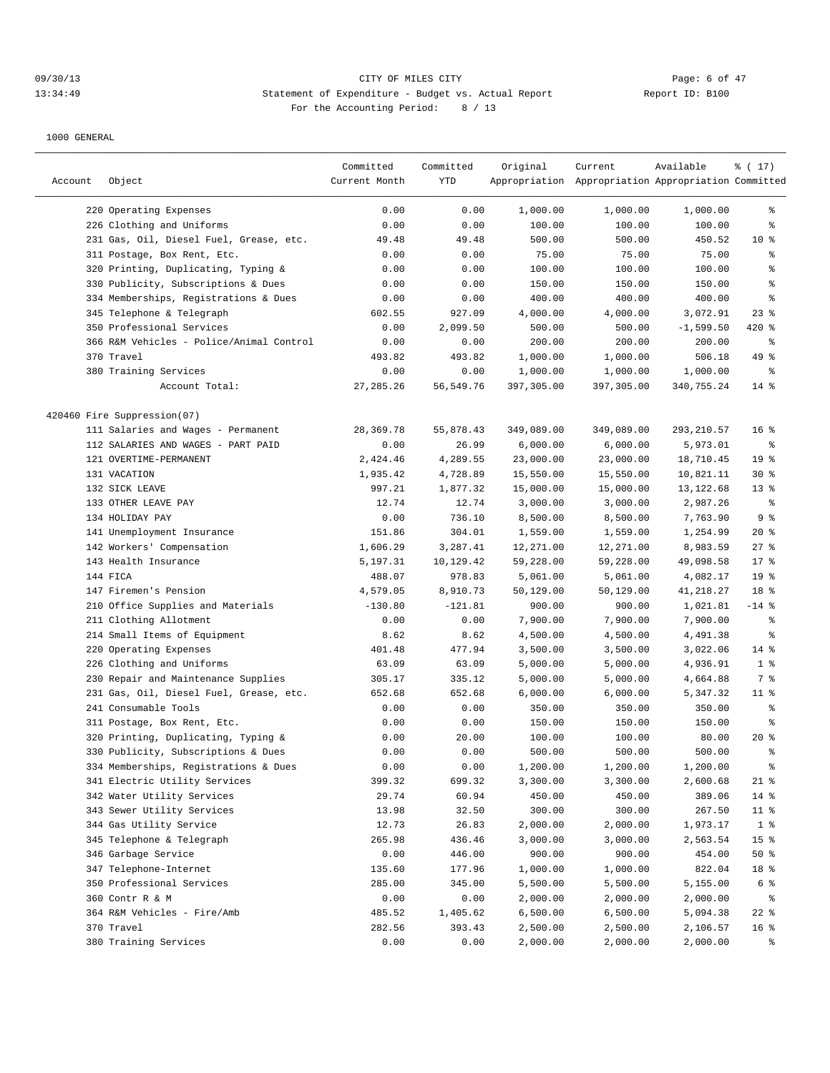# 09/30/13 CITY OF MILES CITY Page: 6 of 47 13:34:49 Statement of Expenditure - Budget vs. Actual Report Changer Report ID: B100 For the Accounting Period: 8 / 13

| Account | Object                                   | Committed<br>Current Month | Committed<br>YTD | Original   | Current<br>Appropriation Appropriation Appropriation Committed | Available   | % (17)          |
|---------|------------------------------------------|----------------------------|------------------|------------|----------------------------------------------------------------|-------------|-----------------|
|         |                                          |                            |                  |            |                                                                |             |                 |
|         | 220 Operating Expenses                   | 0.00                       | 0.00             | 1,000.00   | 1,000.00                                                       | 1,000.00    | နွ              |
|         | 226 Clothing and Uniforms                | 0.00                       | 0.00             | 100.00     | 100.00                                                         | 100.00      | ి               |
|         | 231 Gas, Oil, Diesel Fuel, Grease, etc.  | 49.48                      | 49.48            | 500.00     | 500.00                                                         | 450.52      | 10 <sup>8</sup> |
|         | 311 Postage, Box Rent, Etc.              | 0.00                       | 0.00             | 75.00      | 75.00                                                          | 75.00       | န္              |
| 320     | Printing, Duplicating, Typing &          | 0.00                       | 0.00             | 100.00     | 100.00                                                         | 100.00      | $\epsilon$      |
|         | 330 Publicity, Subscriptions & Dues      | 0.00                       | 0.00             | 150.00     | 150.00                                                         | 150.00      | ి               |
|         | 334 Memberships, Registrations & Dues    | 0.00                       | 0.00             | 400.00     | 400.00                                                         | 400.00      | ి               |
|         | 345 Telephone & Telegraph                | 602.55                     | 927.09           | 4,000.00   | 4,000.00                                                       | 3,072.91    | $23$ $%$        |
|         | 350 Professional Services                | 0.00                       | 2,099.50         | 500.00     | 500.00                                                         | $-1,599.50$ | 420 %           |
|         | 366 R&M Vehicles - Police/Animal Control | 0.00                       | 0.00             | 200.00     | 200.00                                                         | 200.00      | $\epsilon$      |
|         | 370 Travel                               | 493.82                     | 493.82           | 1,000.00   | 1,000.00                                                       | 506.18      | 49 %            |
|         | 380 Training Services                    | 0.00                       | 0.00             | 1,000.00   | 1,000.00                                                       | 1,000.00    | နွ              |
|         | Account Total:                           | 27, 285. 26                | 56, 549.76       | 397,305.00 | 397,305.00                                                     | 340,755.24  | $14$ %          |
|         | 420460 Fire Suppression(07)              |                            |                  |            |                                                                |             |                 |
|         | 111 Salaries and Wages - Permanent       | 28,369.78                  | 55,878.43        | 349,089.00 | 349,089.00                                                     | 293, 210.57 | 16 <sup>8</sup> |
|         | 112 SALARIES AND WAGES - PART PAID       | 0.00                       | 26.99            | 6,000.00   | 6,000.00                                                       | 5,973.01    | $\epsilon$      |
|         | 121 OVERTIME-PERMANENT                   | 2,424.46                   | 4,289.55         | 23,000.00  | 23,000.00                                                      | 18,710.45   | 19 <sup>°</sup> |
|         | 131 VACATION                             | 1,935.42                   | 4,728.89         | 15,550.00  | 15,550.00                                                      | 10,821.11   | $30*$           |
|         | 132 SICK LEAVE                           | 997.21                     | 1,877.32         | 15,000.00  | 15,000.00                                                      | 13, 122.68  | $13*$           |
|         | 133 OTHER LEAVE PAY                      | 12.74                      | 12.74            | 3,000.00   | 3,000.00                                                       | 2,987.26    | $\epsilon$      |
|         | 134 HOLIDAY PAY                          | 0.00                       | 736.10           | 8,500.00   | 8,500.00                                                       | 7,763.90    | 9%              |
|         | 141 Unemployment Insurance               | 151.86                     | 304.01           | 1,559.00   | 1,559.00                                                       | 1,254.99    | $20*$           |
|         | 142 Workers' Compensation                | 1,606.29                   | 3,287.41         | 12,271.00  | 12,271.00                                                      | 8,983.59    | $27$ %          |
|         | 143 Health Insurance                     | 5,197.31                   | 10,129.42        | 59,228.00  | 59,228.00                                                      | 49,098.58   | $17$ %          |
|         | 144 FICA                                 | 488.07                     | 978.83           | 5,061.00   | 5,061.00                                                       | 4,082.17    | 19 <sup>°</sup> |
|         | 147 Firemen's Pension                    | 4,579.05                   | 8,910.73         | 50,129.00  | 50,129.00                                                      | 41,218.27   | 18 %            |
|         | 210 Office Supplies and Materials        | $-130.80$                  | $-121.81$        | 900.00     | 900.00                                                         | 1,021.81    | $-14$ %         |
|         | 211 Clothing Allotment                   | 0.00                       | 0.00             | 7,900.00   | 7,900.00                                                       | 7,900.00    | န္              |
|         | 214 Small Items of Equipment             | 8.62                       | 8.62             | 4,500.00   | 4,500.00                                                       | 4,491.38    | န္              |
|         | 220 Operating Expenses                   | 401.48                     | 477.94           | 3,500.00   | 3,500.00                                                       | 3,022.06    | $14*$           |
|         | 226 Clothing and Uniforms                | 63.09                      | 63.09            | 5,000.00   | 5,000.00                                                       | 4,936.91    | 1 <sup>°</sup>  |
|         | 230 Repair and Maintenance Supplies      | 305.17                     | 335.12           | 5,000.00   | 5,000.00                                                       | 4,664.88    | 7 %             |
|         | 231 Gas, Oil, Diesel Fuel, Grease, etc.  | 652.68                     | 652.68           | 6,000.00   | 6,000.00                                                       | 5,347.32    | $11$ %          |
|         | 241 Consumable Tools                     | 0.00                       | 0.00             | 350.00     | 350.00                                                         | 350.00      | န္              |
|         | 311 Postage, Box Rent, Etc.              | 0.00                       | 0.00             | 150.00     | 150.00                                                         | 150.00      | န္              |
|         | 320 Printing, Duplicating, Typing &      | 0.00                       | 20.00            | 100.00     | 100.00                                                         | 80.00       | $20*$           |
|         | 330 Publicity, Subscriptions & Dues      | 0.00                       | 0.00             | 500.00     | 500.00                                                         | 500.00      | ⊱               |
|         | 334 Memberships, Registrations & Dues    | 0.00                       | 0.00             | 1,200.00   | 1,200.00                                                       | 1,200.00    | ိင              |
|         | 341 Electric Utility Services            | 399.32                     | 699.32           | 3,300.00   | 3,300.00                                                       | 2,600.68    | $21$ %          |
|         | 342 Water Utility Services               | 29.74                      | 60.94            | 450.00     | 450.00                                                         | 389.06      | $14$ %          |
|         | 343 Sewer Utility Services               | 13.98                      | 32.50            | 300.00     | 300.00                                                         | 267.50      | 11 <sub>8</sub> |
|         | 344 Gas Utility Service                  | 12.73                      | 26.83            | 2,000.00   | 2,000.00                                                       | 1,973.17    | 1 <sup>°</sup>  |
|         | 345 Telephone & Telegraph                | 265.98                     | 436.46           | 3,000.00   | 3,000.00                                                       | 2,563.54    | 15 <sup>°</sup> |
|         | 346 Garbage Service                      | 0.00                       | 446.00           | 900.00     | 900.00                                                         | 454.00      | 50%             |
|         | 347 Telephone-Internet                   | 135.60                     | 177.96           | 1,000.00   | 1,000.00                                                       | 822.04      | 18 %            |
|         | 350 Professional Services                | 285.00                     | 345.00           | 5,500.00   | 5,500.00                                                       | 5,155.00    | 6 %             |
|         | 360 Contr R & M                          | 0.00                       | 0.00             | 2,000.00   | 2,000.00                                                       | 2,000.00    | ိ               |
|         | 364 R&M Vehicles - Fire/Amb              | 485.52                     | 1,405.62         | 6,500.00   | 6,500.00                                                       | 5,094.38    | $22$ %          |
|         | 370 Travel                               | 282.56                     | 393.43           | 2,500.00   | 2,500.00                                                       | 2,106.57    | 16 <sup>°</sup> |
|         | 380 Training Services                    | 0.00                       | 0.00             | 2,000.00   | 2,000.00                                                       | 2,000.00    | ွေ              |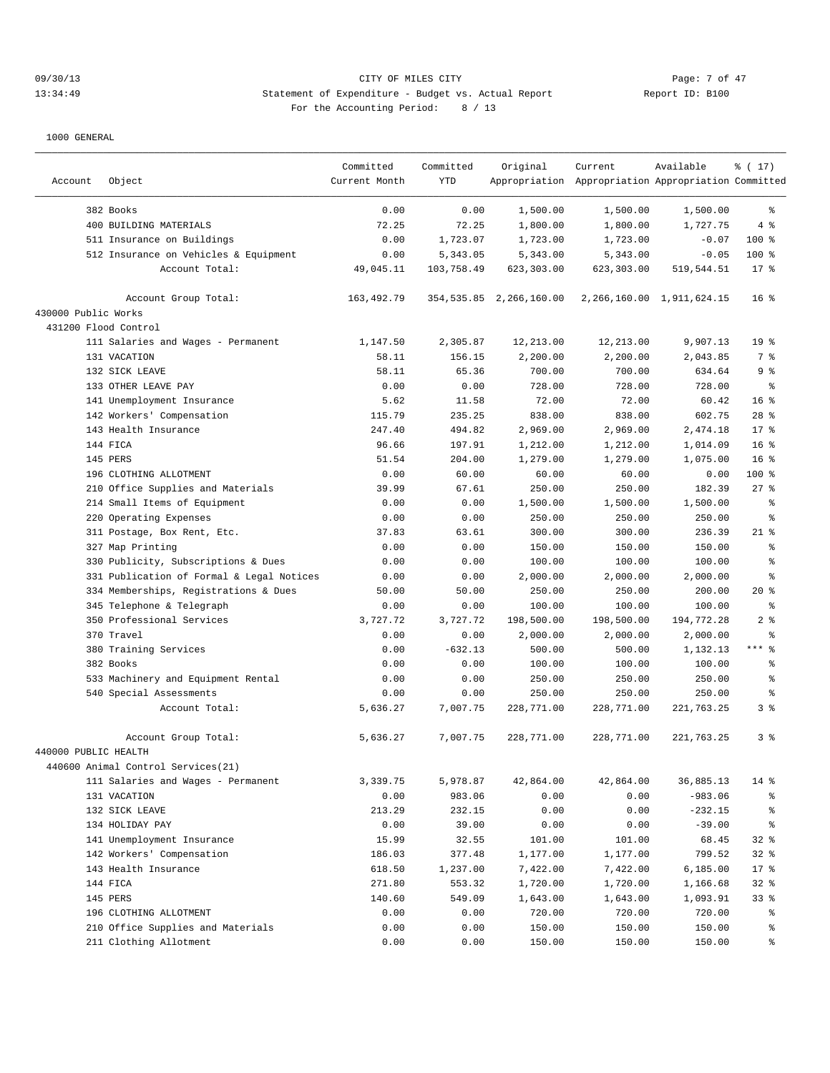## 09/30/13 Page: 7 of 47 13:34:49 Statement of Expenditure - Budget vs. Actual Report 1 11: B100 For the Accounting Period: 8 / 13

|                      |                                           | Committed     | Committed  | Original                   | Current                                             | Available                     | % (17)          |
|----------------------|-------------------------------------------|---------------|------------|----------------------------|-----------------------------------------------------|-------------------------------|-----------------|
| Account              | Object                                    | Current Month | <b>YTD</b> |                            | Appropriation Appropriation Appropriation Committed |                               |                 |
|                      |                                           |               |            |                            |                                                     |                               |                 |
|                      | 382 Books                                 | 0.00          | 0.00       | 1,500.00                   | 1,500.00                                            | 1,500.00                      | ి               |
|                      | 400 BUILDING MATERIALS                    | 72.25         | 72.25      | 1,800.00                   | 1,800.00                                            | 1,727.75                      | 4%              |
|                      | 511 Insurance on Buildings                | 0.00          | 1,723.07   | 1,723.00                   | 1,723.00                                            | $-0.07$                       | $100$ %         |
|                      | 512 Insurance on Vehicles & Equipment     | 0.00          | 5,343.05   | 5,343.00                   | 5,343.00                                            | $-0.05$                       | 100 %           |
|                      | Account Total:                            | 49,045.11     | 103,758.49 | 623,303.00                 | 623,303.00                                          | 519,544.51                    | $17*$           |
|                      | Account Group Total:                      | 163, 492. 79  |            | 354, 535.85 2, 266, 160.00 |                                                     | 2, 266, 160.00 1, 911, 624.15 | 16 <sup>8</sup> |
| 430000 Public Works  |                                           |               |            |                            |                                                     |                               |                 |
| 431200 Flood Control |                                           |               |            |                            |                                                     |                               |                 |
|                      | 111 Salaries and Wages - Permanent        | 1,147.50      | 2,305.87   | 12,213.00                  | 12,213.00                                           | 9,907.13                      | 19 <sup>°</sup> |
|                      | 131 VACATION                              | 58.11         | 156.15     | 2,200.00                   | 2,200.00                                            | 2,043.85                      | 7 %             |
|                      | 132 SICK LEAVE                            | 58.11         | 65.36      | 700.00                     | 700.00                                              | 634.64                        | 9 <sup>°</sup>  |
|                      | 133 OTHER LEAVE PAY                       | 0.00          | 0.00       | 728.00                     | 728.00                                              | 728.00                        | ႜ               |
|                      | 141 Unemployment Insurance                | 5.62          | 11.58      | 72.00                      | 72.00                                               | 60.42                         | 16 <sup>°</sup> |
|                      | 142 Workers' Compensation                 | 115.79        | 235.25     | 838.00                     | 838.00                                              | 602.75                        | $28$ %          |
|                      | 143 Health Insurance                      | 247.40        | 494.82     | 2,969.00                   | 2,969.00                                            | 2,474.18                      | $17*$           |
|                      | 144 FICA                                  | 96.66         | 197.91     | 1,212.00                   | 1,212.00                                            | 1,014.09                      | 16 <sup>°</sup> |
|                      | 145 PERS                                  | 51.54         | 204.00     | 1,279.00                   | 1,279.00                                            | 1,075.00                      | 16 <sup>8</sup> |
|                      | 196 CLOTHING ALLOTMENT                    | 0.00          | 60.00      | 60.00                      | 60.00                                               | 0.00                          | 100 %           |
| 210                  | Office Supplies and Materials             | 39.99         | 67.61      | 250.00                     | 250.00                                              | 182.39                        | 27%             |
|                      | 214 Small Items of Equipment              | 0.00          | 0.00       | 1,500.00                   | 1,500.00                                            | 1,500.00                      | နွ              |
|                      | 220 Operating Expenses                    | 0.00          | 0.00       | 250.00                     | 250.00                                              | 250.00                        | နွ              |
|                      | 311 Postage, Box Rent, Etc.               |               | 63.61      |                            |                                                     | 236.39                        | $21$ %          |
|                      |                                           | 37.83         |            | 300.00                     | 300.00                                              |                               |                 |
|                      | 327 Map Printing                          | 0.00          | 0.00       | 150.00                     | 150.00                                              | 150.00                        | $\epsilon$      |
| 330                  | Publicity, Subscriptions & Dues           | 0.00          | 0.00       | 100.00                     | 100.00                                              | 100.00                        | ៖               |
|                      | 331 Publication of Formal & Legal Notices | 0.00          | 0.00       | 2,000.00                   | 2,000.00                                            | 2,000.00                      | နွ              |
|                      | 334 Memberships, Registrations & Dues     | 50.00         | 50.00      | 250.00                     | 250.00                                              | 200.00                        | $20*$           |
|                      | 345 Telephone & Telegraph                 | 0.00          | 0.00       | 100.00                     | 100.00                                              | 100.00                        | ႜ               |
|                      | 350 Professional Services                 | 3,727.72      | 3,727.72   | 198,500.00                 | 198,500.00                                          | 194,772.28                    | 2 <sup>°</sup>  |
|                      | 370 Travel                                | 0.00          | 0.00       | 2,000.00                   | 2,000.00                                            | 2,000.00                      | န္              |
|                      | 380 Training Services                     | 0.00          | $-632.13$  | 500.00                     | 500.00                                              | 1,132.13                      | $***$ $-$       |
|                      | 382 Books                                 | 0.00          | 0.00       | 100.00                     | 100.00                                              | 100.00                        | နွ              |
|                      | 533 Machinery and Equipment Rental        | 0.00          | 0.00       | 250.00                     | 250.00                                              | 250.00                        | နွ              |
|                      | 540 Special Assessments                   | 0.00          | 0.00       | 250.00                     | 250.00                                              | 250.00                        | နွ              |
|                      | Account Total:                            | 5,636.27      | 7,007.75   | 228,771.00                 | 228,771.00                                          | 221,763.25                    | 3 <sup>°</sup>  |
|                      | Account Group Total:                      | 5,636.27      | 7,007.75   | 228,771.00                 | 228,771.00                                          | 221,763.25                    | 3%              |
| 440000 PUBLIC HEALTH |                                           |               |            |                            |                                                     |                               |                 |
|                      | 440600 Animal Control Services(21)        |               |            |                            |                                                     |                               |                 |
|                      | 111 Salaries and Wages - Permanent        | 3,339.75      | 5,978.87   | 42,864.00                  | 42,864.00                                           | 36,885.13                     | $14$ %          |
|                      | 131 VACATION                              | 0.00          | 983.06     | 0.00                       | 0.00                                                | $-983.06$                     | ႜૢ              |
|                      | 132 SICK LEAVE                            | 213.29        | 232.15     | 0.00                       | 0.00                                                | $-232.15$                     | နွ              |
|                      | 134 HOLIDAY PAY                           | 0.00          | 39.00      | 0.00                       | 0.00                                                | $-39.00$                      | ႜૢ              |
|                      | 141 Unemployment Insurance                | 15.99         | 32.55      | 101.00                     | 101.00                                              | 68.45                         | $32$ $%$        |
|                      |                                           |               |            |                            |                                                     |                               |                 |
|                      | 142 Workers' Compensation                 | 186.03        | 377.48     | 1,177.00                   | 1,177.00                                            | 799.52                        | $32$ $%$        |
|                      | 143 Health Insurance                      | 618.50        | 1,237.00   | 7,422.00                   | 7,422.00                                            | 6,185.00                      | $17*$           |
|                      | 144 FICA                                  | 271.80        | 553.32     | 1,720.00                   | 1,720.00                                            | 1,166.68                      | $32$ $%$        |
|                      | 145 PERS                                  | 140.60        | 549.09     | 1,643.00                   | 1,643.00                                            | 1,093.91                      | 33%             |
|                      | 196 CLOTHING ALLOTMENT                    | 0.00          | 0.00       | 720.00                     | 720.00                                              | 720.00                        | ွေ              |
|                      | 210 Office Supplies and Materials         | 0.00          | 0.00       | 150.00                     | 150.00                                              | 150.00                        | ိင              |
|                      | 211 Clothing Allotment                    | 0.00          | 0.00       | 150.00                     | 150.00                                              | 150.00                        | နွ              |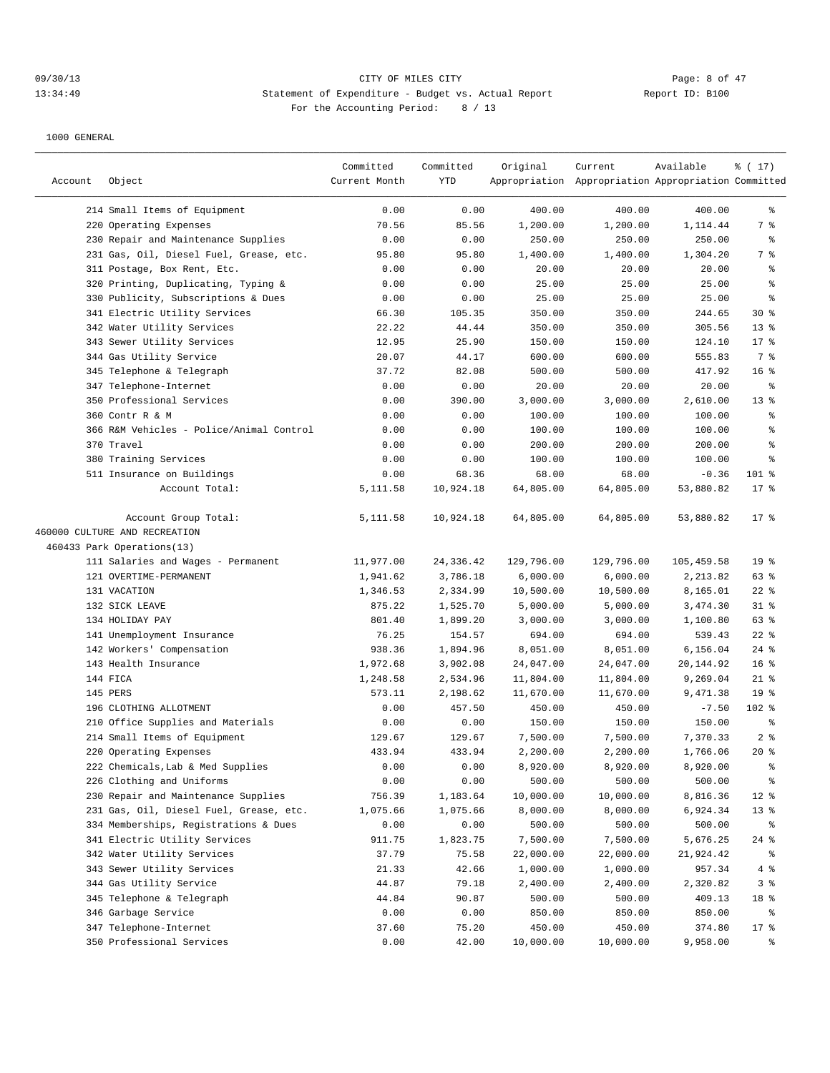## 09/30/13 Page: 8 of 47 13:34:49 Statement of Expenditure - Budget vs. Actual Report 1 11: B100 For the Accounting Period: 8 / 13

|         |                                          | Committed<br>Current Month | Committed<br>YTD | Original   | Current                                             | Available  | ៖ ( 17)         |
|---------|------------------------------------------|----------------------------|------------------|------------|-----------------------------------------------------|------------|-----------------|
| Account | Object                                   |                            |                  |            | Appropriation Appropriation Appropriation Committed |            |                 |
|         | 214 Small Items of Equipment             | 0.00                       | 0.00             | 400.00     | 400.00                                              | 400.00     | နွ              |
|         | 220 Operating Expenses                   | 70.56                      | 85.56            | 1,200.00   | 1,200.00                                            | 1,114.44   | 7 %             |
|         | 230 Repair and Maintenance Supplies      | 0.00                       | 0.00             | 250.00     | 250.00                                              | 250.00     | နွ              |
|         | 231 Gas, Oil, Diesel Fuel, Grease, etc.  | 95.80                      | 95.80            | 1,400.00   | 1,400.00                                            | 1,304.20   | 7 %             |
|         | 311 Postage, Box Rent, Etc.              | 0.00                       | 0.00             | 20.00      | 20.00                                               | 20.00      | ್ಠಿ             |
|         | 320 Printing, Duplicating, Typing &      | 0.00                       | 0.00             | 25.00      | 25.00                                               | 25.00      | ి               |
|         | 330 Publicity, Subscriptions & Dues      | 0.00                       | 0.00             | 25.00      | 25.00                                               | 25.00      | ి               |
|         | 341 Electric Utility Services            | 66.30                      | 105.35           | 350.00     | 350.00                                              | 244.65     | $30*$           |
|         | 342 Water Utility Services               | 22.22                      | 44.44            | 350.00     | 350.00                                              | 305.56     | 13 <sup>8</sup> |
|         | 343 Sewer Utility Services               | 12.95                      | 25.90            | 150.00     | 150.00                                              | 124.10     | $17$ %          |
|         | 344 Gas Utility Service                  | 20.07                      | 44.17            | 600.00     | 600.00                                              | 555.83     | 7 %             |
|         | 345 Telephone & Telegraph                | 37.72                      | 82.08            | 500.00     | 500.00                                              | 417.92     | 16 <sup>8</sup> |
|         | 347 Telephone-Internet                   | 0.00                       | 0.00             | 20.00      | 20.00                                               | 20.00      | ႜ               |
|         | 350 Professional Services                | 0.00                       | 390.00           | 3,000.00   | 3,000.00                                            | 2,610.00   | $13*$           |
|         | 360 Contr R & M                          | 0.00                       | 0.00             | 100.00     | 100.00                                              | 100.00     | န္              |
|         | 366 R&M Vehicles - Police/Animal Control | 0.00                       | 0.00             | 100.00     | 100.00                                              | 100.00     | ి               |
|         | 370 Travel                               | 0.00                       | 0.00             | 200.00     | 200.00                                              | 200.00     | ి               |
|         | 380 Training Services                    | 0.00                       | 0.00             | 100.00     | 100.00                                              | 100.00     | ႜ               |
|         | 511 Insurance on Buildings               | 0.00                       | 68.36            | 68.00      | 68.00                                               | $-0.36$    | 101 %           |
|         | Account Total:                           | 5,111.58                   | 10,924.18        | 64,805.00  | 64,805.00                                           | 53,880.82  | $17*$           |
|         | Account Group Total:                     | 5,111.58                   | 10,924.18        | 64,805.00  | 64,805.00                                           | 53,880.82  | $17*$           |
|         | 460000 CULTURE AND RECREATION            |                            |                  |            |                                                     |            |                 |
|         | 460433 Park Operations(13)               |                            |                  |            |                                                     |            |                 |
|         | 111 Salaries and Wages - Permanent       | 11,977.00                  | 24,336.42        | 129,796.00 | 129,796.00                                          | 105,459.58 | 19 <sup>°</sup> |
|         | 121 OVERTIME-PERMANENT                   | 1,941.62                   | 3,786.18         | 6,000.00   | 6,000.00                                            | 2,213.82   | 63 %            |
|         | 131 VACATION                             | 1,346.53                   | 2,334.99         | 10,500.00  | 10,500.00                                           | 8,165.01   | $22$ %          |
|         | 132 SICK LEAVE                           | 875.22                     | 1,525.70         | 5,000.00   | 5,000.00                                            | 3,474.30   | $31$ %          |
|         | 134 HOLIDAY PAY                          | 801.40                     | 1,899.20         | 3,000.00   | 3,000.00                                            | 1,100.80   | 63%             |
|         | 141 Unemployment Insurance               | 76.25                      | 154.57           | 694.00     | 694.00                                              | 539.43     | $22$ %          |
|         | 142 Workers' Compensation                | 938.36                     | 1,894.96         | 8,051.00   | 8,051.00                                            | 6,156.04   | $24$ %          |
|         | 143 Health Insurance                     | 1,972.68                   | 3,902.08         | 24,047.00  | 24,047.00                                           | 20,144.92  | 16 <sup>8</sup> |
|         | 144 FICA                                 | 1,248.58                   | 2,534.96         | 11,804.00  | 11,804.00                                           | 9,269.04   | $21$ %          |
|         | 145 PERS                                 | 573.11                     | 2,198.62         | 11,670.00  | 11,670.00                                           | 9,471.38   | 19 <sup>°</sup> |
|         | 196 CLOTHING ALLOTMENT                   | 0.00                       | 457.50           | 450.00     | 450.00                                              | $-7.50$    | 102 %           |
|         | 210 Office Supplies and Materials        | 0.00                       | 0.00             | 150.00     | 150.00                                              | 150.00     | ್ಠಿ             |
|         | 214 Small Items of Equipment             | 129.67                     | 129.67           | 7,500.00   | 7,500.00                                            | 7,370.33   | 2 <sup>8</sup>  |
|         | 220 Operating Expenses                   | 433.94                     | 433.94           | 2,200.00   | 2,200.00                                            | 1,766.06   | $20*$           |
|         | 222 Chemicals, Lab & Med Supplies        | 0.00                       | 0.00             | 8,920.00   | 8,920.00                                            | 8,920.00   | ိန              |
|         | 226 Clothing and Uniforms                | 0.00                       | 0.00             | 500.00     | 500.00                                              | 500.00     | ိင              |
|         | 230 Repair and Maintenance Supplies      | 756.39                     | 1,183.64         | 10,000.00  | 10,000.00                                           | 8,816.36   | $12$ %          |
|         | 231 Gas, Oil, Diesel Fuel, Grease, etc.  | 1,075.66                   | 1,075.66         | 8,000.00   | 8,000.00                                            | 6,924.34   | 13 <sup>°</sup> |
|         | 334 Memberships, Registrations & Dues    | 0.00                       | 0.00             | 500.00     | 500.00                                              | 500.00     | ႜ               |
|         | 341 Electric Utility Services            | 911.75                     | 1,823.75         | 7,500.00   | 7,500.00                                            | 5,676.25   | 24 %            |
|         | 342 Water Utility Services               | 37.79                      | 75.58            | 22,000.00  | 22,000.00                                           | 21,924.42  | ိ               |
|         | 343 Sewer Utility Services               | 21.33                      | 42.66            | 1,000.00   | 1,000.00                                            | 957.34     | 4 %             |
|         | 344 Gas Utility Service                  | 44.87                      | 79.18            | 2,400.00   | 2,400.00                                            | 2,320.82   | 3%              |
|         | 345 Telephone & Telegraph                | 44.84                      | 90.87            | 500.00     | 500.00                                              | 409.13     | 18 %            |
|         | 346 Garbage Service                      | 0.00                       | 0.00             | 850.00     | 850.00                                              | 850.00     | ိ               |
|         | 347 Telephone-Internet                   | 37.60                      | 75.20            | 450.00     | 450.00                                              | 374.80     | 17 <sub>8</sub> |
|         | 350 Professional Services                | 0.00                       | 42.00            | 10,000.00  | 10,000.00                                           | 9,958.00   | ွေ              |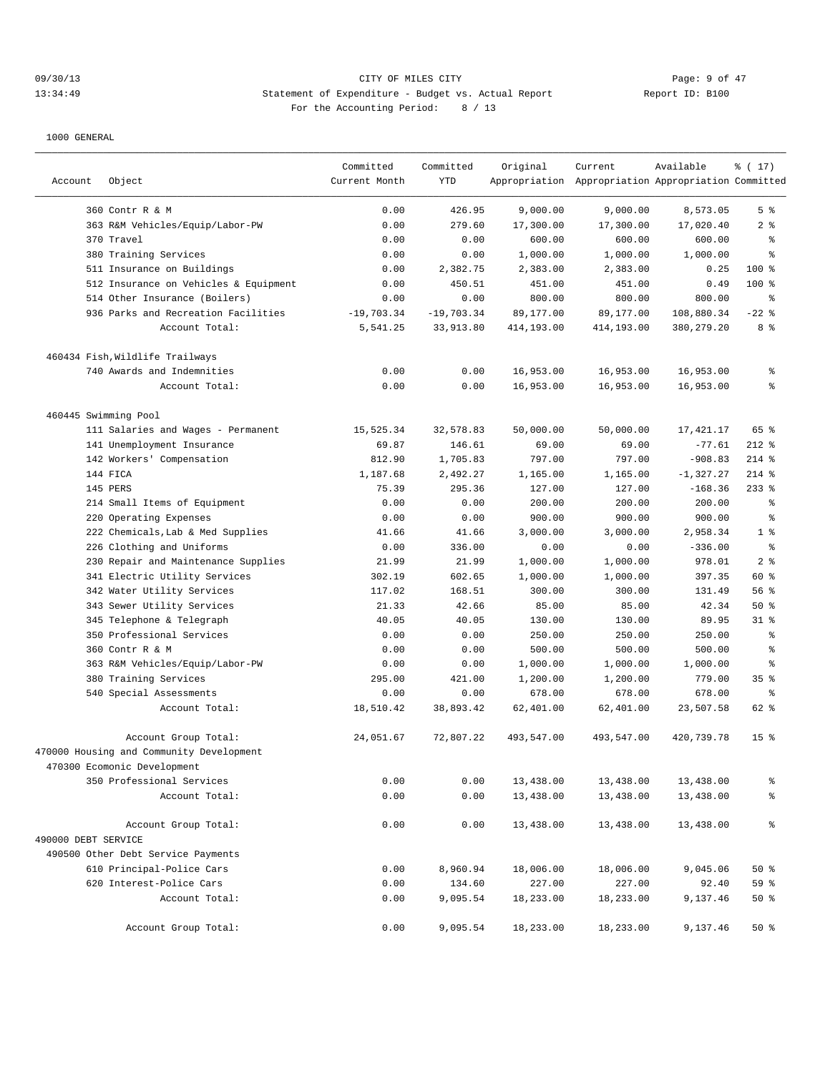## 09/30/13 Page: 9 of 47 13:34:49 Statement of Expenditure - Budget vs. Actual Report 1 11: B100 For the Accounting Period: 8 / 13

|                      |                                          | Committed     | Committed    | Original   | Current                                             | Available    | % (17)           |
|----------------------|------------------------------------------|---------------|--------------|------------|-----------------------------------------------------|--------------|------------------|
| Account              | Object                                   | Current Month | <b>YTD</b>   |            | Appropriation Appropriation Appropriation Committed |              |                  |
|                      | 360 Contr R & M                          | 0.00          | 426.95       | 9,000.00   | 9,000.00                                            | 8,573.05     | 5 <sup>°</sup>   |
|                      | 363 R&M Vehicles/Equip/Labor-PW          | 0.00          | 279.60       | 17,300.00  | 17,300.00                                           | 17,020.40    | 2 <sup>°</sup>   |
|                      | 370 Travel                               | 0.00          | 0.00         | 600.00     | 600.00                                              | 600.00       | ႜ                |
|                      | 380 Training Services                    | 0.00          | 0.00         | 1,000.00   | 1,000.00                                            | 1,000.00     | နွ               |
|                      | 511 Insurance on Buildings               | 0.00          | 2,382.75     | 2,383.00   | 2,383.00                                            | 0.25         | 100 %            |
|                      | 512 Insurance on Vehicles & Equipment    | 0.00          | 450.51       | 451.00     | 451.00                                              | 0.49         | $100$ %          |
|                      | 514 Other Insurance (Boilers)            | 0.00          | 0.00         | 800.00     | 800.00                                              | 800.00       | $\epsilon$       |
|                      | 936 Parks and Recreation Facilities      | $-19,703.34$  | $-19,703.34$ | 89,177.00  | 89,177.00                                           | 108,880.34   | $-22$ %          |
|                      | Account Total:                           | 5,541.25      | 33,913.80    | 414,193.00 | 414,193.00                                          | 380, 279. 20 | 8 %              |
|                      | 460434 Fish, Wildlife Trailways          |               |              |            |                                                     |              |                  |
|                      | 740 Awards and Indemnities               | 0.00          | 0.00         | 16,953.00  | 16,953.00                                           | 16,953.00    | နွ               |
|                      | Account Total:                           | 0.00          | 0.00         | 16,953.00  | 16,953.00                                           | 16,953.00    | ి                |
| 460445 Swimming Pool |                                          |               |              |            |                                                     |              |                  |
|                      | 111 Salaries and Wages - Permanent       | 15,525.34     | 32,578.83    | 50,000.00  | 50,000.00                                           | 17,421.17    | 65 %             |
|                      | 141 Unemployment Insurance               | 69.87         | 146.61       | 69.00      | 69.00                                               | $-77.61$     | $212$ %          |
|                      | 142 Workers' Compensation                | 812.90        | 1,705.83     | 797.00     | 797.00                                              | $-908.83$    | $214$ %          |
|                      | 144 FICA                                 | 1,187.68      | 2,492.27     | 1,165.00   | 1,165.00                                            | $-1,327.27$  | $214$ %          |
|                      | 145 PERS                                 | 75.39         | 295.36       | 127.00     | 127.00                                              | $-168.36$    | $233$ %          |
|                      | 214 Small Items of Equipment             | 0.00          | 0.00         | 200.00     | 200.00                                              | 200.00       | $\epsilon$       |
|                      | 220 Operating Expenses                   | 0.00          | 0.00         | 900.00     | 900.00                                              | 900.00       | နွ               |
|                      | 222 Chemicals, Lab & Med Supplies        | 41.66         | 41.66        | 3,000.00   | 3,000.00                                            | 2,958.34     | 1 <sup>°</sup>   |
|                      | 226 Clothing and Uniforms                | 0.00          | 336.00       | 0.00       | 0.00                                                | $-336.00$    | နွ               |
|                      | 230 Repair and Maintenance Supplies      | 21.99         | 21.99        | 1,000.00   | 1,000.00                                            | 978.01       | 2 <sup>°</sup>   |
|                      | 341 Electric Utility Services            | 302.19        | 602.65       | 1,000.00   | 1,000.00                                            | 397.35       | 60 %             |
|                      | 342 Water Utility Services               | 117.02        | 168.51       | 300.00     | 300.00                                              | 131.49       | 56 %             |
|                      | 343 Sewer Utility Services               | 21.33         | 42.66        | 85.00      | 85.00                                               | 42.34        | 50%              |
|                      | 345 Telephone & Telegraph                | 40.05         | 40.05        | 130.00     | 130.00                                              | 89.95        | $31$ %           |
|                      | 350 Professional Services                | 0.00          | 0.00         | 250.00     | 250.00                                              | 250.00       | နွ               |
|                      | 360 Contr R & M                          | 0.00          | 0.00         | 500.00     | 500.00                                              | 500.00       | ి                |
|                      | 363 R&M Vehicles/Equip/Labor-PW          | 0.00          | 0.00         | 1,000.00   | 1,000.00                                            | 1,000.00     | ి                |
|                      | 380 Training Services                    | 295.00        | 421.00       | 1,200.00   | 1,200.00                                            | 779.00       | 35%              |
|                      | 540 Special Assessments                  | 0.00          | 0.00         | 678.00     | 678.00                                              | 678.00       | နွ               |
|                      | Account Total:                           | 18,510.42     | 38,893.42    | 62,401.00  | 62,401.00                                           | 23,507.58    | 62 %             |
|                      | Account Group Total:                     | 24,051.67     | 72,807.22    | 493,547.00 | 493,547.00                                          | 420,739.78   | 15 <sup>°</sup>  |
|                      | 470000 Housing and Community Development |               |              |            |                                                     |              |                  |
|                      | 470300 Ecomonic Development              |               |              |            |                                                     |              |                  |
|                      | 350 Professional Services                | 0.00          | 0.00         | 13,438.00  | 13,438.00                                           | 13,438.00    | $\,{}^{\circ}\!$ |
|                      | Account Total:                           | 0.00          | 0.00         | 13,438.00  | 13,438.00                                           | 13,438.00    | န္               |
|                      | Account Group Total:                     | 0.00          | 0.00         | 13,438.00  | 13,438.00                                           | 13,438.00    | $\,{}^{\circ}\!$ |
| 490000 DEBT SERVICE  |                                          |               |              |            |                                                     |              |                  |
|                      | 490500 Other Debt Service Payments       |               |              |            |                                                     |              |                  |
|                      | 610 Principal-Police Cars                | 0.00          | 8,960.94     | 18,006.00  | 18,006.00                                           | 9,045.06     | 50%              |
|                      | 620 Interest-Police Cars                 | 0.00          | 134.60       | 227.00     | 227.00                                              | 92.40        | 59 %             |
|                      | Account Total:                           | 0.00          | 9,095.54     | 18,233.00  | 18,233.00                                           | 9,137.46     | 50%              |
|                      | Account Group Total:                     | 0.00          | 9,095.54     | 18,233.00  | 18,233.00                                           | 9,137.46     | 50%              |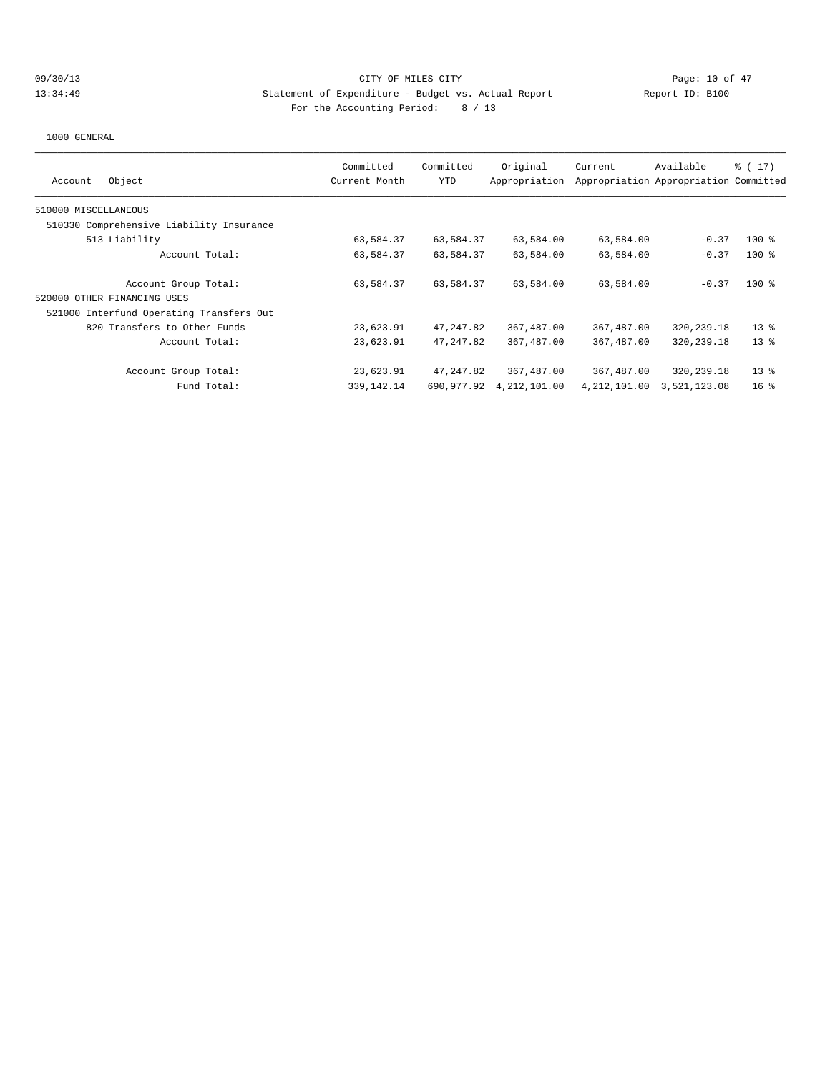## 09/30/13 Page: 10 of 47 13:34:49 Statement of Expenditure - Budget vs. Actual Report Changer Report ID: B100 For the Accounting Period: 8 / 13

| Object<br>Account                        | Committed<br>Current Month | Committed<br><b>YTD</b> | Original<br>Appropriation | Current        | Available<br>Appropriation Appropriation Committed | $\frac{1}{6}$ ( 17 ) |
|------------------------------------------|----------------------------|-------------------------|---------------------------|----------------|----------------------------------------------------|----------------------|
| 510000 MISCELLANEOUS                     |                            |                         |                           |                |                                                    |                      |
| 510330 Comprehensive Liability Insurance |                            |                         |                           |                |                                                    |                      |
| 513 Liability                            | 63,584.37                  | 63,584.37               | 63,584.00                 | 63,584.00      | $-0.37$                                            | $100$ %              |
| Account Total:                           | 63,584.37                  | 63,584.37               | 63,584.00                 | 63,584.00      | $-0.37$                                            | $100$ %              |
| Account Group Total:                     | 63,584.37                  | 63,584.37               | 63,584.00                 | 63,584.00      | $-0.37$                                            | $100$ %              |
| 520000 OTHER FINANCING USES              |                            |                         |                           |                |                                                    |                      |
| 521000 Interfund Operating Transfers Out |                            |                         |                           |                |                                                    |                      |
| 820 Transfers to Other Funds             | 23,623.91                  | 47, 247.82              | 367,487.00                | 367,487.00     | 320,239.18                                         | $13*$                |
| Account Total:                           | 23,623.91                  | 47, 247, 82             | 367, 487, 00              | 367,487.00     | 320,239.18                                         | $13*$                |
| Account Group Total:                     | 23,623.91                  | 47,247.82               | 367,487.00                | 367,487.00     | 320,239.18                                         | $13*$                |
| Fund Total:                              | 339, 142. 14               | 690,977.92              | 4, 212, 101.00            | 4, 212, 101.00 | 3,521,123.08                                       | 16 <sup>8</sup>      |
|                                          |                            |                         |                           |                |                                                    |                      |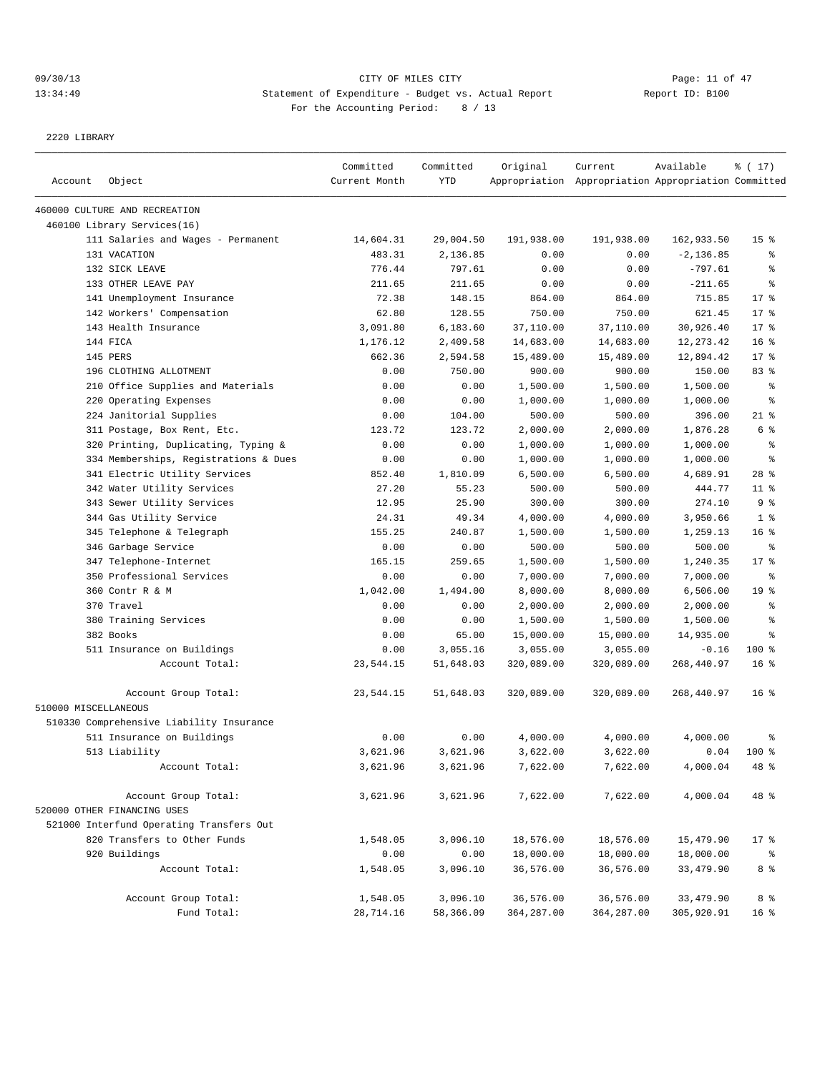## 09/30/13 Page: 11 of 47 13:34:49 Statement of Expenditure - Budget vs. Actual Report Changer Report ID: B100 For the Accounting Period: 8 / 13

2220 LIBRARY

| Account              | Object                                   | Committed<br>Current Month | Committed<br>YTD | Original    | Current<br>Appropriation Appropriation Appropriation Committed | Available    | % (17)          |
|----------------------|------------------------------------------|----------------------------|------------------|-------------|----------------------------------------------------------------|--------------|-----------------|
|                      |                                          |                            |                  |             |                                                                |              |                 |
|                      | 460000 CULTURE AND RECREATION            |                            |                  |             |                                                                |              |                 |
|                      | 460100 Library Services(16)              |                            |                  |             |                                                                |              |                 |
|                      | 111 Salaries and Wages - Permanent       | 14,604.31                  | 29,004.50        | 191,938.00  | 191,938.00                                                     | 162,933.50   | 15 <sup>°</sup> |
|                      | 131 VACATION                             | 483.31                     | 2,136.85         | 0.00        | 0.00                                                           | $-2, 136.85$ | န္              |
|                      | 132 SICK LEAVE                           | 776.44                     | 797.61           | 0.00        | 0.00                                                           | $-797.61$    | ి               |
|                      | 133 OTHER LEAVE PAY                      | 211.65                     | 211.65           | 0.00        | 0.00                                                           | $-211.65$    | ి               |
|                      | 141 Unemployment Insurance               | 72.38                      | 148.15           | 864.00      | 864.00                                                         | 715.85       | $17*$           |
|                      | 142 Workers' Compensation                | 62.80                      | 128.55           | 750.00      | 750.00                                                         | 621.45       | 17.8            |
|                      | 143 Health Insurance                     | 3,091.80                   | 6,183.60         | 37,110.00   | 37,110.00                                                      | 30,926.40    | 17.8            |
|                      | 144 FICA                                 | 1,176.12                   | 2,409.58         | 14,683.00   | 14,683.00                                                      | 12,273.42    | 16 <sup>8</sup> |
|                      | 145 PERS                                 | 662.36                     | 2,594.58         | 15,489.00   | 15,489.00                                                      | 12,894.42    | $17*$           |
|                      | 196 CLOTHING ALLOTMENT                   | 0.00                       | 750.00           | 900.00      | 900.00                                                         | 150.00       | 83%             |
|                      | 210 Office Supplies and Materials        | 0.00                       | 0.00             | 1,500.00    | 1,500.00                                                       | 1,500.00     | ႜ               |
|                      | 220 Operating Expenses                   | 0.00                       | 0.00             | 1,000.00    | 1,000.00                                                       | 1,000.00     | နွ              |
|                      | 224 Janitorial Supplies                  | 0.00                       | 104.00           | 500.00      | 500.00                                                         | 396.00       | $21$ %          |
|                      | 311 Postage, Box Rent, Etc.              | 123.72                     | 123.72           | 2,000.00    | 2,000.00                                                       | 1,876.28     | 6 %             |
|                      | 320 Printing, Duplicating, Typing &      | 0.00                       | 0.00             | 1,000.00    | 1,000.00                                                       | 1,000.00     | ి               |
|                      | 334 Memberships, Registrations & Dues    | 0.00                       | 0.00             | 1,000.00    | 1,000.00                                                       | 1,000.00     | ి               |
|                      | 341 Electric Utility Services            | 852.40                     | 1,810.09         | 6,500.00    | 6,500.00                                                       | 4,689.91     | $28$ %          |
|                      | 342 Water Utility Services               | 27.20                      | 55.23            | 500.00      | 500.00                                                         | 444.77       | $11$ %          |
|                      | 343 Sewer Utility Services               | 12.95                      | 25.90            | 300.00      | 300.00                                                         | 274.10       | 9%              |
|                      | 344 Gas Utility Service                  | 24.31                      | 49.34            | 4,000.00    | 4,000.00                                                       | 3,950.66     | 1 <sup>°</sup>  |
|                      | 345 Telephone & Telegraph                | 155.25                     | 240.87           | 1,500.00    | 1,500.00                                                       | 1,259.13     | 16 <sup>8</sup> |
|                      | 346 Garbage Service                      | 0.00                       | 0.00             | 500.00      | 500.00                                                         | 500.00       | $\epsilon$      |
|                      | 347 Telephone-Internet                   | 165.15                     | 259.65           | 1,500.00    | 1,500.00                                                       | 1,240.35     | 17.8            |
|                      | 350 Professional Services                | 0.00                       | 0.00             | 7,000.00    | 7,000.00                                                       | 7,000.00     | န္              |
|                      | 360 Contr R & M                          | 1,042.00                   | 1,494.00         | 8,000.00    | 8,000.00                                                       | 6,506.00     | 19 <sup>°</sup> |
|                      | 370 Travel                               | 0.00                       | 0.00             | 2,000.00    | 2,000.00                                                       | 2,000.00     | ႜ               |
|                      | 380 Training Services                    | 0.00                       | 0.00             | 1,500.00    | 1,500.00                                                       | 1,500.00     | န့              |
|                      | 382 Books                                | 0.00                       | 65.00            | 15,000.00   | 15,000.00                                                      | 14,935.00    | ి               |
|                      | 511 Insurance on Buildings               | 0.00                       | 3,055.16         | 3,055.00    | 3,055.00                                                       | $-0.16$      | $100$ %         |
|                      | Account Total:                           | 23,544.15                  | 51,648.03        | 320,089.00  | 320,089.00                                                     | 268,440.97   | 16 <sup>8</sup> |
|                      | Account Group Total:                     | 23,544.15                  | 51,648.03        | 320,089.00  | 320,089.00                                                     | 268,440.97   | 16 <sup>8</sup> |
| 510000 MISCELLANEOUS |                                          |                            |                  |             |                                                                |              |                 |
|                      | 510330 Comprehensive Liability Insurance |                            |                  |             |                                                                |              |                 |
|                      | 511 Insurance on Buildings               | 0.00                       | 0.00             | 4,000.00    | 4,000.00                                                       | 4,000.00     | ႜ               |
|                      | 513 Liability                            | 3,621.96                   | 3,621.96         | 3,622.00    | 3,622.00                                                       | 0.04         | $100$ %         |
|                      | Account Total:                           | 3,621.96                   | 3,621.96         | 7,622.00    | 7,622.00                                                       | 4,000.04     | 48 %            |
|                      | Account Group Total:                     | 3,621.96                   | 3,621.96         | 7,622.00    | 7,622.00                                                       | 4,000.04     | 48 %            |
|                      | 520000 OTHER FINANCING USES              |                            |                  |             |                                                                |              |                 |
|                      | 521000 Interfund Operating Transfers Out |                            |                  |             |                                                                |              |                 |
|                      | 820 Transfers to Other Funds             | 1,548.05                   | 3,096.10         | 18,576.00   | 18,576.00                                                      | 15,479.90    | $17*$           |
|                      | 920 Buildings                            | 0.00                       | 0.00             | 18,000.00   | 18,000.00                                                      | 18,000.00    | ိ               |
|                      | Account Total:                           | 1,548.05                   | 3,096.10         | 36,576.00   | 36,576.00                                                      | 33, 479.90   | 8 %             |
|                      | Account Group Total:                     | 1,548.05                   | 3,096.10         | 36,576.00   | 36,576.00                                                      | 33,479.90    | 8 %             |
|                      | Fund Total:                              | 28,714.16                  | 58,366.09        | 364, 287.00 | 364, 287.00                                                    | 305,920.91   | 16 <sup>°</sup> |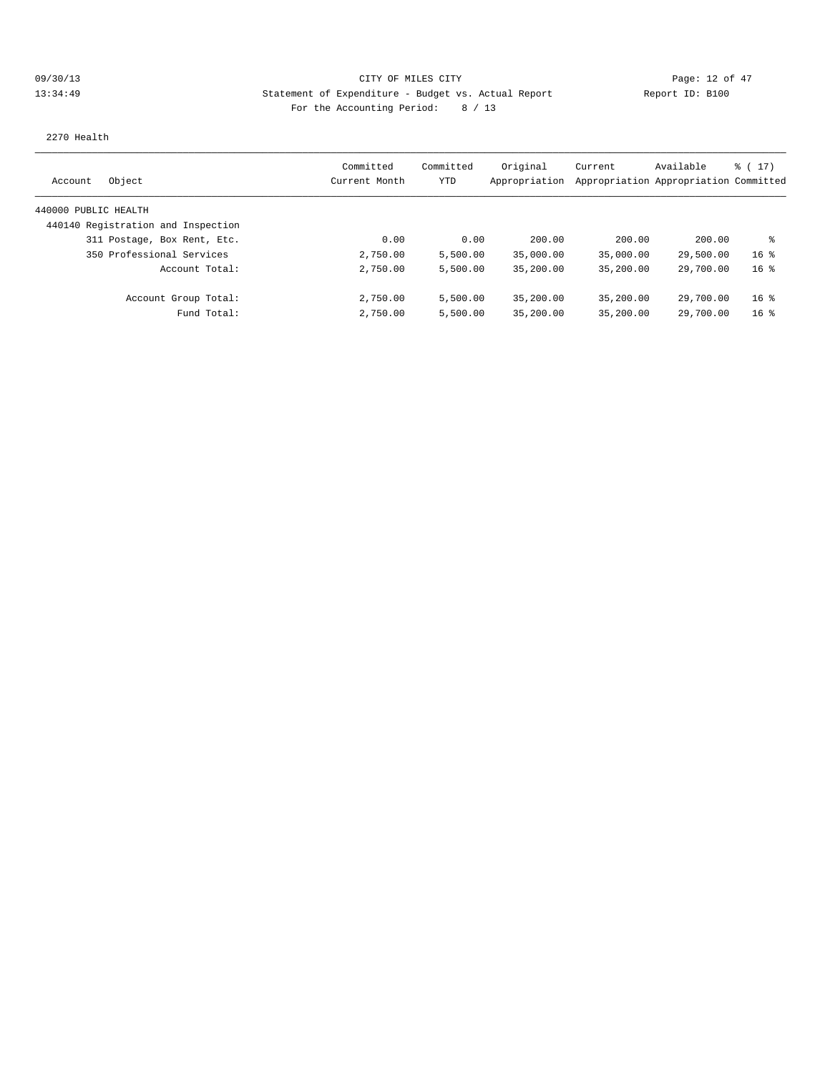## 09/30/13 Page: 12 of 47 13:34:49 Statement of Expenditure - Budget vs. Actual Report Changery Report ID: B100 For the Accounting Period: 8 / 13

2270 Health

| Object<br>Account                  | Committed<br>Current Month | Committed<br>YTD | Original<br>Appropriation | Current   | Available<br>Appropriation Appropriation Committed | $\frac{1}{2}$ (17) |
|------------------------------------|----------------------------|------------------|---------------------------|-----------|----------------------------------------------------|--------------------|
| 440000 PUBLIC HEALTH               |                            |                  |                           |           |                                                    |                    |
| 440140 Registration and Inspection |                            |                  |                           |           |                                                    |                    |
| 311 Postage, Box Rent, Etc.        | 0.00                       | 0.00             | 200.00                    | 200.00    | 200.00                                             | ៖                  |
| 350 Professional Services          | 2,750.00                   | 5,500.00         | 35,000.00                 | 35,000.00 | 29,500.00                                          | 16 <sup>8</sup>    |
| Account Total:                     | 2,750.00                   | 5,500.00         | 35,200.00                 | 35,200.00 | 29,700.00                                          | 16 <sup>8</sup>    |
| Account Group Total:               | 2,750.00                   | 5,500.00         | 35,200.00                 | 35,200.00 | 29,700.00                                          | 16 <sup>8</sup>    |
| Fund Total:                        | 2,750.00                   | 5,500.00         | 35,200.00                 | 35,200.00 | 29,700.00                                          | 16 <sup>8</sup>    |
|                                    |                            |                  |                           |           |                                                    |                    |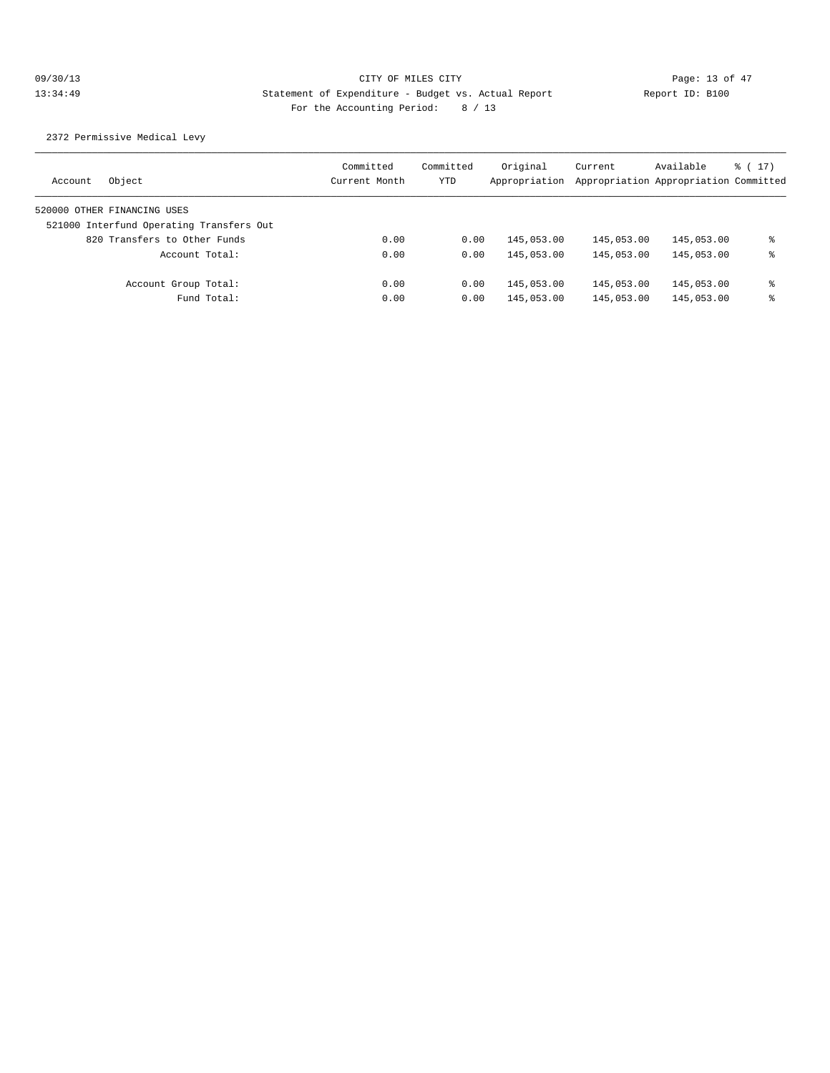2372 Permissive Medical Levy

| Object<br>Account                        | Committed<br>Current Month | Committed<br>YTD | Original<br>Appropriation | Current    | Available<br>Appropriation Appropriation Committed | $\frac{1}{6}$ (17) |
|------------------------------------------|----------------------------|------------------|---------------------------|------------|----------------------------------------------------|--------------------|
| 520000 OTHER FINANCING USES              |                            |                  |                           |            |                                                    |                    |
| 521000 Interfund Operating Transfers Out |                            |                  |                           |            |                                                    |                    |
| 820 Transfers to Other Funds             | 0.00                       | 0.00             | 145,053.00                | 145,053.00 | 145,053.00                                         | ႜ                  |
| Account Total:                           | 0.00                       | 0.00             | 145,053.00                | 145,053.00 | 145,053.00                                         | ႜ                  |
| Account Group Total:                     | 0.00                       | 0.00             | 145,053.00                | 145,053.00 | 145,053.00                                         | ႜ                  |
| Fund Total:                              | 0.00                       | 0.00             | 145,053.00                | 145,053.00 | 145,053.00                                         | ႜ                  |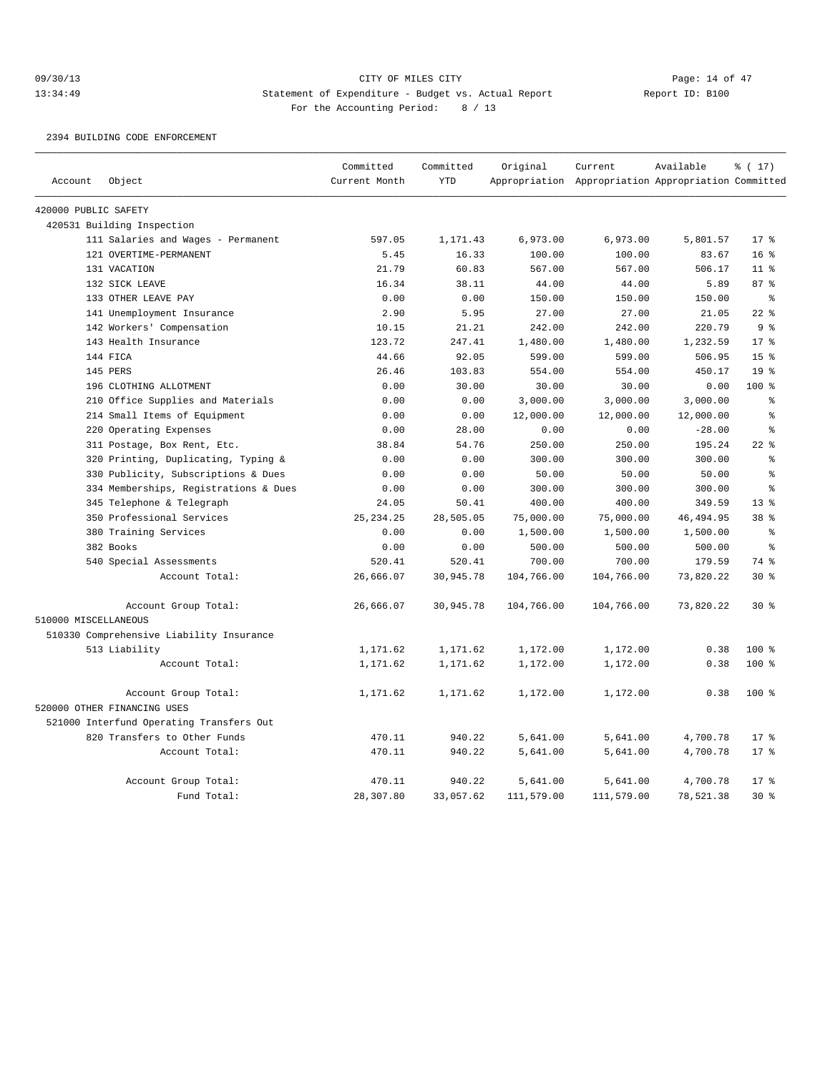## 09/30/13 Page: 14 of 47 13:34:49 Statement of Expenditure - Budget vs. Actual Report Changer Report ID: B100 For the Accounting Period: 8 / 13

2394 BUILDING CODE ENFORCEMENT

|                      |                                          | Committed     | Committed  | Original   | Current                                             | Available  | % (17)           |
|----------------------|------------------------------------------|---------------|------------|------------|-----------------------------------------------------|------------|------------------|
| Account              | Object                                   | Current Month | <b>YTD</b> |            | Appropriation Appropriation Appropriation Committed |            |                  |
| 420000 PUBLIC SAFETY |                                          |               |            |            |                                                     |            |                  |
|                      | 420531 Building Inspection               |               |            |            |                                                     |            |                  |
|                      | 111 Salaries and Wages - Permanent       | 597.05        | 1,171.43   | 6,973.00   | 6,973.00                                            | 5,801.57   | $17*$            |
|                      | 121 OVERTIME-PERMANENT                   | 5.45          | 16.33      | 100.00     | 100.00                                              | 83.67      | 16 <sup>8</sup>  |
|                      | 131 VACATION                             | 21.79         | 60.83      | 567.00     | 567.00                                              | 506.17     | $11$ %           |
|                      | 132 SICK LEAVE                           | 16.34         | 38.11      | 44.00      | 44.00                                               | 5.89       | 87%              |
|                      | 133 OTHER LEAVE PAY                      | 0.00          | 0.00       | 150.00     | 150.00                                              | 150.00     | နွ               |
|                      | 141 Unemployment Insurance               | 2.90          | 5.95       | 27.00      | 27.00                                               | 21.05      | $22$ %           |
|                      | 142 Workers' Compensation                | 10.15         | 21.21      | 242.00     | 242.00                                              | 220.79     | 9 <sup>8</sup>   |
|                      | 143 Health Insurance                     | 123.72        | 247.41     | 1,480.00   | 1,480.00                                            | 1,232.59   | 17 <sup>8</sup>  |
|                      | 144 FICA                                 | 44.66         | 92.05      | 599.00     | 599.00                                              | 506.95     | 15 <sup>°</sup>  |
|                      | 145 PERS                                 | 26.46         | 103.83     | 554.00     | 554.00                                              | 450.17     | 19 <sup>8</sup>  |
|                      | 196 CLOTHING ALLOTMENT                   | 0.00          | 30.00      | 30.00      | 30.00                                               | 0.00       | 100%             |
|                      | 210 Office Supplies and Materials        | 0.00          | 0.00       | 3,000.00   | 3,000.00                                            | 3,000.00   | နွ               |
|                      | 214 Small Items of Equipment             | 0.00          | 0.00       | 12,000.00  | 12,000.00                                           | 12,000.00  | န္               |
|                      | 220 Operating Expenses                   | 0.00          | 28.00      | 0.00       | 0.00                                                | $-28.00$   | š                |
|                      | 311 Postage, Box Rent, Etc.              | 38.84         | 54.76      | 250.00     | 250.00                                              | 195.24     | $22$ $%$         |
|                      | 320 Printing, Duplicating, Typing &      | 0.00          | 0.00       | 300.00     | 300.00                                              | 300.00     | ៖                |
|                      | 330 Publicity, Subscriptions & Dues      | 0.00          | 0.00       | 50.00      | 50.00                                               | 50.00      | ٥Ŗ               |
|                      | 334 Memberships, Registrations & Dues    | 0.00          | 0.00       | 300.00     | 300.00                                              | 300.00     | ٥,               |
|                      | 345 Telephone & Telegraph                | 24.05         | 50.41      | 400.00     | 400.00                                              | 349.59     | 13 <sup>8</sup>  |
|                      | 350 Professional Services                | 25, 234. 25   | 28,505.05  | 75,000.00  | 75,000.00                                           | 46, 494.95 | 38 <sup>8</sup>  |
|                      | 380 Training Services                    | 0.00          | 0.00       | 1,500.00   | 1,500.00                                            | 1,500.00   | နွ               |
|                      | 382 Books                                | 0.00          | 0.00       | 500.00     | 500.00                                              | 500.00     | ៖                |
|                      | 540 Special Assessments                  | 520.41        | 520.41     | 700.00     | 700.00                                              | 179.59     | 74 %             |
|                      | Account Total:                           | 26,666.07     | 30,945.78  | 104,766.00 | 104,766.00                                          | 73,820.22  | $30*$            |
|                      | Account Group Total:                     | 26,666.07     | 30,945.78  | 104,766.00 | 104,766.00                                          | 73,820.22  | $30*$            |
| 510000 MISCELLANEOUS |                                          |               |            |            |                                                     |            |                  |
|                      | 510330 Comprehensive Liability Insurance |               |            |            |                                                     |            |                  |
|                      | 513 Liability                            | 1,171.62      | 1,171.62   | 1,172.00   | 1,172.00                                            | 0.38       | 100 %            |
|                      | Account Total:                           | 1,171.62      | 1,171.62   | 1,172.00   | 1,172.00                                            | 0.38       | 100 <sub>8</sub> |
|                      | Account Group Total:                     | 1,171.62      | 1,171.62   | 1,172.00   | 1,172.00                                            | 0.38       | 100 %            |
|                      | 520000 OTHER FINANCING USES              |               |            |            |                                                     |            |                  |
|                      | 521000 Interfund Operating Transfers Out |               |            |            |                                                     |            |                  |
|                      | 820 Transfers to Other Funds             | 470.11        | 940.22     | 5,641.00   | 5,641.00                                            | 4,700.78   | 17.8             |
|                      | Account Total:                           | 470.11        | 940.22     | 5,641.00   | 5,641.00                                            | 4,700.78   | $17*$            |
|                      | Account Group Total:                     | 470.11        | 940.22     | 5,641.00   | 5,641.00                                            | 4,700.78   | $17*$            |
|                      | Fund Total:                              | 28,307.80     | 33,057.62  | 111,579.00 | 111,579.00                                          | 78,521.38  | $30*$            |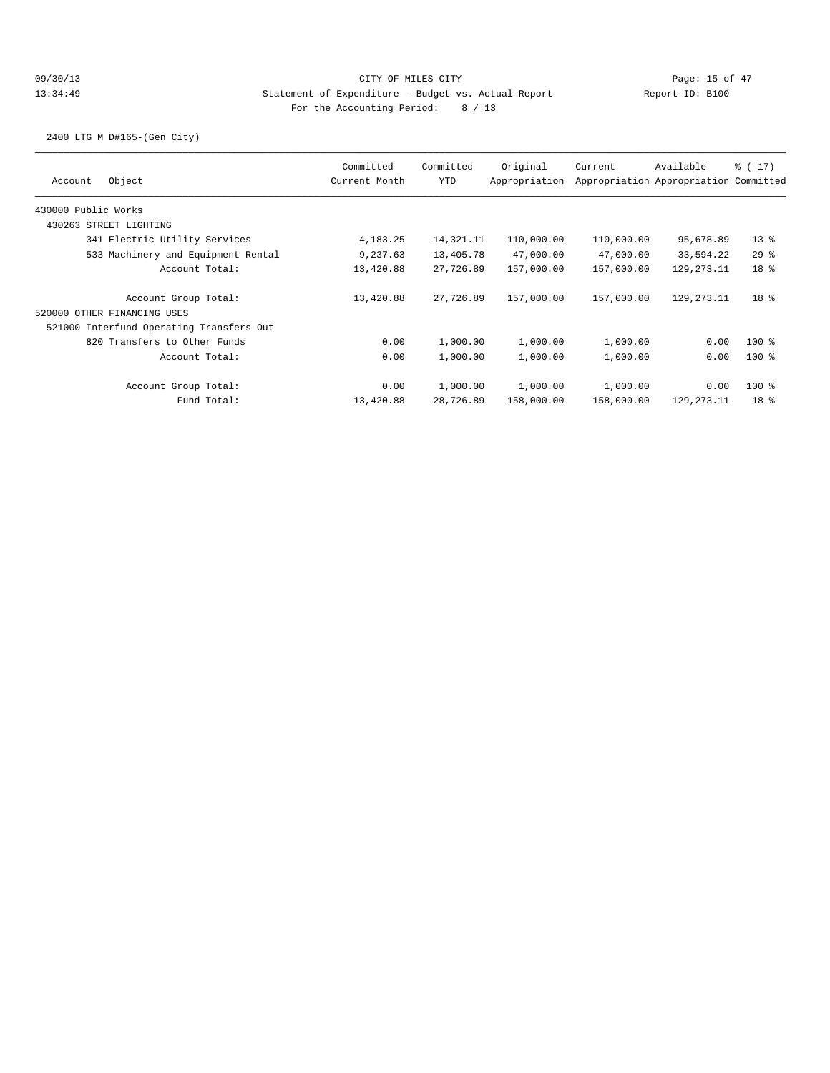2400 LTG M D#165-(Gen City)

| Object<br>Account                        | Committed<br>Current Month | Committed<br><b>YTD</b> | Original<br>Appropriation | Current    | Available<br>Appropriation Appropriation Committed | $\frac{1}{6}$ ( 17 ) |
|------------------------------------------|----------------------------|-------------------------|---------------------------|------------|----------------------------------------------------|----------------------|
| 430000 Public Works                      |                            |                         |                           |            |                                                    |                      |
| 430263 STREET LIGHTING                   |                            |                         |                           |            |                                                    |                      |
| 341 Electric Utility Services            | 4, 183. 25                 | 14,321.11               | 110,000.00                | 110,000.00 | 95,678.89                                          | $13*$                |
| 533 Machinery and Equipment Rental       | 9,237.63                   | 13,405.78               | 47,000.00                 | 47,000.00  | 33,594.22                                          | $29$ %               |
| Account Total:                           | 13,420.88                  | 27,726.89               | 157,000.00                | 157,000.00 | 129, 273. 11                                       | 18 <sup>8</sup>      |
| Account Group Total:                     | 13,420.88                  | 27,726.89               | 157,000.00                | 157,000.00 | 129, 273. 11                                       | 18 <sup>8</sup>      |
| 520000 OTHER FINANCING USES              |                            |                         |                           |            |                                                    |                      |
| 521000 Interfund Operating Transfers Out |                            |                         |                           |            |                                                    |                      |
| 820 Transfers to Other Funds             | 0.00                       | 1,000.00                | 1,000.00                  | 1,000.00   | 0.00                                               | $100$ %              |
| Account Total:                           | 0.00                       | 1,000.00                | 1,000.00                  | 1,000.00   | 0.00                                               | $100$ %              |
| Account Group Total:                     | 0.00                       | 1,000.00                | 1,000.00                  | 1,000.00   | 0.00                                               | $100$ %              |
| Fund Total:                              | 13,420.88                  | 28,726.89               | 158,000.00                | 158,000.00 | 129,273.11                                         | 18 <sup>8</sup>      |
|                                          |                            |                         |                           |            |                                                    |                      |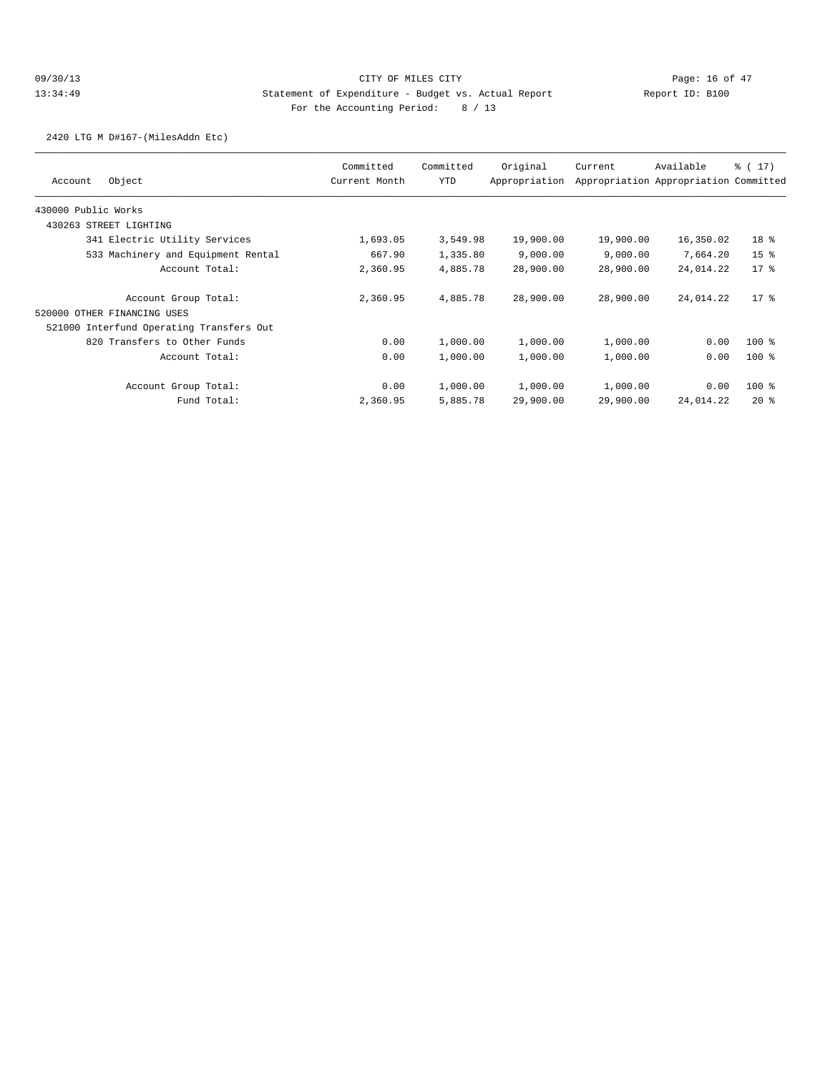2420 LTG M D#167-(MilesAddn Etc)

| Object<br>Account                        | Committed<br>Current Month | Committed<br><b>YTD</b> | Original<br>Appropriation | Current   | Available<br>Appropriation Appropriation Committed | $\frac{1}{6}$ ( 17) |
|------------------------------------------|----------------------------|-------------------------|---------------------------|-----------|----------------------------------------------------|---------------------|
|                                          |                            |                         |                           |           |                                                    |                     |
| 430000 Public Works                      |                            |                         |                           |           |                                                    |                     |
| 430263 STREET LIGHTING                   |                            |                         |                           |           |                                                    |                     |
| 341 Electric Utility Services            | 1,693.05                   | 3,549.98                | 19,900.00                 | 19,900.00 | 16,350.02                                          | 18 <sup>8</sup>     |
| 533 Machinery and Equipment Rental       | 667.90                     | 1,335.80                | 9,000.00                  | 9,000.00  | 7,664.20                                           | 15 <sup>8</sup>     |
| Account Total:                           | 2,360.95                   | 4,885.78                | 28,900.00                 | 28,900.00 | 24,014.22                                          | $17*$               |
| Account Group Total:                     | 2,360.95                   | 4,885.78                | 28,900.00                 | 28,900.00 | 24,014.22                                          | $17*$               |
| 520000 OTHER FINANCING USES              |                            |                         |                           |           |                                                    |                     |
| 521000 Interfund Operating Transfers Out |                            |                         |                           |           |                                                    |                     |
| 820 Transfers to Other Funds             | 0.00                       | 1,000.00                | 1,000.00                  | 1,000.00  | 0.00                                               | $100$ %             |
| Account Total:                           | 0.00                       | 1,000.00                | 1,000.00                  | 1,000.00  | 0.00                                               | $100$ %             |
| Account Group Total:                     | 0.00                       | 1,000.00                | 1,000.00                  | 1,000.00  | 0.00                                               | $100$ %             |
| Fund Total:                              | 2,360.95                   | 5,885.78                | 29,900.00                 | 29,900.00 | 24,014.22                                          | $20*$               |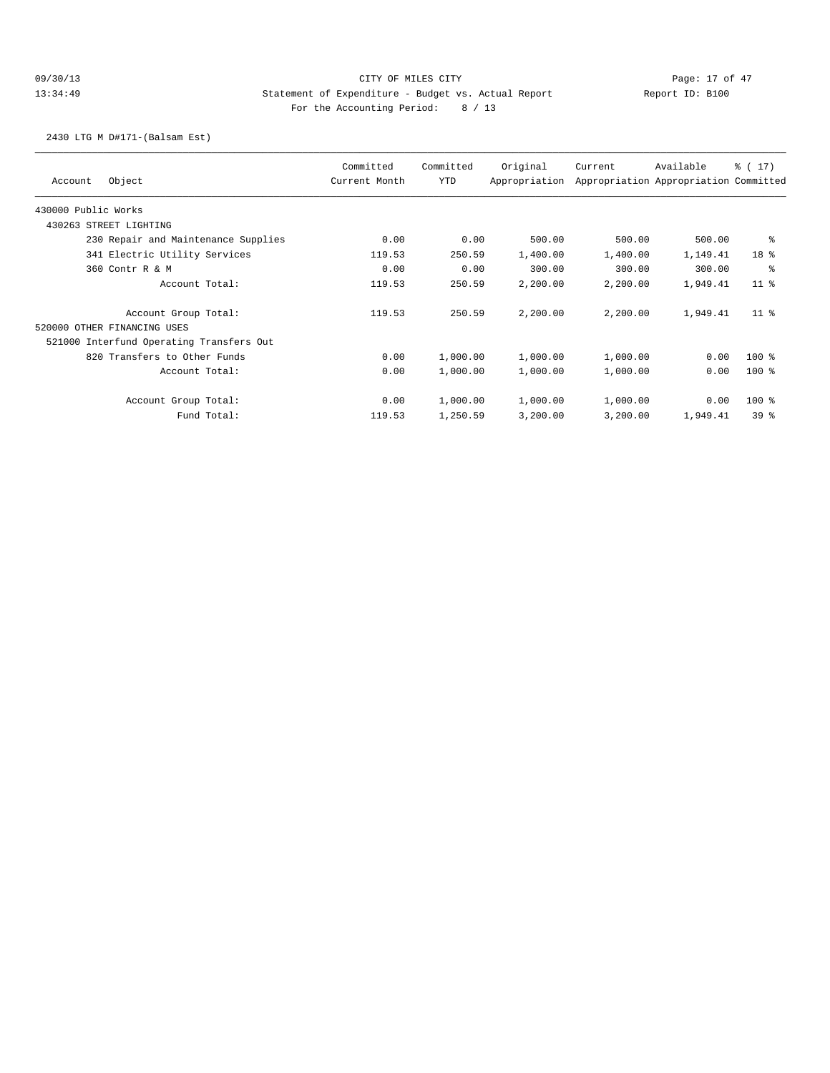## 09/30/13 Page: 17 of 47 13:34:49 Statement of Expenditure - Budget vs. Actual Report Changery Report ID: B100 For the Accounting Period: 8 / 13

2430 LTG M D#171-(Balsam Est)

| Object<br>Account                        | Committed<br>Current Month | Committed<br>YTD | Original<br>Appropriation | Current  | Available<br>Appropriation Appropriation Committed | % (17)          |
|------------------------------------------|----------------------------|------------------|---------------------------|----------|----------------------------------------------------|-----------------|
| 430000 Public Works                      |                            |                  |                           |          |                                                    |                 |
| 430263 STREET LIGHTING                   |                            |                  |                           |          |                                                    |                 |
| 230 Repair and Maintenance Supplies      | 0.00                       | 0.00             | 500.00                    | 500.00   | 500.00                                             | ႜ               |
| 341 Electric Utility Services            | 119.53                     | 250.59           | 1,400.00                  | 1,400.00 | 1,149.41                                           | 18 <sup>°</sup> |
| 360 Contr R & M                          | 0.00                       | 0.00             | 300.00                    | 300.00   | 300.00                                             | န္              |
| Account Total:                           | 119.53                     | 250.59           | 2,200.00                  | 2,200.00 | 1,949.41                                           | 11 <sup>°</sup> |
| Account Group Total:                     | 119.53                     | 250.59           | 2,200.00                  | 2,200.00 | 1,949.41                                           | $11$ %          |
| 520000 OTHER FINANCING USES              |                            |                  |                           |          |                                                    |                 |
| 521000 Interfund Operating Transfers Out |                            |                  |                           |          |                                                    |                 |
| 820 Transfers to Other Funds             | 0.00                       | 1,000.00         | 1,000.00                  | 1,000.00 | 0.00                                               | 100 %           |
| Account Total:                           | 0.00                       | 1,000.00         | 1,000.00                  | 1,000.00 | 0.00                                               | $100$ %         |
| Account Group Total:                     | 0.00                       | 1,000.00         | 1,000.00                  | 1,000.00 | 0.00                                               | 100 %           |
| Fund Total:                              | 119.53                     | 1,250.59         | 3,200.00                  | 3,200.00 | 1,949.41                                           | 39 <sup>8</sup> |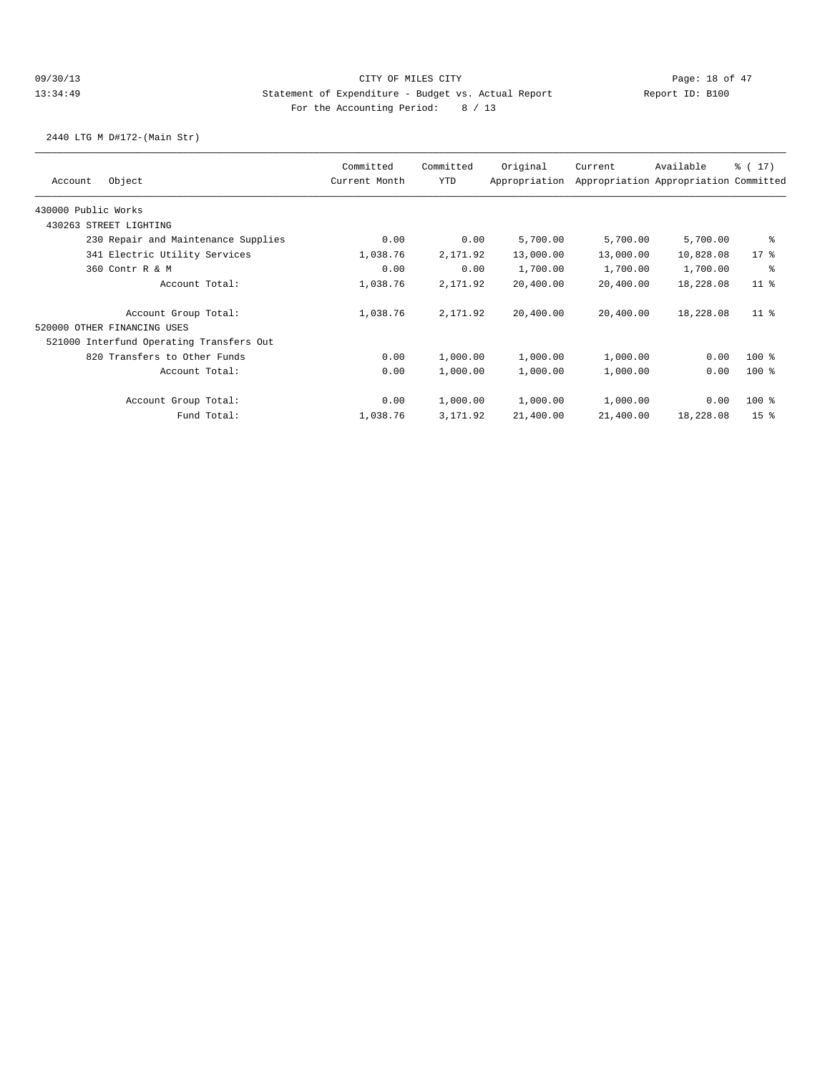2440 LTG M D#172-(Main Str)

| Object<br>Account                        | Committed<br>Current Month | Committed<br>YTD | Original<br>Appropriation | Current   | Available<br>Appropriation Appropriation Committed | $\frac{1}{6}$ ( 17) |
|------------------------------------------|----------------------------|------------------|---------------------------|-----------|----------------------------------------------------|---------------------|
| 430000 Public Works                      |                            |                  |                           |           |                                                    |                     |
| 430263 STREET LIGHTING                   |                            |                  |                           |           |                                                    |                     |
| 230 Repair and Maintenance Supplies      | 0.00                       | 0.00             | 5,700.00                  | 5,700.00  | 5,700.00                                           | နွ                  |
| 341 Electric Utility Services            | 1,038.76                   | 2,171.92         | 13,000.00                 | 13,000.00 | 10,828.08                                          | $17*$               |
| 360 Contr R & M                          | 0.00                       | 0.00             | 1,700.00                  | 1,700.00  | 1,700.00                                           | နွ                  |
| Account Total:                           | 1,038.76                   | 2,171.92         | 20,400.00                 | 20,400.00 | 18,228.08                                          | 11 <sup>°</sup>     |
| Account Group Total:                     | 1,038.76                   | 2,171.92         | 20,400.00                 | 20,400.00 | 18,228.08                                          | 11 <sup>8</sup>     |
| 520000 OTHER FINANCING USES              |                            |                  |                           |           |                                                    |                     |
| 521000 Interfund Operating Transfers Out |                            |                  |                           |           |                                                    |                     |
| 820 Transfers to Other Funds             | 0.00                       | 1,000.00         | 1,000.00                  | 1,000.00  | 0.00                                               | $100$ %             |
| Account Total:                           | 0.00                       | 1,000.00         | 1,000.00                  | 1,000.00  | 0.00                                               | $100$ %             |
| Account Group Total:                     | 0.00                       | 1,000.00         | 1,000.00                  | 1,000.00  | 0.00                                               | $100$ %             |
| Fund Total:                              | 1,038.76                   | 3, 171.92        | 21,400.00                 | 21,400.00 | 18,228.08                                          | 15 <sup>8</sup>     |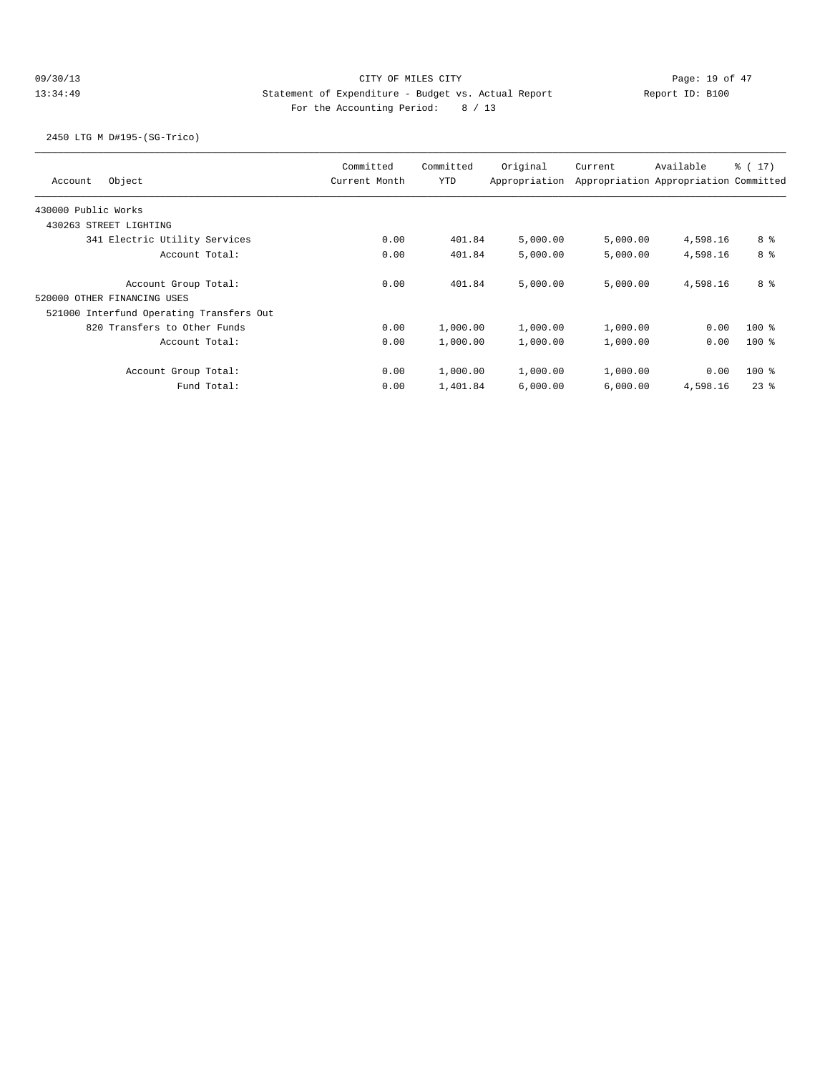## 09/30/13 Page: 19 of 47 13:34:49 Statement of Expenditure - Budget vs. Actual Report Changer Report ID: B100 For the Accounting Period: 8 / 13

2450 LTG M D#195-(SG-Trico)

| Object<br>Account                        | Committed<br>Current Month | Committed<br><b>YTD</b> | Original<br>Appropriation | Current  | Available<br>Appropriation Appropriation Committed | $\frac{1}{6}$ ( 17 ) |
|------------------------------------------|----------------------------|-------------------------|---------------------------|----------|----------------------------------------------------|----------------------|
| 430000 Public Works                      |                            |                         |                           |          |                                                    |                      |
| 430263 STREET LIGHTING                   |                            |                         |                           |          |                                                    |                      |
| 341 Electric Utility Services            | 0.00                       | 401.84                  | 5,000.00                  | 5,000.00 | 4,598.16                                           | 8 %                  |
| Account Total:                           | 0.00                       | 401.84                  | 5,000.00                  | 5,000.00 | 4,598.16                                           | 8 <sup>8</sup>       |
| Account Group Total:                     | 0.00                       | 401.84                  | 5,000.00                  | 5.000.00 | 4,598.16                                           | 8 %                  |
| 520000 OTHER FINANCING USES              |                            |                         |                           |          |                                                    |                      |
| 521000 Interfund Operating Transfers Out |                            |                         |                           |          |                                                    |                      |
| 820 Transfers to Other Funds             | 0.00                       | 1,000.00                | 1,000.00                  | 1,000.00 | 0.00                                               | $100*$               |
| Account Total:                           | 0.00                       | 1,000.00                | 1,000.00                  | 1,000.00 | 0.00                                               | $100$ %              |
| Account Group Total:                     | 0.00                       | 1,000.00                | 1,000.00                  | 1,000.00 | 0.00                                               | $100$ %              |
| Fund Total:                              | 0.00                       | 1,401.84                | 6,000.00                  | 6,000.00 | 4,598.16                                           | 238                  |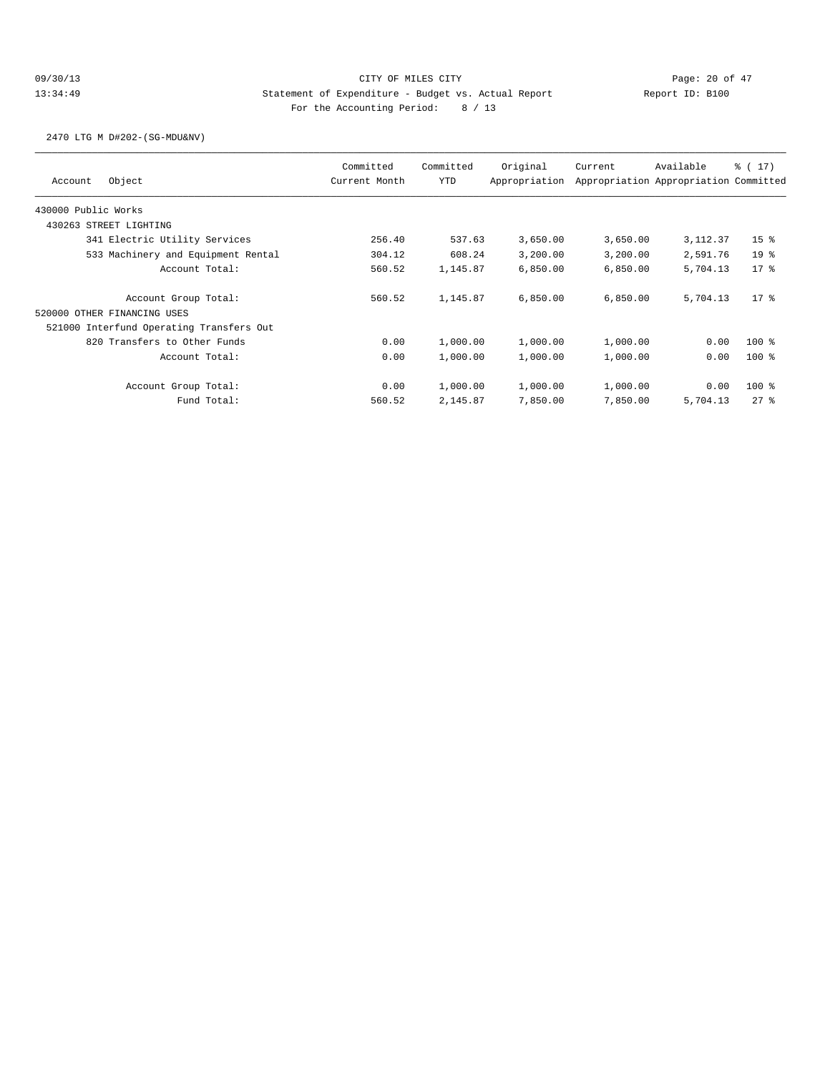2470 LTG M D#202-(SG-MDU&NV)

|                                          | Committed     | Committed  | Original      | Current  | Available                             | $\frac{1}{6}$ ( 17 ) |
|------------------------------------------|---------------|------------|---------------|----------|---------------------------------------|----------------------|
| Object<br>Account                        | Current Month | <b>YTD</b> | Appropriation |          | Appropriation Appropriation Committed |                      |
| 430000 Public Works                      |               |            |               |          |                                       |                      |
| 430263 STREET LIGHTING                   |               |            |               |          |                                       |                      |
| 341 Electric Utility Services            | 256.40        | 537.63     | 3,650.00      | 3,650.00 | 3, 112.37                             | 15 <sup>8</sup>      |
| 533 Machinery and Equipment Rental       | 304.12        | 608.24     | 3,200.00      | 3,200.00 | 2,591.76                              | 19 <sup>°</sup>      |
| Account Total:                           | 560.52        | 1,145.87   | 6,850.00      | 6,850.00 | 5,704.13                              | $17*$                |
| Account Group Total:                     | 560.52        | 1,145.87   | 6,850.00      | 6,850.00 | 5,704.13                              | $17*$                |
| 520000 OTHER FINANCING USES              |               |            |               |          |                                       |                      |
| 521000 Interfund Operating Transfers Out |               |            |               |          |                                       |                      |
| 820 Transfers to Other Funds             | 0.00          | 1,000.00   | 1,000.00      | 1,000.00 | 0.00                                  | $100$ %              |
| Account Total:                           | 0.00          | 1,000.00   | 1,000.00      | 1,000.00 | 0.00                                  | $100$ %              |
| Account Group Total:                     | 0.00          | 1,000.00   | 1,000.00      | 1,000.00 | 0.00                                  | $100$ %              |
| Fund Total:                              | 560.52        | 2,145.87   | 7,850.00      | 7,850.00 | 5,704.13                              | 278                  |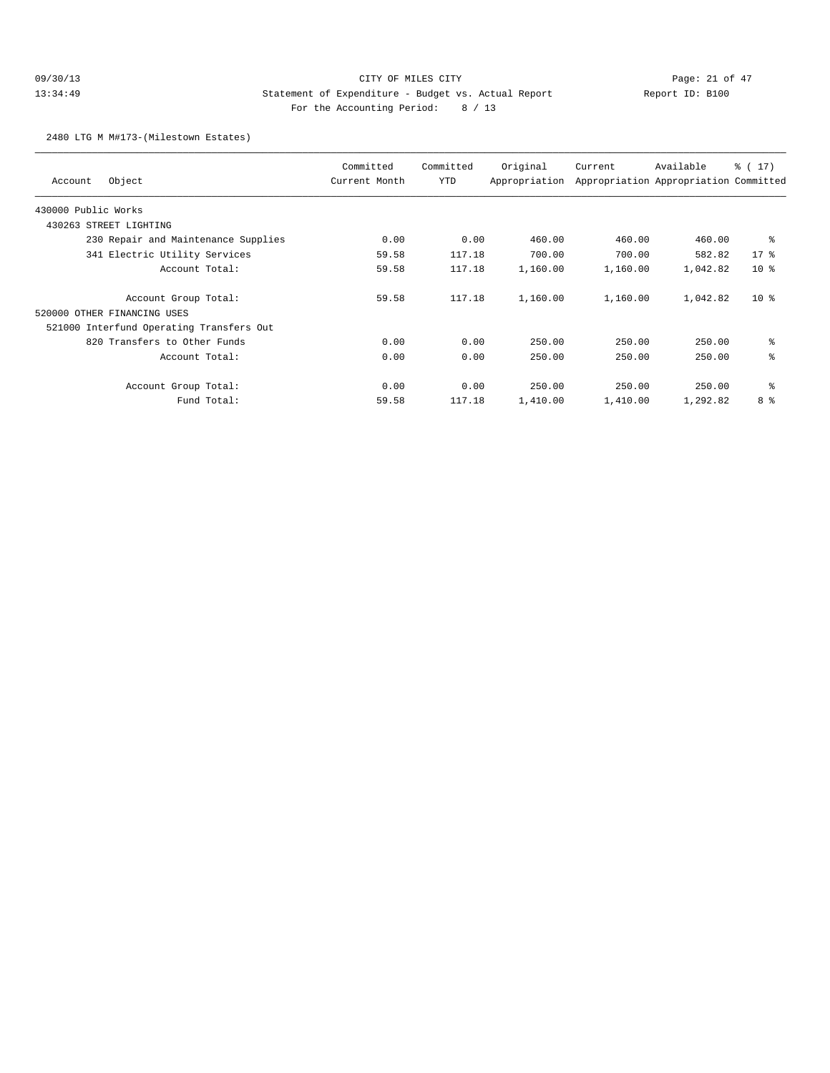## 09/30/13 Page: 21 of 47 13:34:49 Statement of Expenditure - Budget vs. Actual Report Changer Report ID: B100 For the Accounting Period: 8 / 13

2480 LTG M M#173-(Milestown Estates)

| Object<br>Account                        | Committed<br>Current Month | Committed<br>YTD | Original<br>Appropriation | Current  | Available<br>Appropriation Appropriation Committed | $\frac{1}{6}$ ( 17 ) |
|------------------------------------------|----------------------------|------------------|---------------------------|----------|----------------------------------------------------|----------------------|
| 430000 Public Works                      |                            |                  |                           |          |                                                    |                      |
| 430263 STREET LIGHTING                   |                            |                  |                           |          |                                                    |                      |
| 230 Repair and Maintenance Supplies      | 0.00                       | 0.00             | 460.00                    | 460.00   | 460.00                                             | ႜ                    |
| 341 Electric Utility Services            | 59.58                      | 117.18           | 700.00                    | 700.00   | 582.82                                             | $17*$                |
| Account Total:                           | 59.58                      | 117.18           | 1,160.00                  | 1,160.00 | 1,042.82                                           | 10 <sup>8</sup>      |
| Account Group Total:                     | 59.58                      | 117.18           | 1,160.00                  | 1,160.00 | 1,042.82                                           | 10 <sup>8</sup>      |
| 520000 OTHER FINANCING USES              |                            |                  |                           |          |                                                    |                      |
| 521000 Interfund Operating Transfers Out |                            |                  |                           |          |                                                    |                      |
| 820 Transfers to Other Funds             | 0.00                       | 0.00             | 250.00                    | 250.00   | 250.00                                             | နွ                   |
| Account Total:                           | 0.00                       | 0.00             | 250.00                    | 250.00   | 250.00                                             | နွ                   |
| Account Group Total:                     | 0.00                       | 0.00             | 250.00                    | 250.00   | 250.00                                             | နွ                   |
| Fund Total:                              | 59.58                      | 117.18           | 1,410.00                  | 1,410.00 | 1,292.82                                           | 8 %                  |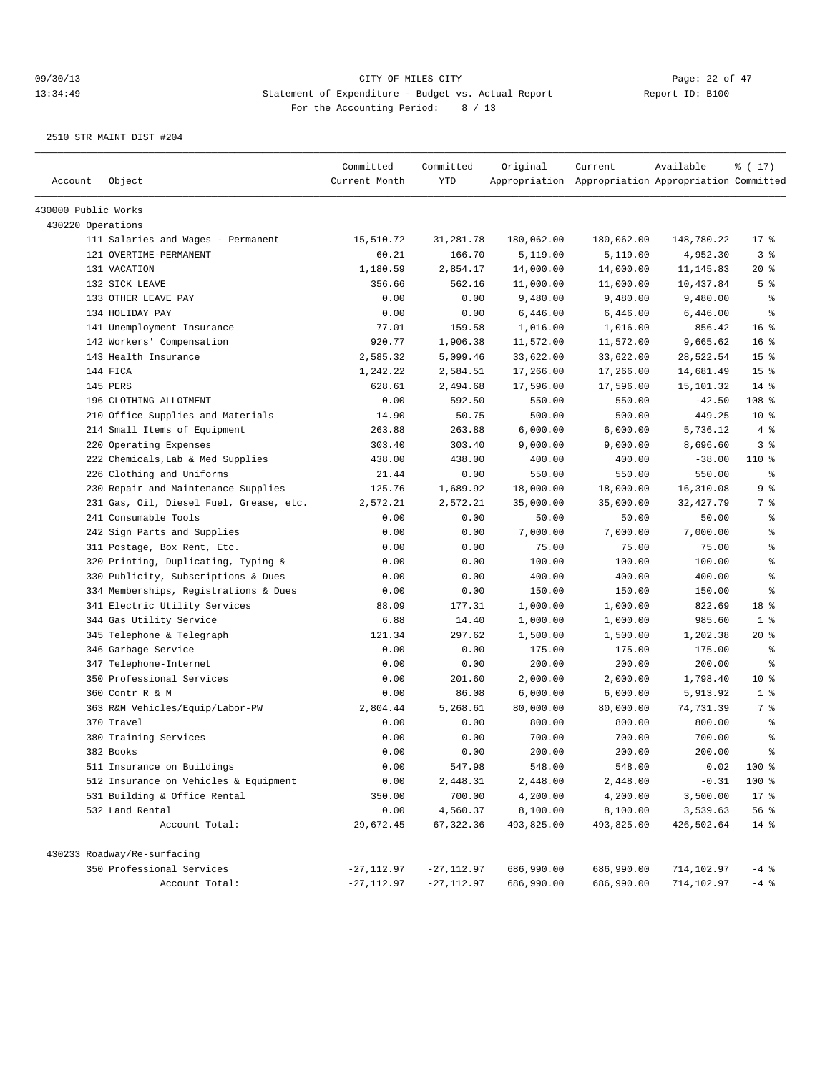| Account             | Object                                  | Committed<br>Current Month | Committed<br>YTD | Original   | Current<br>Appropriation Appropriation Appropriation Committed | Available  | % (17)          |
|---------------------|-----------------------------------------|----------------------------|------------------|------------|----------------------------------------------------------------|------------|-----------------|
| 430000 Public Works |                                         |                            |                  |            |                                                                |            |                 |
| 430220 Operations   |                                         |                            |                  |            |                                                                |            |                 |
|                     | 111 Salaries and Wages - Permanent      | 15,510.72                  | 31,281.78        | 180,062.00 | 180,062.00                                                     | 148,780.22 | $17*$           |
|                     | 121 OVERTIME-PERMANENT                  | 60.21                      | 166.70           | 5,119.00   | 5,119.00                                                       | 4,952.30   | 3 <sup>°</sup>  |
|                     | 131 VACATION                            | 1,180.59                   | 2,854.17         | 14,000.00  | 14,000.00                                                      | 11, 145.83 | $20*$           |
|                     | 132 SICK LEAVE                          | 356.66                     | 562.16           | 11,000.00  | 11,000.00                                                      | 10,437.84  | 5 <sup>8</sup>  |
|                     | 133 OTHER LEAVE PAY                     | 0.00                       | 0.00             | 9,480.00   | 9,480.00                                                       | 9,480.00   | နွ              |
|                     | 134 HOLIDAY PAY                         | 0.00                       | 0.00             | 6,446.00   | 6,446.00                                                       | 6,446.00   | ి               |
|                     | 141 Unemployment Insurance              | 77.01                      | 159.58           | 1,016.00   | 1,016.00                                                       | 856.42     | 16%             |
|                     | 142 Workers' Compensation               | 920.77                     | 1,906.38         | 11,572.00  | 11,572.00                                                      | 9,665.62   | 16 <sup>8</sup> |
|                     | 143 Health Insurance                    | 2,585.32                   | 5,099.46         | 33,622.00  | 33,622.00                                                      | 28,522.54  | 15 <sup>°</sup> |
|                     | 144 FICA                                | 1,242.22                   | 2,584.51         | 17,266.00  | 17,266.00                                                      | 14,681.49  | 15 <sup>°</sup> |
|                     | 145 PERS                                | 628.61                     | 2,494.68         | 17,596.00  | 17,596.00                                                      | 15,101.32  | $14*$           |
|                     | 196 CLOTHING ALLOTMENT                  | 0.00                       | 592.50           | 550.00     | 550.00                                                         | $-42.50$   | 108 %           |
|                     | 210 Office Supplies and Materials       | 14.90                      | 50.75            | 500.00     | 500.00                                                         | 449.25     | 10 <sup>8</sup> |
|                     | 214 Small Items of Equipment            | 263.88                     | 263.88           | 6,000.00   | 6,000.00                                                       | 5,736.12   | 4%              |
|                     | 220 Operating Expenses                  | 303.40                     | 303.40           | 9,000.00   | 9,000.00                                                       | 8,696.60   | 3%              |
|                     | 222 Chemicals, Lab & Med Supplies       | 438.00                     | 438.00           | 400.00     | 400.00                                                         | $-38.00$   | 110 %           |
|                     | 226 Clothing and Uniforms               | 21.44                      | 0.00             | 550.00     | 550.00                                                         | 550.00     | နွ              |
|                     | 230 Repair and Maintenance Supplies     | 125.76                     | 1,689.92         | 18,000.00  | 18,000.00                                                      | 16,310.08  | 9%              |
|                     | 231 Gas, Oil, Diesel Fuel, Grease, etc. | 2,572.21                   | 2,572.21         | 35,000.00  | 35,000.00                                                      | 32,427.79  | 7 %             |
|                     | 241 Consumable Tools                    | 0.00                       | 0.00             | 50.00      | 50.00                                                          | 50.00      | နွ              |
|                     | 242 Sign Parts and Supplies             | 0.00                       | 0.00             | 7,000.00   | 7,000.00                                                       | 7,000.00   | နွ              |
|                     | 311 Postage, Box Rent, Etc.             | 0.00                       | 0.00             | 75.00      | 75.00                                                          | 75.00      | နွ              |
|                     | 320 Printing, Duplicating, Typing &     | 0.00                       | 0.00             | 100.00     | 100.00                                                         | 100.00     | ៖               |
|                     | 330 Publicity, Subscriptions & Dues     | 0.00                       | 0.00             | 400.00     | 400.00                                                         | 400.00     | န္              |
|                     | 334 Memberships, Registrations & Dues   | 0.00                       | 0.00             | 150.00     | 150.00                                                         | 150.00     | န္              |
|                     | 341 Electric Utility Services           | 88.09                      | 177.31           | 1,000.00   | 1,000.00                                                       | 822.69     | 18 %            |
|                     | 344 Gas Utility Service                 | 6.88                       | 14.40            | 1,000.00   | 1,000.00                                                       | 985.60     | 1 <sup>°</sup>  |
|                     | 345 Telephone & Telegraph               | 121.34                     | 297.62           | 1,500.00   | 1,500.00                                                       | 1,202.38   | $20*$           |
|                     | 346 Garbage Service                     | 0.00                       | 0.00             | 175.00     | 175.00                                                         | 175.00     | နွ              |
|                     | 347 Telephone-Internet                  | 0.00                       | 0.00             | 200.00     | 200.00                                                         | 200.00     | နွ              |
|                     | 350 Professional Services               | 0.00                       | 201.60           | 2,000.00   | 2,000.00                                                       | 1,798.40   | 10 <sup>8</sup> |
|                     | 360 Contr R & M                         | 0.00                       | 86.08            | 6,000.00   | 6,000.00                                                       | 5,913.92   | 1 <sup>°</sup>  |
|                     | 363 R&M Vehicles/Equip/Labor-PW         | 2,804.44                   | 5,268.61         | 80,000.00  | 80,000.00                                                      | 74,731.39  | 7 %             |
|                     | 370 Travel                              | 0.00                       | 0.00             | 800.00     | 800.00                                                         | 800.00     | နွ              |
|                     | 380 Training Services                   | 0.00                       | 0.00             | 700.00     | 700.00                                                         | 700.00     | ៖               |
|                     | 382 Books                               | 0.00                       | 0.00             | 200.00     | 200.00                                                         | 200.00     | ៖               |
|                     | 511 Insurance on Buildings              | 0.00                       | 547.98           | 548.00     | 548.00                                                         | 0.02       | 100 %           |
|                     | 512 Insurance on Vehicles & Equipment   | 0.00                       | 2,448.31         | 2,448.00   | 2,448.00                                                       | $-0.31$    | 100 %           |
|                     | 531 Building & Office Rental            | 350.00                     | 700.00           | 4,200.00   | 4,200.00                                                       | 3,500.00   | $17$ %          |
|                     | 532 Land Rental                         | 0.00                       | 4,560.37         | 8,100.00   | 8,100.00                                                       | 3,539.63   | 56%             |
|                     | Account Total:                          | 29,672.45                  | 67, 322.36       | 493,825.00 | 493,825.00                                                     | 426,502.64 | $14$ %          |
|                     | 430233 Roadway/Re-surfacing             |                            |                  |            |                                                                |            |                 |
|                     | 350 Professional Services               | -27,112.97                 | $-27,112.97$     | 686,990.00 | 686,990.00                                                     | 714,102.97 | $-4$ %          |
|                     | Account Total:                          | $-27, 112.97$              | $-27, 112.97$    | 686,990.00 | 686,990.00                                                     | 714,102.97 | $-4$ %          |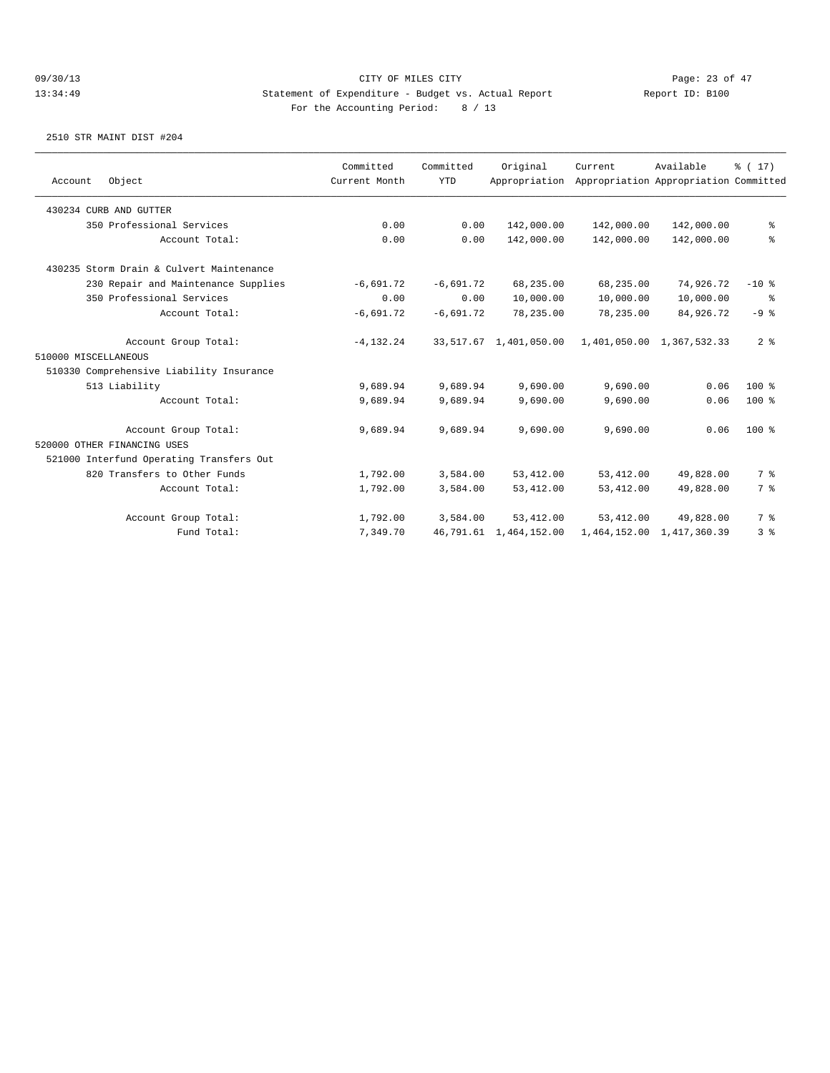| Account              | Object                                   | Committed<br>Current Month | Committed<br><b>YTD</b> | Original<br>Appropriation | Current     | Available<br>Appropriation Appropriation Committed | $\frac{1}{6}$ ( 17) |
|----------------------|------------------------------------------|----------------------------|-------------------------|---------------------------|-------------|----------------------------------------------------|---------------------|
|                      |                                          |                            |                         |                           |             |                                                    |                     |
|                      | 430234 CURB AND GUTTER                   |                            |                         |                           |             |                                                    |                     |
|                      | 350 Professional Services                | 0.00                       | 0.00                    | 142,000.00                | 142,000.00  | 142,000.00                                         | နွ                  |
|                      | Account Total:                           | 0.00                       | 0.00                    | 142,000.00                | 142,000.00  | 142,000.00                                         | နွ                  |
|                      | 430235 Storm Drain & Culvert Maintenance |                            |                         |                           |             |                                                    |                     |
|                      | 230 Repair and Maintenance Supplies      | $-6,691.72$                | $-6,691.72$             | 68,235.00                 | 68,235.00   | 74,926.72                                          | $-10$ %             |
|                      | 350 Professional Services                | 0.00                       | 0.00                    | 10,000.00                 | 10,000.00   | 10,000.00                                          | နွ                  |
|                      | Account Total:                           | $-6,691.72$                | $-6,691.72$             | 78,235.00                 | 78,235.00   | 84,926.72                                          | $-9$ %              |
|                      | Account Group Total:                     | $-4, 132.24$               |                         | 33,517.67 1,401,050.00    |             | 1,401,050.00 1,367,532.33                          | 2 <sup>8</sup>      |
| 510000 MISCELLANEOUS |                                          |                            |                         |                           |             |                                                    |                     |
|                      | 510330 Comprehensive Liability Insurance |                            |                         |                           |             |                                                    |                     |
|                      | 513 Liability                            | 9,689.94                   | 9,689.94                | 9,690.00                  | 9,690.00    | 0.06                                               | $100$ %             |
|                      | Account Total:                           | 9,689.94                   | 9,689.94                | 9,690.00                  | 9,690.00    | 0.06                                               | $100$ %             |
|                      | Account Group Total:                     | 9,689.94                   | 9,689.94                | 9,690.00                  | 9,690.00    | 0.06                                               | $100*$              |
|                      | 520000 OTHER FINANCING USES              |                            |                         |                           |             |                                                    |                     |
|                      | 521000 Interfund Operating Transfers Out |                            |                         |                           |             |                                                    |                     |
|                      | 820 Transfers to Other Funds             | 1,792.00                   | 3,584.00                | 53, 412.00                | 53, 412.00  | 49,828.00                                          | 7 %                 |
|                      | Account Total:                           | 1,792.00                   | 3,584.00                | 53, 412.00                | 53, 412.00  | 49,828.00                                          | 7 %                 |
|                      | Account Group Total:                     | 1,792.00                   | 3,584.00                | 53, 412, 00               | 53, 412, 00 | 49,828.00                                          | 7 %                 |
|                      | Fund Total:                              | 7,349.70                   |                         | 46,791.61 1,464,152.00    |             | 1,464,152.00 1,417,360.39                          | 3 <sup>°</sup>      |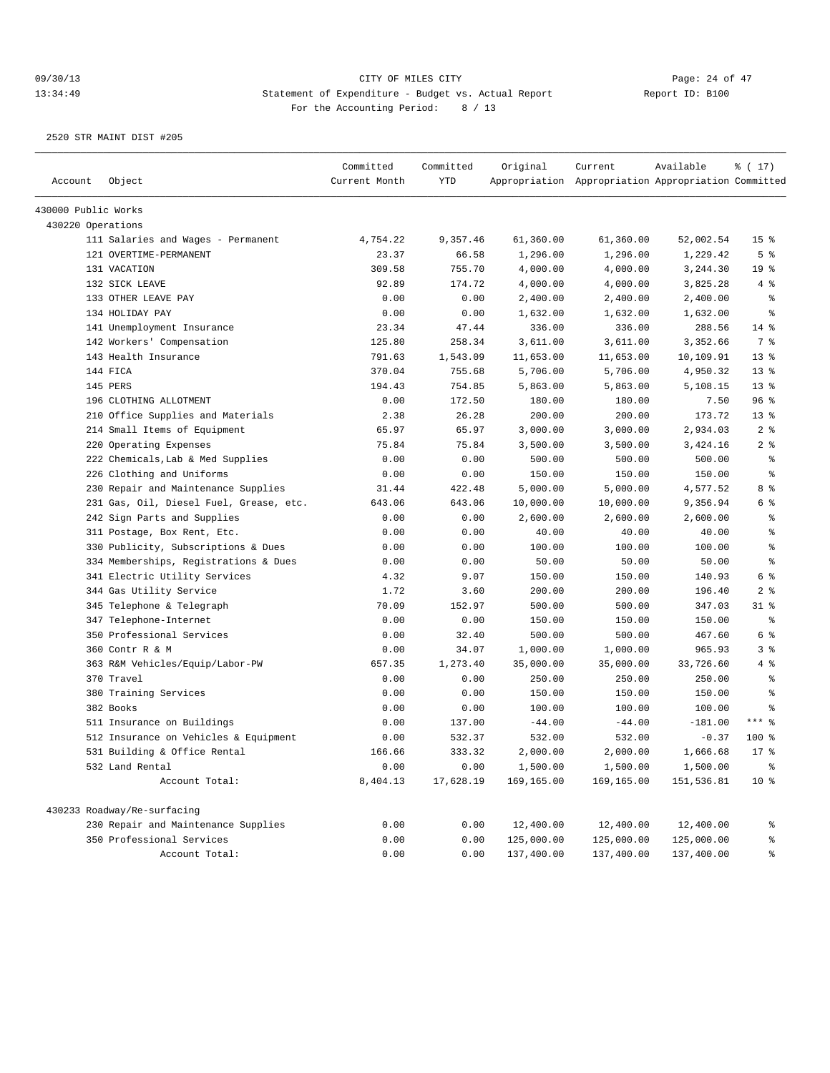| Account             | Object                                  | Committed<br>Current Month | Committed<br><b>YTD</b> | Original   | Current<br>Appropriation Appropriation Appropriation Committed | Available  | % (17)          |
|---------------------|-----------------------------------------|----------------------------|-------------------------|------------|----------------------------------------------------------------|------------|-----------------|
|                     |                                         |                            |                         |            |                                                                |            |                 |
| 430000 Public Works |                                         |                            |                         |            |                                                                |            |                 |
| 430220 Operations   |                                         |                            |                         |            |                                                                |            |                 |
|                     | 111 Salaries and Wages - Permanent      | 4,754.22                   | 9,357.46                | 61,360.00  | 61,360.00                                                      | 52,002.54  | 15 <sup>°</sup> |
|                     | 121 OVERTIME-PERMANENT                  | 23.37                      | 66.58                   | 1,296.00   | 1,296.00                                                       | 1,229.42   | 5 <sup>8</sup>  |
|                     | 131 VACATION                            | 309.58                     | 755.70                  | 4,000.00   | 4,000.00                                                       | 3,244.30   | 19 <sub>8</sub> |
|                     | 132 SICK LEAVE                          | 92.89                      | 174.72                  | 4,000.00   | 4,000.00                                                       | 3,825.28   | 4%              |
|                     | 133 OTHER LEAVE PAY                     | 0.00                       | 0.00                    | 2,400.00   | 2,400.00                                                       | 2,400.00   | နွ              |
|                     | 134 HOLIDAY PAY                         | 0.00                       | 0.00                    | 1,632.00   | 1,632.00                                                       | 1,632.00   | န္              |
|                     | 141 Unemployment Insurance              | 23.34                      | 47.44                   | 336.00     | 336.00                                                         | 288.56     | 14 %            |
|                     | 142 Workers' Compensation               | 125.80                     | 258.34                  | 3,611.00   | 3,611.00                                                       | 3,352.66   | 7 %             |
|                     | 143 Health Insurance                    | 791.63                     | 1,543.09                | 11,653.00  | 11,653.00                                                      | 10,109.91  | $13*$           |
|                     | 144 FICA                                | 370.04                     | 755.68                  | 5,706.00   | 5,706.00                                                       | 4,950.32   | $13*$           |
|                     | 145 PERS                                | 194.43                     | 754.85                  | 5,863.00   | 5,863.00                                                       | 5,108.15   | $13*$           |
|                     | 196 CLOTHING ALLOTMENT                  | 0.00                       | 172.50                  | 180.00     | 180.00                                                         | 7.50       | 96%             |
|                     | 210 Office Supplies and Materials       | 2.38                       | 26.28                   | 200.00     | 200.00                                                         | 173.72     | $13*$           |
|                     | 214 Small Items of Equipment            | 65.97                      | 65.97                   | 3,000.00   | 3,000.00                                                       | 2,934.03   | 2 <sup>8</sup>  |
|                     | 220 Operating Expenses                  | 75.84                      | 75.84                   | 3,500.00   | 3,500.00                                                       | 3,424.16   | 2 <sup>°</sup>  |
|                     | 222 Chemicals, Lab & Med Supplies       | 0.00                       | 0.00                    | 500.00     | 500.00                                                         | 500.00     | ႜ               |
|                     | 226 Clothing and Uniforms               | 0.00                       | 0.00                    | 150.00     | 150.00                                                         | 150.00     | နွ              |
|                     | 230 Repair and Maintenance Supplies     | 31.44                      | 422.48                  | 5,000.00   | 5,000.00                                                       | 4,577.52   | 8 %             |
|                     | 231 Gas, Oil, Diesel Fuel, Grease, etc. | 643.06                     | 643.06                  | 10,000.00  | 10,000.00                                                      | 9,356.94   | 6 %             |
|                     | 242 Sign Parts and Supplies             | 0.00                       | 0.00                    | 2,600.00   | 2,600.00                                                       | 2,600.00   | $\epsilon$      |
|                     | 311 Postage, Box Rent, Etc.             | 0.00                       | 0.00                    | 40.00      | 40.00                                                          | 40.00      | နွ              |
|                     | 330 Publicity, Subscriptions & Dues     | 0.00                       | 0.00                    | 100.00     | 100.00                                                         | 100.00     | $\epsilon$      |
|                     | 334 Memberships, Registrations & Dues   | 0.00                       | 0.00                    | 50.00      | 50.00                                                          | 50.00      | $\epsilon$      |
|                     | 341 Electric Utility Services           | 4.32                       | 9.07                    | 150.00     | 150.00                                                         | 140.93     | 6 %             |
|                     | 344 Gas Utility Service                 | 1.72                       | 3.60                    | 200.00     | 200.00                                                         | 196.40     | 2 <sup>°</sup>  |
|                     | 345 Telephone & Telegraph               | 70.09                      | 152.97                  | 500.00     | 500.00                                                         | 347.03     | $31$ $%$        |
|                     | 347 Telephone-Internet                  | 0.00                       | 0.00                    | 150.00     | 150.00                                                         | 150.00     | $\frac{6}{6}$   |
|                     | 350 Professional Services               | 0.00                       | 32.40                   | 500.00     | 500.00                                                         | 467.60     | 6 %             |
|                     | 360 Contr R & M                         | 0.00                       | 34.07                   | 1,000.00   | 1,000.00                                                       | 965.93     | 3%              |
|                     | 363 R&M Vehicles/Equip/Labor-PW         | 657.35                     | 1,273.40                | 35,000.00  | 35,000.00                                                      | 33,726.60  | 4%              |
|                     | 370 Travel                              | 0.00                       | 0.00                    | 250.00     | 250.00                                                         | 250.00     | နွ              |
|                     | 380 Training Services                   | 0.00                       | 0.00                    | 150.00     | 150.00                                                         | 150.00     | $\epsilon$      |
|                     | 382 Books                               | 0.00                       | 0.00                    | 100.00     | 100.00                                                         | 100.00     | နွ              |
|                     | 511 Insurance on Buildings              | 0.00                       | 137.00                  | $-44.00$   | $-44.00$                                                       | $-181.00$  | $***$ $%$       |
|                     | 512 Insurance on Vehicles & Equipment   | 0.00                       | 532.37                  | 532.00     | 532.00                                                         | $-0.37$    | 100 %           |
|                     | 531 Building & Office Rental            | 166.66                     | 333.32                  | 2,000.00   | 2,000.00                                                       | 1,666.68   | $17*$           |
|                     | 532 Land Rental                         | 0.00                       | 0.00                    | 1,500.00   | 1,500.00                                                       | 1,500.00   | $\,$ $\,$       |
|                     | Account Total:                          | 8,404.13                   | 17,628.19               | 169,165.00 | 169,165.00                                                     | 151,536.81 | $10*$           |
|                     | 430233 Roadway/Re-surfacing             |                            |                         |            |                                                                |            |                 |
|                     | 230 Repair and Maintenance Supplies     | 0.00                       | 0.00                    | 12,400.00  | 12,400.00                                                      | 12,400.00  | ి               |
|                     | 350 Professional Services               | 0.00                       | 0.00                    | 125,000.00 | 125,000.00                                                     | 125,000.00 | ್ಠಿ             |
|                     | Account Total:                          | 0.00                       | 0.00                    | 137,400.00 | 137,400.00                                                     | 137,400.00 | နွ              |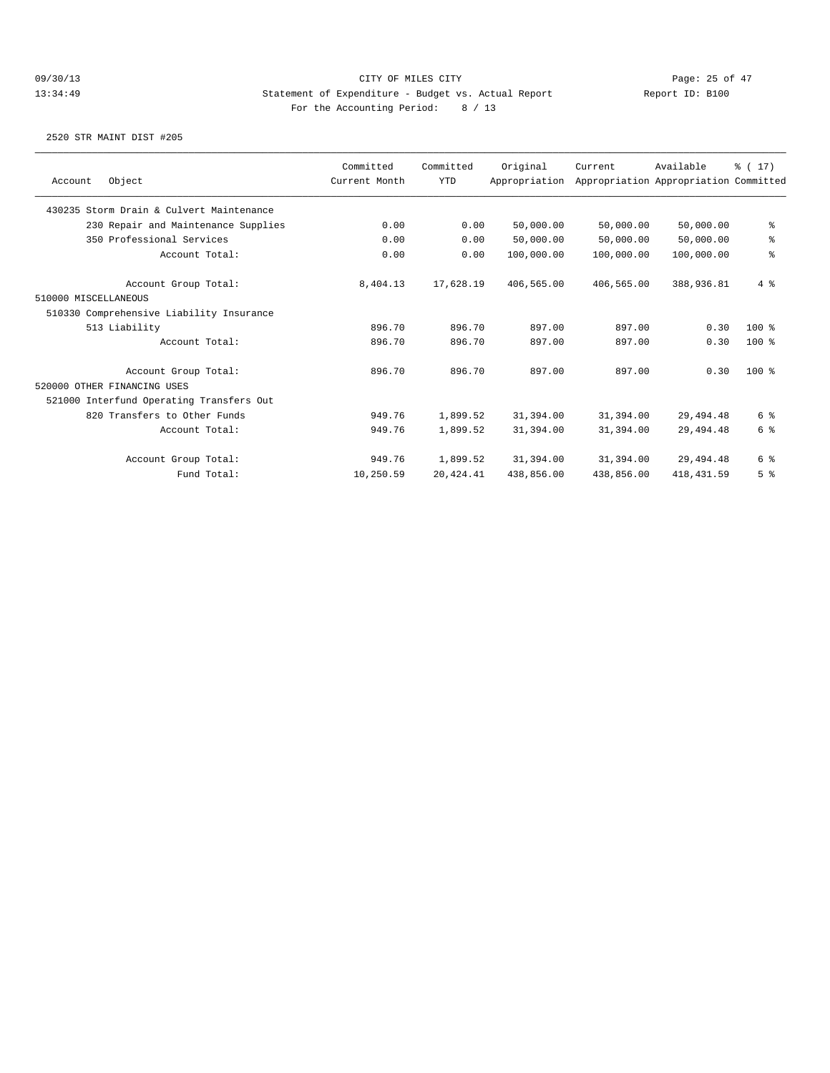|                                          | Committed     | Committed  | Original      | Current    | Available                             | % (17)         |
|------------------------------------------|---------------|------------|---------------|------------|---------------------------------------|----------------|
| Object<br>Account                        | Current Month | <b>YTD</b> | Appropriation |            | Appropriation Appropriation Committed |                |
| 430235 Storm Drain & Culvert Maintenance |               |            |               |            |                                       |                |
| 230 Repair and Maintenance Supplies      | 0.00          | 0.00       | 50,000.00     | 50,000.00  | 50,000.00                             | ి              |
| 350 Professional Services                | 0.00          | 0.00       | 50,000.00     | 50,000.00  | 50,000.00                             | ್ಠಿ            |
| Account Total:                           | 0.00          | 0.00       | 100,000.00    | 100,000.00 | 100,000.00                            | ⊱              |
| Account Group Total:                     | 8,404.13      | 17,628.19  | 406,565.00    | 406,565.00 | 388,936.81                            | $4 \text{ }$   |
| 510000 MISCELLANEOUS                     |               |            |               |            |                                       |                |
| 510330 Comprehensive Liability Insurance |               |            |               |            |                                       |                |
| 513 Liability                            | 896.70        | 896.70     | 897.00        | 897.00     | 0.30                                  | $100$ %        |
| Account Total:                           | 896.70        | 896.70     | 897.00        | 897.00     | 0.30                                  | $100$ %        |
| Account Group Total:                     | 896.70        | 896.70     | 897.00        | 897.00     | 0.30                                  | $100*$         |
| 520000 OTHER FINANCING USES              |               |            |               |            |                                       |                |
| 521000 Interfund Operating Transfers Out |               |            |               |            |                                       |                |
| 820 Transfers to Other Funds             | 949.76        | 1,899.52   | 31,394.00     | 31,394.00  | 29, 494.48                            | 6 %            |
| Account Total:                           | 949.76        | 1,899.52   | 31,394.00     | 31,394.00  | 29, 494.48                            | 6 %            |
| Account Group Total:                     | 949.76        | 1,899.52   | 31,394.00     | 31,394.00  | 29,494.48                             | 6 %            |
| Fund Total:                              | 10,250.59     | 20, 424.41 | 438,856.00    | 438,856.00 | 418, 431.59                           | 5 <sup>8</sup> |
|                                          |               |            |               |            |                                       |                |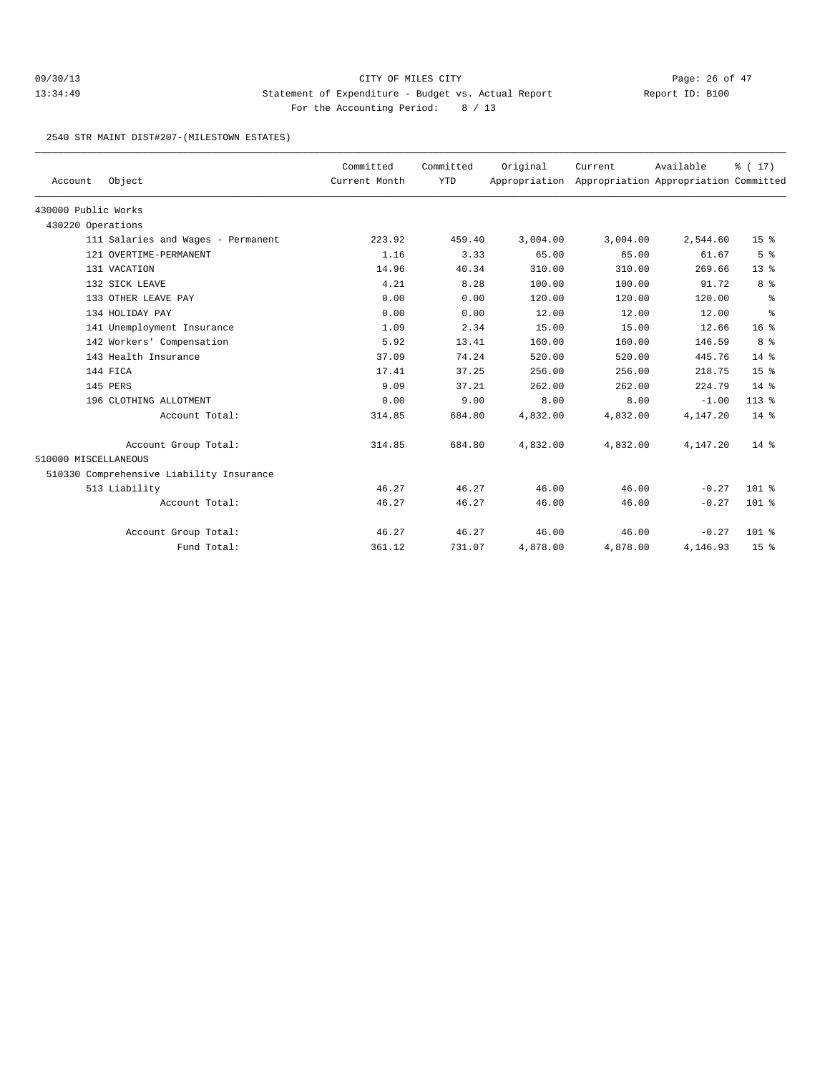## 09/30/13 Page: 26 of 47 13:34:49 Statement of Expenditure - Budget vs. Actual Report Changery Report ID: B100 For the Accounting Period: 8 / 13

2540 STR MAINT DIST#207-(MILESTOWN ESTATES)

| Account              | Object                                   | Committed<br>Current Month | Committed<br><b>YTD</b> | Original<br>Appropriation | Current  | Available<br>Appropriation Appropriation Committed | $\frac{1}{6}$ ( 17) |
|----------------------|------------------------------------------|----------------------------|-------------------------|---------------------------|----------|----------------------------------------------------|---------------------|
| 430000 Public Works  |                                          |                            |                         |                           |          |                                                    |                     |
| 430220 Operations    |                                          |                            |                         |                           |          |                                                    |                     |
|                      | 111 Salaries and Wages - Permanent       | 223.92                     | 459.40                  | 3,004.00                  | 3,004.00 | 2,544.60                                           | 15 <sup>8</sup>     |
|                      | 121 OVERTIME-PERMANENT                   | 1.16                       | 3.33                    | 65.00                     | 65.00    | 61.67                                              | 5 <sup>8</sup>      |
|                      | 131 VACATION                             | 14.96                      | 40.34                   | 310.00                    | 310.00   | 269.66                                             | $13*$               |
|                      | 132 SICK LEAVE                           | 4.21                       | 8.28                    | 100.00                    | 100.00   | 91.72                                              | 8 %                 |
|                      | 133 OTHER LEAVE PAY                      | 0.00                       | 0.00                    | 120.00                    | 120.00   | 120.00                                             | နွ                  |
|                      | 134 HOLIDAY PAY                          | 0.00                       | 0.00                    | 12.00                     | 12.00    | 12.00                                              | နွ                  |
|                      | 141 Unemployment Insurance               | 1.09                       | 2.34                    | 15.00                     | 15.00    | 12.66                                              | 16 <sup>8</sup>     |
|                      | 142 Workers' Compensation                | 5.92                       | 13.41                   | 160.00                    | 160.00   | 146.59                                             | 8 %                 |
|                      | 143 Health Insurance                     | 37.09                      | 74.24                   | 520.00                    | 520.00   | 445.76                                             | $14*$               |
|                      | 144 FICA                                 | 17.41                      | 37.25                   | 256.00                    | 256.00   | 218.75                                             | 15 <sup>8</sup>     |
|                      | 145 PERS                                 | 9.09                       | 37.21                   | 262.00                    | 262.00   | 224.79                                             | 14 %                |
|                      | 196 CLOTHING ALLOTMENT                   | 0.00                       | 9.00                    | 8.00                      | 8.00     | $-1.00$                                            | $113$ %             |
|                      | Account Total:                           | 314.85                     | 684.80                  | 4,832.00                  | 4,832.00 | 4,147.20                                           | $14*$               |
|                      | Account Group Total:                     | 314.85                     | 684.80                  | 4,832.00                  | 4,832.00 | 4,147.20                                           | $14*$               |
| 510000 MISCELLANEOUS |                                          |                            |                         |                           |          |                                                    |                     |
|                      | 510330 Comprehensive Liability Insurance |                            |                         |                           |          |                                                    |                     |
|                      | 513 Liability                            | 46.27                      | 46.27                   | 46.00                     | 46.00    | $-0.27$                                            | $101$ %             |
|                      | Account Total:                           | 46.27                      | 46.27                   | 46.00                     | 46.00    | $-0.27$                                            | 101 %               |
|                      | Account Group Total:                     | 46.27                      | 46.27                   | 46.00                     | 46.00    | $-0.27$                                            | $101$ %             |
|                      | Fund Total:                              | 361.12                     | 731.07                  | 4,878.00                  | 4,878.00 | 4,146.93                                           | 15 <sup>8</sup>     |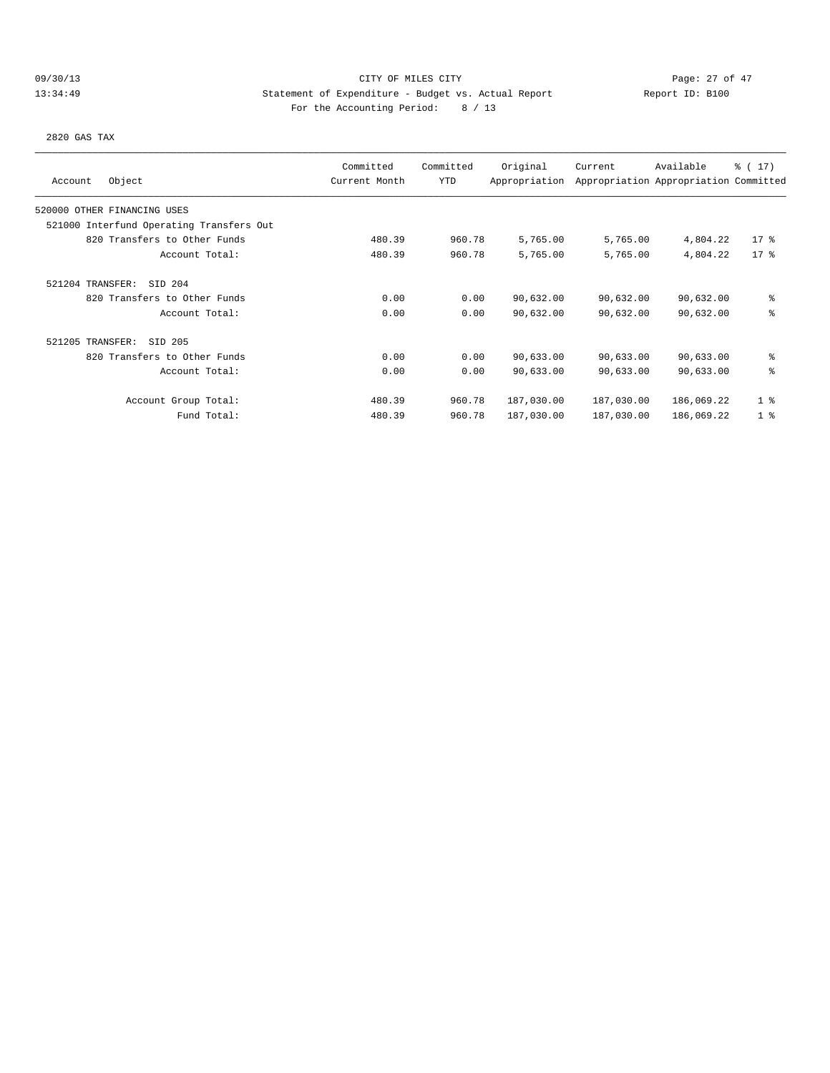## 09/30/13 Page: 27 of 47 13:34:49 Statement of Expenditure - Budget vs. Actual Report Changery Report ID: B100 For the Accounting Period: 8 / 13

2820 GAS TAX

| Object<br>Account                        | Committed<br>Current Month | Committed<br>YTD | Original<br>Appropriation | Current    | Available<br>Appropriation Appropriation Committed | $\frac{1}{6}$ ( 17) |
|------------------------------------------|----------------------------|------------------|---------------------------|------------|----------------------------------------------------|---------------------|
| 520000 OTHER FINANCING USES              |                            |                  |                           |            |                                                    |                     |
| 521000 Interfund Operating Transfers Out |                            |                  |                           |            |                                                    |                     |
| 820 Transfers to Other Funds             | 480.39                     | 960.78           | 5,765.00                  | 5,765.00   | 4,804.22                                           | $17*$               |
| Account Total:                           | 480.39                     | 960.78           | 5,765.00                  | 5,765.00   | 4,804.22                                           | $17*$               |
| 521204 TRANSFER:<br>SID 204              |                            |                  |                           |            |                                                    |                     |
| 820 Transfers to Other Funds             | 0.00                       | 0.00             | 90,632.00                 | 90,632.00  | 90,632.00                                          | ి                   |
| Account Total:                           | 0.00                       | 0.00             | 90,632.00                 | 90,632.00  | 90,632.00                                          | ి                   |
| 521205 TRANSFER:<br>SID 205              |                            |                  |                           |            |                                                    |                     |
| 820 Transfers to Other Funds             | 0.00                       | 0.00             | 90,633.00                 | 90,633.00  | 90,633.00                                          | ి                   |
| Account Total:                           | 0.00                       | 0.00             | 90,633.00                 | 90,633.00  | 90,633.00                                          | ి                   |
| Account Group Total:                     | 480.39                     | 960.78           | 187,030.00                | 187,030.00 | 186,069.22                                         | 1 <sup>8</sup>      |
| Fund Total:                              | 480.39                     | 960.78           | 187,030.00                | 187,030.00 | 186,069.22                                         | 1 <sup>8</sup>      |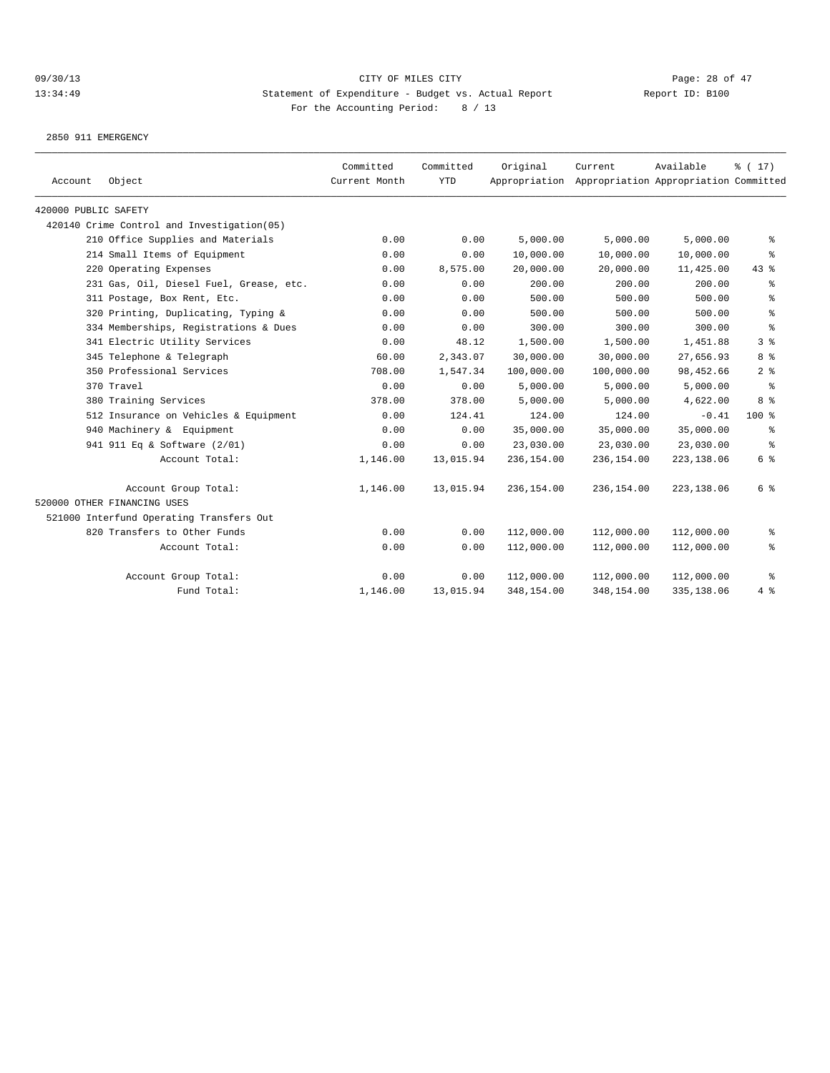2850 911 EMERGENCY

| 420000 PUBLIC SAFETY<br>420140 Crime Control and Investigation(05)<br>210 Office Supplies and Materials<br>5,000.00<br>5,000.00<br>0.00<br>0.00<br>5,000.00<br>214 Small Items of Equipment<br>0.00<br>10,000.00<br>10,000.00<br>10,000.00<br>0.00<br>220 Operating Expenses<br>0.00<br>8,575.00<br>20,000.00<br>20,000.00<br>11,425.00<br>200.00<br>200.00<br>200.00<br>231 Gas, Oil, Diesel Fuel, Grease, etc.<br>0.00<br>0.00<br>500.00<br>500.00<br>500.00<br>311 Postage, Box Rent, Etc.<br>0.00<br>0.00<br>320 Printing, Duplicating, Typing &<br>500.00<br>0.00<br>0.00<br>500.00<br>500.00 | $\frac{1}{6}$ ( 17 )<br>Appropriation Appropriation Committed |
|----------------------------------------------------------------------------------------------------------------------------------------------------------------------------------------------------------------------------------------------------------------------------------------------------------------------------------------------------------------------------------------------------------------------------------------------------------------------------------------------------------------------------------------------------------------------------------------------------|---------------------------------------------------------------|
|                                                                                                                                                                                                                                                                                                                                                                                                                                                                                                                                                                                                    |                                                               |
|                                                                                                                                                                                                                                                                                                                                                                                                                                                                                                                                                                                                    |                                                               |
|                                                                                                                                                                                                                                                                                                                                                                                                                                                                                                                                                                                                    | နွ                                                            |
|                                                                                                                                                                                                                                                                                                                                                                                                                                                                                                                                                                                                    | ి                                                             |
|                                                                                                                                                                                                                                                                                                                                                                                                                                                                                                                                                                                                    | $43$ %                                                        |
|                                                                                                                                                                                                                                                                                                                                                                                                                                                                                                                                                                                                    | ႜ                                                             |
|                                                                                                                                                                                                                                                                                                                                                                                                                                                                                                                                                                                                    | န္                                                            |
|                                                                                                                                                                                                                                                                                                                                                                                                                                                                                                                                                                                                    | ి                                                             |
| 334 Memberships, Registrations & Dues<br>0.00<br>0.00<br>300.00<br>300.00<br>300.00                                                                                                                                                                                                                                                                                                                                                                                                                                                                                                                | နွ                                                            |
| 1,500.00<br>341 Electric Utility Services<br>0.00<br>48.12<br>1,500.00<br>1,451.88                                                                                                                                                                                                                                                                                                                                                                                                                                                                                                                 | 3 <sup>°</sup>                                                |
| 345 Telephone & Telegraph<br>60.00<br>2,343.07<br>30,000.00<br>30,000.00<br>27,656.93                                                                                                                                                                                                                                                                                                                                                                                                                                                                                                              | 8 %                                                           |
| 350 Professional Services<br>708.00<br>1,547.34<br>100,000.00<br>100,000.00<br>98,452.66                                                                                                                                                                                                                                                                                                                                                                                                                                                                                                           | 2 <sup>8</sup>                                                |
| 370 Travel<br>0.00<br>5,000.00<br>5,000.00<br>0.00<br>5,000.00                                                                                                                                                                                                                                                                                                                                                                                                                                                                                                                                     | နွ                                                            |
| 378.00<br>5,000.00<br>380 Training Services<br>378.00<br>5,000.00<br>4,622.00                                                                                                                                                                                                                                                                                                                                                                                                                                                                                                                      | 8 %                                                           |
| 512 Insurance on Vehicles & Equipment<br>0.00<br>124.41<br>124.00<br>124.00<br>$-0.41$                                                                                                                                                                                                                                                                                                                                                                                                                                                                                                             | 100 %                                                         |
| 940 Machinery & Equipment<br>0.00<br>0.00<br>35,000.00<br>35,000.00<br>35,000.00                                                                                                                                                                                                                                                                                                                                                                                                                                                                                                                   | ႜ                                                             |
| 941 911 Eq & Software (2/01)<br>0.00<br>0.00<br>23,030.00<br>23,030.00<br>23,030.00                                                                                                                                                                                                                                                                                                                                                                                                                                                                                                                | ႜ                                                             |
| Account Total:<br>1,146.00<br>13,015.94<br>236,154.00<br>236,154.00<br>223, 138.06                                                                                                                                                                                                                                                                                                                                                                                                                                                                                                                 | 6 %                                                           |
| 13,015.94<br>236,154.00<br>223, 138.06<br>Account Group Total:<br>1,146.00<br>236,154.00                                                                                                                                                                                                                                                                                                                                                                                                                                                                                                           | 6 %                                                           |
| 520000 OTHER FINANCING USES                                                                                                                                                                                                                                                                                                                                                                                                                                                                                                                                                                        |                                                               |
| 521000 Interfund Operating Transfers Out                                                                                                                                                                                                                                                                                                                                                                                                                                                                                                                                                           |                                                               |
| 820 Transfers to Other Funds<br>0.00<br>0.00<br>112,000.00<br>112,000.00<br>112,000.00                                                                                                                                                                                                                                                                                                                                                                                                                                                                                                             | ႜ                                                             |
| 0.00<br>0.00<br>112,000.00<br>Account Total:<br>112,000.00<br>112,000.00                                                                                                                                                                                                                                                                                                                                                                                                                                                                                                                           | နွ                                                            |
| 0.00<br>Account Group Total:<br>0.00<br>112,000.00<br>112,000.00<br>112,000.00                                                                                                                                                                                                                                                                                                                                                                                                                                                                                                                     | ႜ                                                             |
| Fund Total:<br>348,154.00<br>348,154.00<br>335,138.06<br>1,146.00<br>13,015.94                                                                                                                                                                                                                                                                                                                                                                                                                                                                                                                     | 4%                                                            |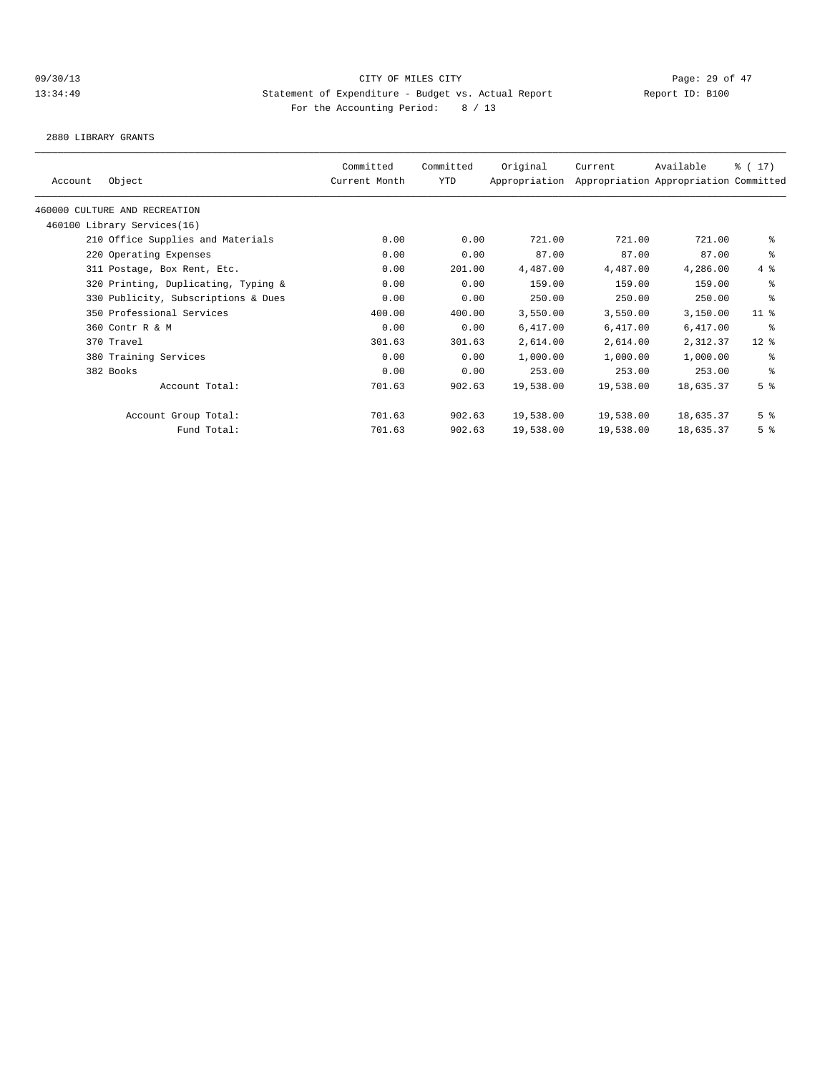2880 LIBRARY GRANTS

|         |                                     | Committed     | Committed  | Original      | Current   | Available                             | $\frac{1}{6}$ ( 17) |
|---------|-------------------------------------|---------------|------------|---------------|-----------|---------------------------------------|---------------------|
| Account | Object                              | Current Month | <b>YTD</b> | Appropriation |           | Appropriation Appropriation Committed |                     |
|         | 460000 CULTURE AND RECREATION       |               |            |               |           |                                       |                     |
|         | 460100 Library Services(16)         |               |            |               |           |                                       |                     |
|         | 210 Office Supplies and Materials   | 0.00          | 0.00       | 721.00        | 721.00    | 721.00                                | နွ                  |
|         | 220 Operating Expenses              | 0.00          | 0.00       | 87.00         | 87.00     | 87.00                                 | နွ                  |
|         | 311 Postage, Box Rent, Etc.         | 0.00          | 201.00     | 4,487.00      | 4,487.00  | 4,286.00                              | 4%                  |
|         | 320 Printing, Duplicating, Typing & | 0.00          | 0.00       | 159.00        | 159.00    | 159.00                                | နွ                  |
|         | 330 Publicity, Subscriptions & Dues | 0.00          | 0.00       | 250.00        | 250.00    | 250.00                                | ి                   |
|         | 350 Professional Services           | 400.00        | 400.00     | 3,550.00      | 3,550.00  | 3,150.00                              | $11$ %              |
|         | 360 Contr R & M                     | 0.00          | 0.00       | 6,417.00      | 6,417.00  | 6,417.00                              | ႜ                   |
|         | 370 Travel                          | 301.63        | 301.63     | 2,614.00      | 2,614.00  | 2,312.37                              | $12$ %              |
|         | 380 Training Services               | 0.00          | 0.00       | 1,000.00      | 1,000.00  | 1,000.00                              | နွ                  |
|         | 382 Books                           | 0.00          | 0.00       | 253.00        | 253.00    | 253.00                                | နွ                  |
|         | Account Total:                      | 701.63        | 902.63     | 19,538.00     | 19,538.00 | 18,635.37                             | 5 <sup>°</sup>      |
|         | Account Group Total:                | 701.63        | 902.63     | 19,538.00     | 19,538.00 | 18,635.37                             | 5 <sup>°</sup>      |
|         | Fund Total:                         | 701.63        | 902.63     | 19,538.00     | 19,538.00 | 18,635.37                             | 5 <sup>°</sup>      |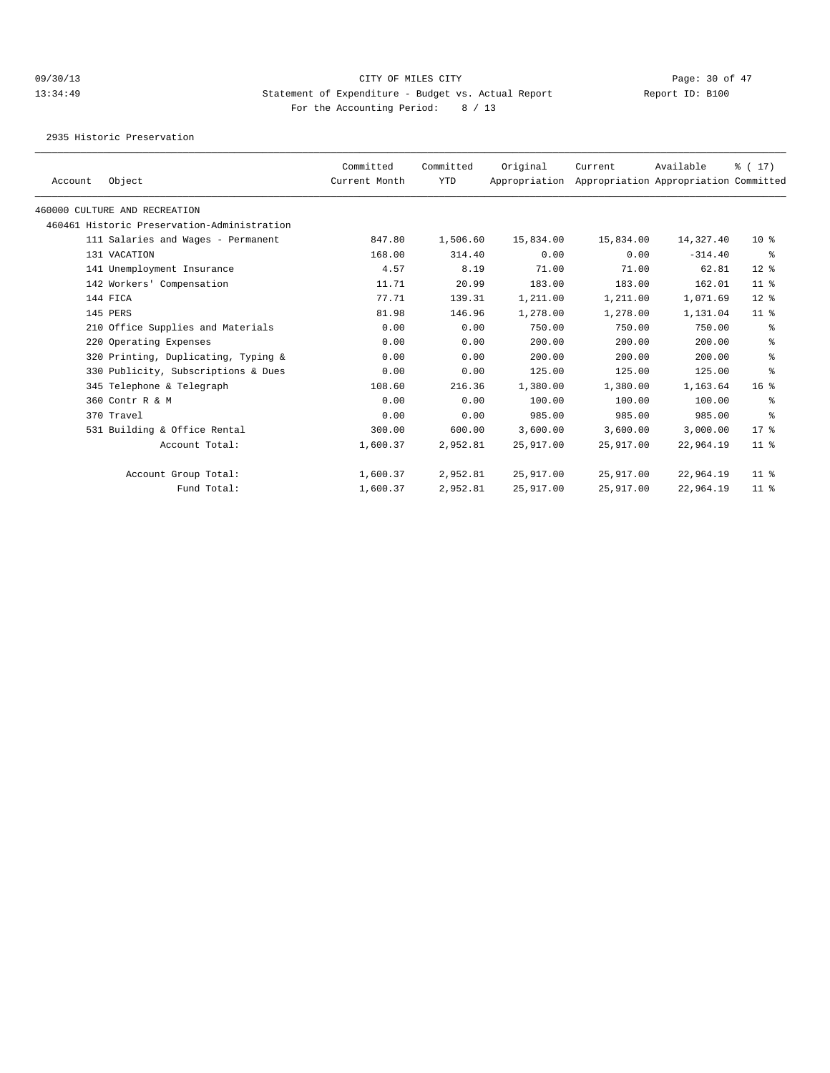2935 Historic Preservation

|         |                                             | Committed     | Committed  | Original      | Current   | Available                             | $\frac{1}{6}$ ( 17 ) |
|---------|---------------------------------------------|---------------|------------|---------------|-----------|---------------------------------------|----------------------|
| Account | Object                                      | Current Month | <b>YTD</b> | Appropriation |           | Appropriation Appropriation Committed |                      |
|         | 460000 CULTURE AND RECREATION               |               |            |               |           |                                       |                      |
|         | 460461 Historic Preservation-Administration |               |            |               |           |                                       |                      |
|         | 111 Salaries and Wages - Permanent          | 847.80        | 1,506.60   | 15,834.00     | 15,834.00 | 14,327.40                             | $10*$                |
|         | 131 VACATION                                | 168.00        | 314.40     | 0.00          | 0.00      | $-314.40$                             | ွေ                   |
|         | 141 Unemployment Insurance                  | 4.57          | 8.19       | 71.00         | 71.00     | 62.81                                 | $12$ %               |
|         | 142 Workers' Compensation                   | 11.71         | 20.99      | 183.00        | 183.00    | 162.01                                | $11$ %               |
|         | 144 FICA                                    | 77.71         | 139.31     | 1,211.00      | 1,211.00  | 1,071.69                              | 12 <sup>°</sup>      |
|         | 145 PERS                                    | 81.98         | 146.96     | 1,278.00      | 1,278.00  | 1,131.04                              | 11 <sup>8</sup>      |
|         | 210 Office Supplies and Materials           | 0.00          | 0.00       | 750.00        | 750.00    | 750.00                                | နွ                   |
|         | 220 Operating Expenses                      | 0.00          | 0.00       | 200.00        | 200.00    | 200.00                                | နွ                   |
|         | 320 Printing, Duplicating, Typing &         | 0.00          | 0.00       | 200.00        | 200.00    | 200.00                                | နွ                   |
|         | 330 Publicity, Subscriptions & Dues         | 0.00          | 0.00       | 125.00        | 125.00    | 125.00                                | န္                   |
|         | 345 Telephone & Telegraph                   | 108.60        | 216.36     | 1,380.00      | 1,380.00  | 1,163.64                              | 16 <sup>8</sup>      |
|         | 360 Contr R & M                             | 0.00          | 0.00       | 100.00        | 100.00    | 100.00                                | ႜ                    |
|         | 370 Travel                                  | 0.00          | 0.00       | 985.00        | 985.00    | 985.00                                | $\epsilon$           |
|         | 531 Building & Office Rental                | 300.00        | 600.00     | 3,600.00      | 3,600.00  | 3,000.00                              | $17*$                |
|         | Account Total:                              | 1,600.37      | 2,952.81   | 25,917.00     | 25,917.00 | 22,964.19                             | $11$ %               |
|         | Account Group Total:                        | 1,600.37      | 2,952.81   | 25,917.00     | 25,917.00 | 22,964.19                             | $11$ %               |
|         | Fund Total:                                 | 1,600.37      | 2,952.81   | 25,917.00     | 25,917.00 | 22,964.19                             | 11 <sup>8</sup>      |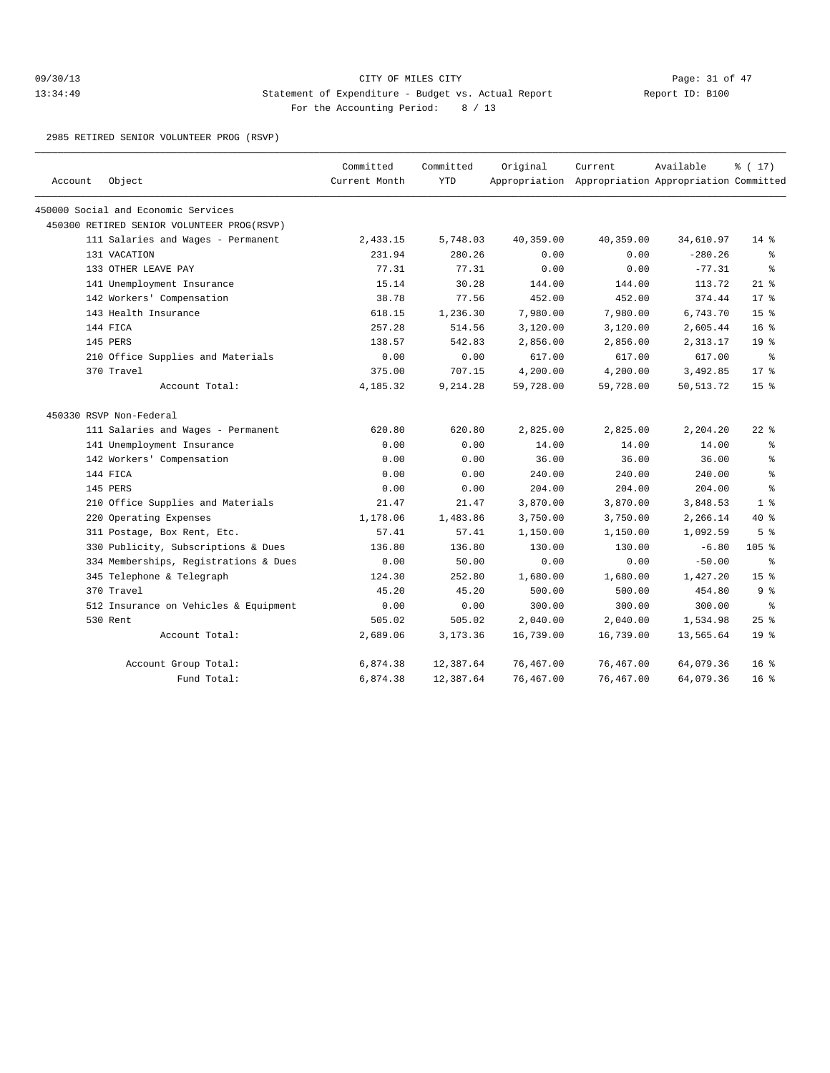## 09/30/13 Page: 31 of 47 13:34:49 Statement of Expenditure - Budget vs. Actual Report Changer Report ID: B100 For the Accounting Period: 8 / 13

2985 RETIRED SENIOR VOLUNTEER PROG (RSVP)

| Account | Object                                     | Committed<br>Current Month | Committed<br><b>YTD</b> | Original  | Current<br>Appropriation Appropriation Appropriation Committed | Available   | % (17)          |
|---------|--------------------------------------------|----------------------------|-------------------------|-----------|----------------------------------------------------------------|-------------|-----------------|
|         | 450000 Social and Economic Services        |                            |                         |           |                                                                |             |                 |
|         | 450300 RETIRED SENIOR VOLUNTEER PROG(RSVP) |                            |                         |           |                                                                |             |                 |
|         | 111 Salaries and Wages - Permanent         | 2,433.15                   | 5,748.03                | 40,359.00 | 40,359.00                                                      | 34,610.97   | $14*$           |
|         | 131 VACATION                               | 231.94                     | 280.26                  | 0.00      | 0.00                                                           | $-280.26$   | နွ              |
|         | 133 OTHER LEAVE PAY                        | 77.31                      | 77.31                   | 0.00      | 0.00                                                           | $-77.31$    | ႜೢ              |
|         | 141 Unemployment Insurance                 | 15.14                      | 30.28                   | 144.00    | 144.00                                                         | 113.72      | $21*$           |
|         | 142 Workers' Compensation                  | 38.78                      | 77.56                   | 452.00    | 452.00                                                         | 374.44      | 17.8            |
|         | 143 Health Insurance                       | 618.15                     | 1,236.30                | 7,980.00  | 7,980.00                                                       | 6,743.70    | 15 <sup>°</sup> |
|         | 144 FICA                                   | 257.28                     | 514.56                  | 3,120.00  | 3,120.00                                                       | 2,605.44    | 16 <sup>8</sup> |
|         | 145 PERS                                   | 138.57                     | 542.83                  | 2,856.00  | 2,856.00                                                       | 2,313.17    | 19 <sup>°</sup> |
|         | 210 Office Supplies and Materials          | 0.00                       | 0.00                    | 617.00    | 617.00                                                         | 617.00      | ွေ              |
|         | 370 Travel                                 | 375.00                     | 707.15                  | 4,200.00  | 4,200.00                                                       | 3,492.85    | 17.8            |
|         | Account Total:                             | 4,185.32                   | 9,214.28                | 59,728.00 | 59,728.00                                                      | 50, 513. 72 | 15 <sup>°</sup> |
|         | 450330 RSVP Non-Federal                    |                            |                         |           |                                                                |             |                 |
|         | 111 Salaries and Wages - Permanent         | 620.80                     | 620.80                  | 2,825.00  | 2,825.00                                                       | 2,204.20    | $22$ %          |
|         | 141 Unemployment Insurance                 | 0.00                       | 0.00                    | 14.00     | 14.00                                                          | 14.00       | နွ              |
|         | 142 Workers' Compensation                  | 0.00                       | 0.00                    | 36.00     | 36.00                                                          | 36.00       | ి               |
|         | 144 FICA                                   | 0.00                       | 0.00                    | 240.00    | 240.00                                                         | 240.00      | ి               |
|         | 145 PERS                                   | 0.00                       | 0.00                    | 204.00    | 204.00                                                         | 204.00      | ి               |
|         | 210 Office Supplies and Materials          | 21.47                      | 21.47                   | 3,870.00  | 3,870.00                                                       | 3,848.53    | 1 <sup>8</sup>  |
|         | 220 Operating Expenses                     | 1,178.06                   | 1,483.86                | 3,750.00  | 3,750.00                                                       | 2,266.14    | $40*$           |
|         | 311 Postage, Box Rent, Etc.                | 57.41                      | 57.41                   | 1,150.00  | 1,150.00                                                       | 1,092.59    | 5 <sup>°</sup>  |
|         | 330 Publicity, Subscriptions & Dues        | 136.80                     | 136.80                  | 130.00    | 130.00                                                         | $-6.80$     | $105$ %         |
|         | 334 Memberships, Registrations & Dues      | 0.00                       | 50.00                   | 0.00      | 0.00                                                           | $-50.00$    | ి               |
|         | 345 Telephone & Telegraph                  | 124.30                     | 252.80                  | 1,680.00  | 1,680.00                                                       | 1,427.20    | 15 <sup>8</sup> |
|         | 370 Travel                                 | 45.20                      | 45.20                   | 500.00    | 500.00                                                         | 454.80      | 9%              |
|         | 512 Insurance on Vehicles & Equipment      | 0.00                       | 0.00                    | 300.00    | 300.00                                                         | 300.00      | ి               |
|         | 530 Rent                                   | 505.02                     | 505.02                  | 2,040.00  | 2,040.00                                                       | 1,534.98    | $25$ %          |
|         | Account Total:                             | 2,689.06                   | 3, 173.36               | 16,739.00 | 16,739.00                                                      | 13,565.64   | 19 <sup>°</sup> |
|         | Account Group Total:                       | 6,874.38                   | 12,387.64               | 76,467.00 | 76,467.00                                                      | 64,079.36   | 16 <sup>8</sup> |
|         | Fund Total:                                | 6,874.38                   | 12,387.64               | 76,467.00 | 76,467.00                                                      | 64,079.36   | $16*$           |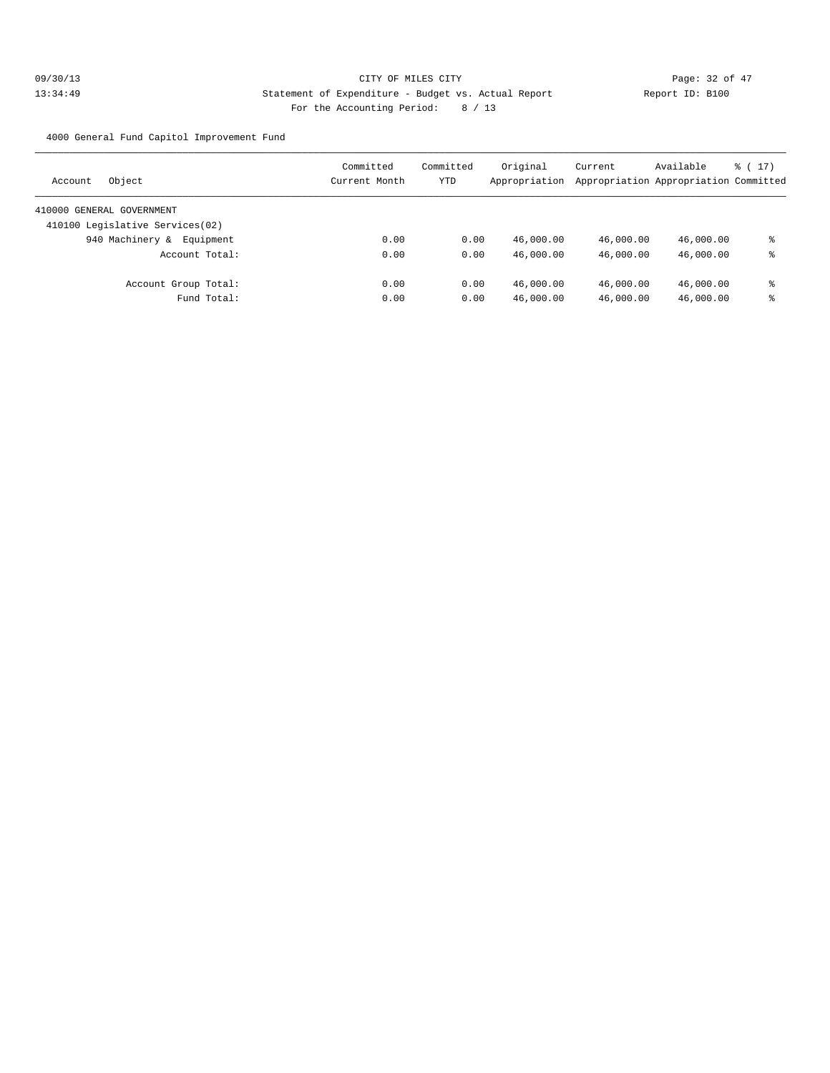4000 General Fund Capitol Improvement Fund

| Object<br>Account               | Committed<br>Current Month | Committed<br>YTD | Original<br>Appropriation | Current   | Available<br>Appropriation Appropriation Committed | $\frac{1}{2}$ (17) |
|---------------------------------|----------------------------|------------------|---------------------------|-----------|----------------------------------------------------|--------------------|
| 410000 GENERAL GOVERNMENT       |                            |                  |                           |           |                                                    |                    |
| 410100 Legislative Services(02) |                            |                  |                           |           |                                                    |                    |
| 940 Machinery &<br>Equipment    | 0.00                       | 0.00             | 46,000.00                 | 46,000.00 | 46,000.00                                          | ႜ                  |
| Account Total:                  | 0.00                       | 0.00             | 46,000.00                 | 46,000.00 | 46,000.00                                          | ႜ                  |
| Account Group Total:            | 0.00                       | 0.00             | 46,000.00                 | 46,000.00 | 46,000.00                                          | ႜ                  |
| Fund Total:                     | 0.00                       | 0.00             | 46,000.00                 | 46,000.00 | 46,000.00                                          | ႜ                  |
|                                 |                            |                  |                           |           |                                                    |                    |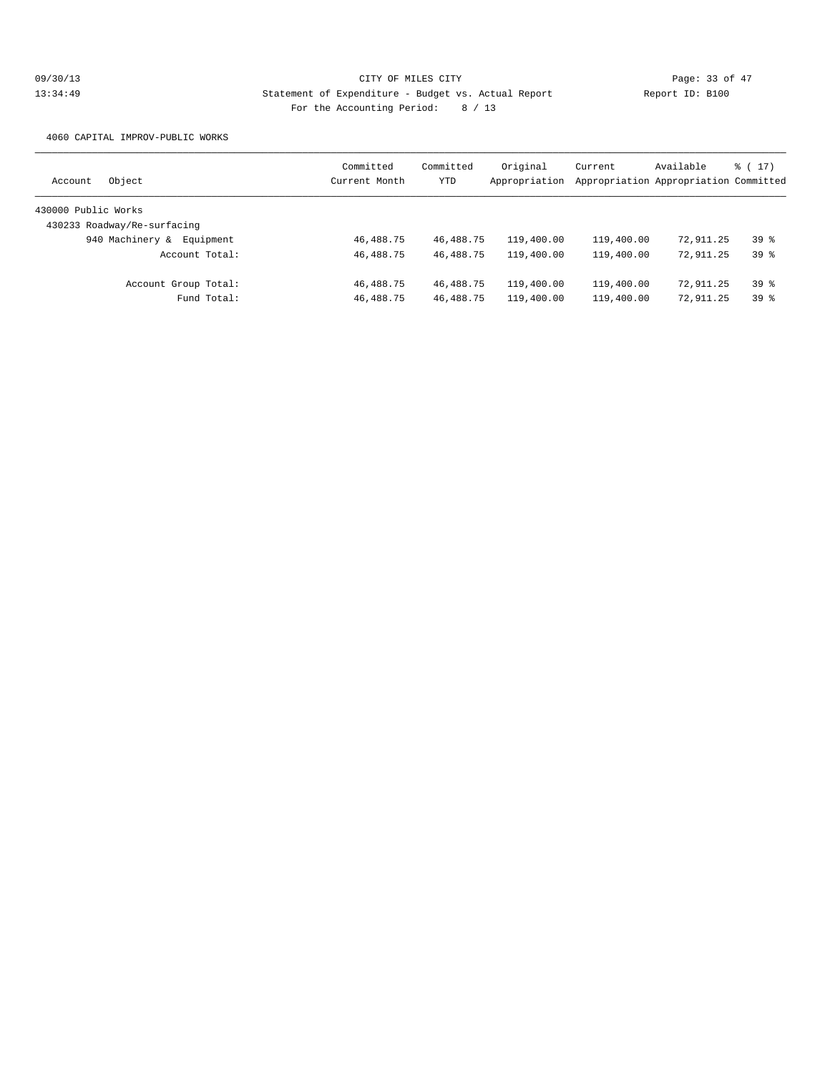4060 CAPITAL IMPROV-PUBLIC WORKS

| Object<br>Account            | Committed<br>Current Month | Committed<br>YTD | Original<br>Appropriation | Current    | Available<br>Appropriation Appropriation Committed | $\frac{1}{2}$ (17) |
|------------------------------|----------------------------|------------------|---------------------------|------------|----------------------------------------------------|--------------------|
| 430000 Public Works          |                            |                  |                           |            |                                                    |                    |
| 430233 Roadway/Re-surfacing  |                            |                  |                           |            |                                                    |                    |
| 940 Machinery &<br>Equipment | 46,488.75                  | 46, 488. 75      | 119,400.00                | 119,400.00 | 72,911.25                                          | 398                |
| Account Total:               | 46, 488. 75                | 46, 488. 75      | 119,400.00                | 119,400.00 | 72,911.25                                          | 398                |
| Account Group Total:         | 46,488.75                  | 46,488.75        | 119,400.00                | 119,400.00 | 72,911.25                                          | 398                |
| Fund Total:                  | 46,488.75                  | 46, 488. 75      | 119,400.00                | 119,400.00 | 72,911.25                                          | 39%                |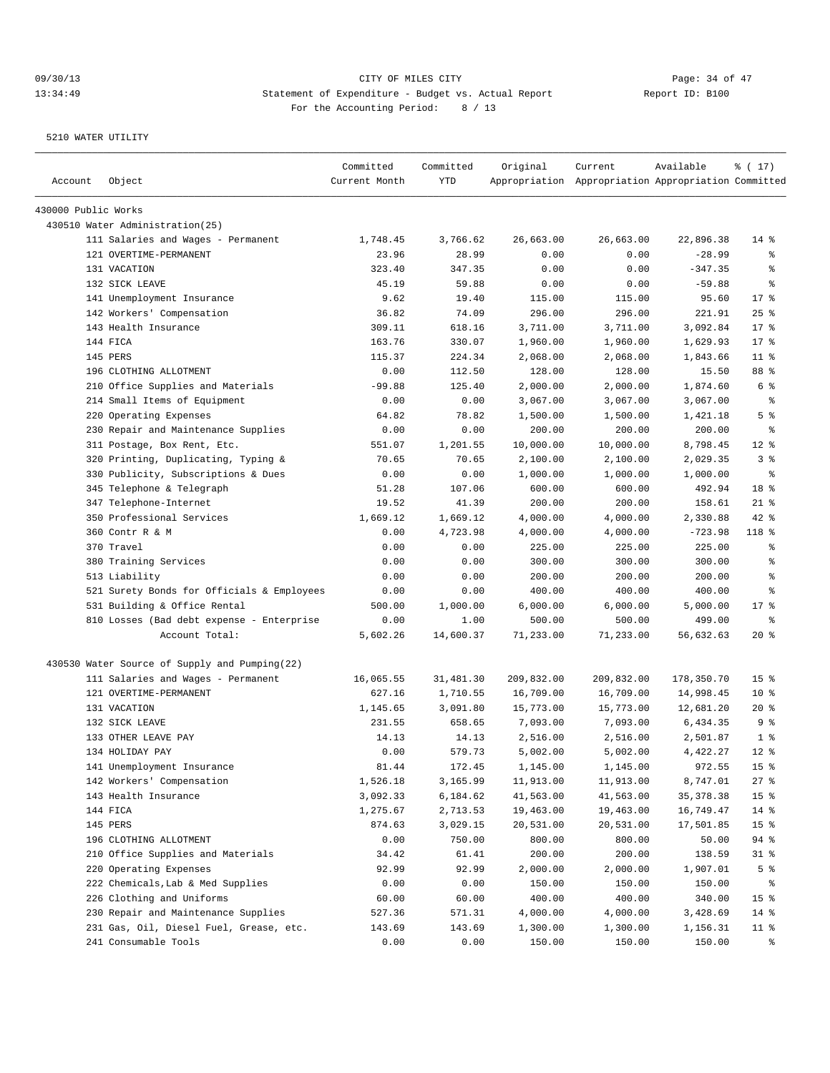| Account             | Object                                        | Committed<br>Current Month | Committed<br>YTD | Original   | Current<br>Appropriation Appropriation Appropriation Committed | Available  | % (17)          |
|---------------------|-----------------------------------------------|----------------------------|------------------|------------|----------------------------------------------------------------|------------|-----------------|
| 430000 Public Works |                                               |                            |                  |            |                                                                |            |                 |
|                     | 430510 Water Administration(25)               |                            |                  |            |                                                                |            |                 |
|                     | 111 Salaries and Wages - Permanent            | 1,748.45                   | 3,766.62         | 26,663.00  | 26,663.00                                                      | 22,896.38  | $14*$           |
|                     | 121 OVERTIME-PERMANENT                        | 23.96                      | 28.99            | 0.00       | 0.00                                                           | $-28.99$   | ႜ               |
|                     | 131 VACATION                                  | 323.40                     | 347.35           | 0.00       | 0.00                                                           | $-347.35$  | ి               |
|                     | 132 SICK LEAVE                                | 45.19                      | 59.88            | 0.00       | 0.00                                                           | $-59.88$   | ႜ               |
|                     | 141 Unemployment Insurance                    | 9.62                       | 19.40            | 115.00     | 115.00                                                         | 95.60      | $17*$           |
|                     | 142 Workers' Compensation                     | 36.82                      | 74.09            | 296.00     | 296.00                                                         | 221.91     | 25%             |
|                     | 143 Health Insurance                          | 309.11                     | 618.16           | 3,711.00   | 3,711.00                                                       | 3,092.84   | $17*$           |
|                     | 144 FICA                                      | 163.76                     | 330.07           | 1,960.00   | 1,960.00                                                       | 1,629.93   | $17*$           |
|                     | 145 PERS                                      | 115.37                     | 224.34           | 2,068.00   | 2,068.00                                                       | 1,843.66   | $11$ %          |
|                     | 196 CLOTHING ALLOTMENT                        | 0.00                       | 112.50           | 128.00     | 128.00                                                         | 15.50      | 88 %            |
|                     | 210 Office Supplies and Materials             | $-99.88$                   | 125.40           | 2,000.00   | 2,000.00                                                       | 1,874.60   | 6 %             |
|                     | 214 Small Items of Equipment                  | 0.00                       | 0.00             | 3,067.00   | 3,067.00                                                       | 3,067.00   | နွ              |
|                     | 220 Operating Expenses                        | 64.82                      | 78.82            | 1,500.00   | 1,500.00                                                       | 1,421.18   | 5 <sup>°</sup>  |
|                     | 230 Repair and Maintenance Supplies           | 0.00                       | 0.00             | 200.00     | 200.00                                                         | 200.00     | ႜ               |
|                     | 311 Postage, Box Rent, Etc.                   | 551.07                     | 1,201.55         | 10,000.00  | 10,000.00                                                      | 8,798.45   | $12*$           |
|                     | 320 Printing, Duplicating, Typing &           | 70.65                      | 70.65            | 2,100.00   | 2,100.00                                                       | 2,029.35   | 3 <sup>8</sup>  |
|                     | 330 Publicity, Subscriptions & Dues           | 0.00                       | 0.00             | 1,000.00   | 1,000.00                                                       | 1,000.00   | နွ              |
|                     | 345 Telephone & Telegraph                     | 51.28                      | 107.06           | 600.00     | 600.00                                                         | 492.94     | 18 %            |
|                     | 347 Telephone-Internet                        | 19.52                      | 41.39            | 200.00     | 200.00                                                         | 158.61     | $21$ %          |
|                     | 350 Professional Services                     | 1,669.12                   | 1,669.12         | 4,000.00   | 4,000.00                                                       | 2,330.88   | $42$ %          |
|                     | 360 Contr R & M                               | 0.00                       | 4,723.98         | 4,000.00   | 4,000.00                                                       | $-723.98$  | 118 %           |
|                     | 370 Travel                                    | 0.00                       | 0.00             | 225.00     | 225.00                                                         | 225.00     | နွ              |
|                     | 380 Training Services                         | 0.00                       | 0.00             | 300.00     | 300.00                                                         | 300.00     | န္              |
|                     | 513 Liability                                 | 0.00                       | 0.00             | 200.00     | 200.00                                                         | 200.00     | ႜ               |
|                     | 521 Surety Bonds for Officials & Employees    | 0.00                       | 0.00             | 400.00     | 400.00                                                         | 400.00     | နွ              |
|                     | 531 Building & Office Rental                  | 500.00                     | 1,000.00         | 6,000.00   | 6,000.00                                                       | 5,000.00   | $17*$           |
|                     | 810 Losses (Bad debt expense - Enterprise     | 0.00                       | 1.00             | 500.00     | 500.00                                                         | 499.00     | နွ              |
|                     | Account Total:                                | 5,602.26                   | 14,600.37        | 71,233.00  | 71,233.00                                                      | 56,632.63  | $20*$           |
|                     | 430530 Water Source of Supply and Pumping(22) |                            |                  |            |                                                                |            |                 |
|                     | 111 Salaries and Wages - Permanent            | 16,065.55                  | 31,481.30        | 209,832.00 | 209,832.00                                                     | 178,350.70 | 15 <sup>8</sup> |
|                     | 121 OVERTIME-PERMANENT                        | 627.16                     | 1,710.55         | 16,709.00  | 16,709.00                                                      | 14,998.45  | $10*$           |
|                     | 131 VACATION                                  | 1,145.65                   | 3,091.80         | 15,773.00  | 15,773.00                                                      | 12,681.20  | $20*$           |
|                     | 132 SICK LEAVE                                | 231.55                     | 658.65           | 7,093.00   | 7,093.00                                                       | 6,434.35   | 9 <sup>°</sup>  |
|                     | 133 OTHER LEAVE PAY                           | 14.13                      | 14.13            | 2,516.00   | 2,516.00                                                       | 2,501.87   | 1 <sup>°</sup>  |
|                     | 134 HOLIDAY PAY                               | 0.00                       | 579.73           | 5,002.00   | 5,002.00                                                       | 4,422.27   | $12*$           |
|                     | 141 Unemployment Insurance                    | 81.44                      | 172.45           | 1,145.00   | 1,145.00                                                       | 972.55     | 15 <sub>8</sub> |
|                     | 142 Workers' Compensation                     | 1,526.18                   | 3,165.99         | 11,913.00  | 11,913.00                                                      | 8,747.01   | 27%             |
|                     | 143 Health Insurance                          | 3,092.33                   | 6,184.62         | 41,563.00  | 41,563.00                                                      | 35, 378.38 | 15 <sub>8</sub> |
|                     | 144 FICA                                      | 1,275.67                   | 2,713.53         | 19,463.00  | 19,463.00                                                      | 16,749.47  | $14$ %          |
|                     | 145 PERS                                      | 874.63                     | 3,029.15         | 20,531.00  | 20,531.00                                                      | 17,501.85  | 15 <sub>8</sub> |
|                     | 196 CLOTHING ALLOTMENT                        | 0.00                       | 750.00           | 800.00     | 800.00                                                         | 50.00      | 94 %            |
|                     | 210 Office Supplies and Materials             | 34.42                      | 61.41            | 200.00     | 200.00                                                         | 138.59     | $31$ %          |
|                     | 220 Operating Expenses                        | 92.99                      | 92.99            | 2,000.00   | 2,000.00                                                       | 1,907.01   | 5 <sup>°</sup>  |
|                     | 222 Chemicals, Lab & Med Supplies             | 0.00                       | 0.00             | 150.00     | 150.00                                                         | 150.00     | နွ              |
|                     | 226 Clothing and Uniforms                     | 60.00                      | 60.00            | 400.00     | 400.00                                                         | 340.00     | 15 <sub>8</sub> |
|                     | 230 Repair and Maintenance Supplies           | 527.36                     | 571.31           | 4,000.00   | 4,000.00                                                       | 3,428.69   | 14 %            |
|                     | 231 Gas, Oil, Diesel Fuel, Grease, etc.       | 143.69                     | 143.69           | 1,300.00   | 1,300.00                                                       | 1,156.31   | 11 <sup>8</sup> |
|                     | 241 Consumable Tools                          | 0.00                       | 0.00             | 150.00     | 150.00                                                         | 150.00     | နွ              |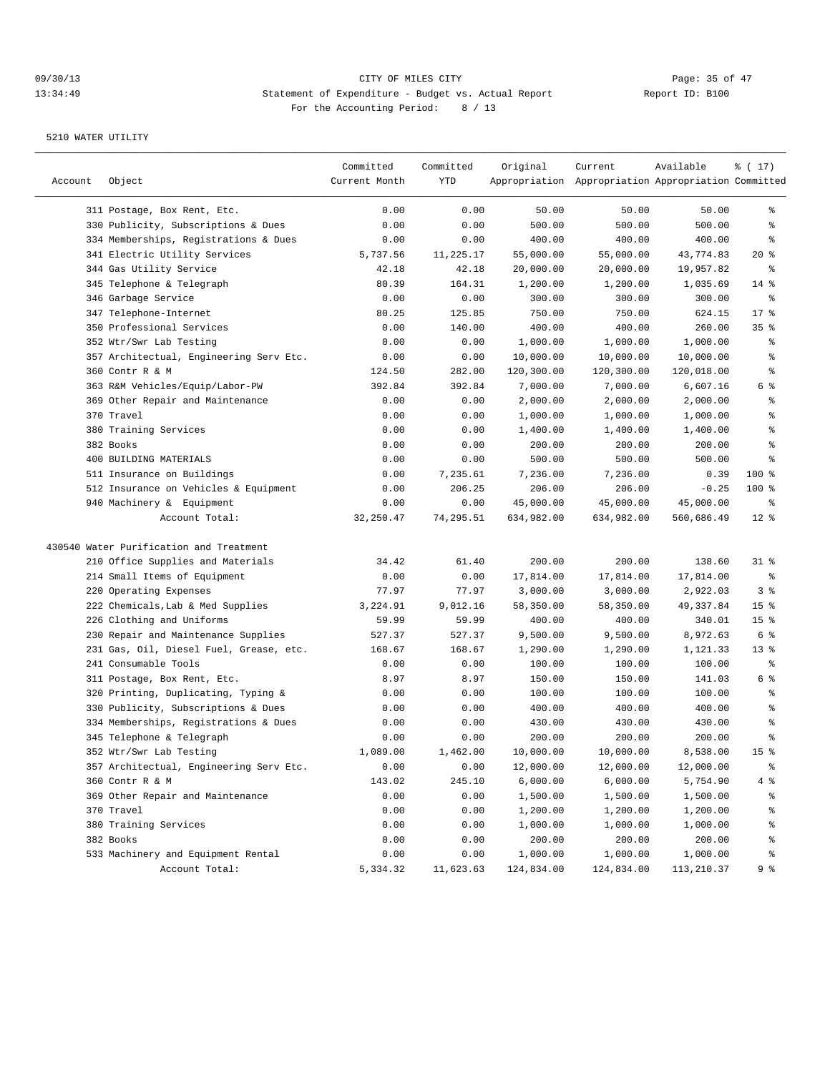|         |                                         | Committed     | Committed         | Original   | Current                                             | Available          | ៖ ( 17)                  |
|---------|-----------------------------------------|---------------|-------------------|------------|-----------------------------------------------------|--------------------|--------------------------|
| Account | Object                                  | Current Month | YTD               |            | Appropriation Appropriation Appropriation Committed |                    |                          |
|         | 311 Postage, Box Rent, Etc.             | 0.00          | 0.00              | 50.00      | 50.00                                               | 50.00              | ွေ                       |
|         | 330 Publicity, Subscriptions & Dues     | 0.00          | 0.00              | 500.00     | 500.00                                              | 500.00             | ి                        |
|         | 334 Memberships, Registrations & Dues   | 0.00          | 0.00              | 400.00     | 400.00                                              | 400.00             | ႜ                        |
|         | 341 Electric Utility Services           | 5,737.56      | 11,225.17         | 55,000.00  | 55,000.00                                           | 43,774.83          | $20*$                    |
|         | 344 Gas Utility Service                 | 42.18         | 42.18             | 20,000.00  | 20,000.00                                           | 19,957.82          | နွ                       |
|         | 345 Telephone & Telegraph               | 80.39         | 164.31            | 1,200.00   | 1,200.00                                            | 1,035.69           | $14$ %                   |
|         | 346 Garbage Service                     | 0.00          | 0.00              | 300.00     | 300.00                                              | 300.00             | ႜ                        |
|         | 347 Telephone-Internet                  | 80.25         | 125.85            | 750.00     | 750.00                                              | 624.15             | $17*$                    |
|         | 350 Professional Services               | 0.00          | 140.00            | 400.00     | 400.00                                              | 260.00             | 35%                      |
|         | 352 Wtr/Swr Lab Testing                 | 0.00          | 0.00              | 1,000.00   | 1,000.00                                            | 1,000.00           | န္                       |
|         | 357 Architectual, Engineering Serv Etc. | 0.00          | 0.00              | 10,000.00  | 10,000.00                                           | 10,000.00          | န္                       |
|         | 360 Contr R & M                         | 124.50        | 282.00            | 120,300.00 | 120,300.00                                          | 120,018.00         | နွ                       |
|         | 363 R&M Vehicles/Equip/Labor-PW         | 392.84        | 392.84            | 7,000.00   | 7,000.00                                            | 6,607.16           | 6 %                      |
|         | 369 Other Repair and Maintenance        | 0.00          | 0.00              | 2,000.00   | 2,000.00                                            | 2,000.00           | န္                       |
|         | 370 Travel                              | 0.00          | 0.00              | 1,000.00   | 1,000.00                                            | 1,000.00           | န္                       |
|         | 380 Training Services                   | 0.00          | 0.00              | 1,400.00   | 1,400.00                                            | 1,400.00           | န္                       |
|         | 382 Books                               | 0.00          | 0.00              | 200.00     | 200.00                                              | 200.00             | ి                        |
|         | 400 BUILDING MATERIALS                  | 0.00          | 0.00              | 500.00     | 500.00                                              | 500.00             | ి                        |
|         | 511 Insurance on Buildings              | 0.00          | 7,235.61          | 7,236.00   | 7,236.00                                            | 0.39               | 100 %                    |
|         | 512 Insurance on Vehicles & Equipment   | 0.00          | 206.25            | 206.00     | 206.00                                              | $-0.25$            | 100 %                    |
|         | 940 Machinery & Equipment               | 0.00          | 0.00              | 45,000.00  | 45,000.00                                           | 45,000.00          | ႜ                        |
|         | Account Total:                          | 32, 250.47    | 74,295.51         | 634,982.00 | 634,982.00                                          | 560,686.49         | $12*$                    |
|         | 430540 Water Purification and Treatment |               |                   |            |                                                     |                    |                          |
|         | 210 Office Supplies and Materials       | 34.42         | 61.40             | 200.00     | 200.00                                              | 138.60             | $31$ %                   |
|         | 214 Small Items of Equipment            | 0.00          | 0.00              | 17,814.00  | 17,814.00                                           | 17,814.00          | နွ                       |
|         | 220 Operating Expenses                  | 77.97         | 77.97             | 3,000.00   | 3,000.00                                            | 2,922.03           | 3 <sup>°</sup>           |
|         | 222 Chemicals, Lab & Med Supplies       | 3,224.91      | 9,012.16          | 58,350.00  | 58,350.00                                           | 49,337.84          | 15 <sup>8</sup>          |
|         | 226 Clothing and Uniforms               | 59.99         | 59.99             | 400.00     | 400.00                                              | 340.01             | 15 <sup>8</sup>          |
|         | 230 Repair and Maintenance Supplies     | 527.37        | 527.37            | 9,500.00   | 9,500.00                                            | 8,972.63           | 6 %                      |
|         | 231 Gas, Oil, Diesel Fuel, Grease, etc. | 168.67        | 168.67            | 1,290.00   | 1,290.00                                            | 1,121.33           | $13*$                    |
|         | 241 Consumable Tools                    | 0.00          | 0.00              | 100.00     | 100.00                                              | 100.00             | ႜ                        |
|         | 311 Postage, Box Rent, Etc.             | 8.97          | 8.97              | 150.00     | 150.00                                              | 141.03             | 6 %                      |
|         | 320 Printing, Duplicating, Typing &     | 0.00          | 0.00              | 100.00     | 100.00                                              | 100.00             | န္                       |
| 330     | Publicity, Subscriptions & Dues         | 0.00          | 0.00              | 400.00     | 400.00                                              | 400.00             | န္                       |
|         | 334 Memberships, Registrations & Dues   | 0.00          | 0.00              | 430.00     | 430.00                                              | 430.00             | န္                       |
|         | 345 Telephone & Telegraph               | 0.00          | 0.00              | 200.00     | 200.00                                              | 200.00             | ి                        |
|         | 352 Wtr/Swr Lab Testing                 | 1,089.00      | 1,462.00          | 10,000.00  | 10,000.00                                           | 8,538.00           | 15 <sup>°</sup>          |
|         | 357 Architectual, Engineering Serv Etc. |               |                   | 12,000.00  | 12,000.00                                           | 12,000.00          | $\,{}^{\circ}\!\!\delta$ |
|         | 360 Contr R & M                         | 0.00          | 0.00              | 6,000.00   |                                                     | 5,754.90           |                          |
|         |                                         | 143.02        | 245.10            |            | 6,000.00                                            |                    | 4%                       |
|         | 369 Other Repair and Maintenance        | 0.00          | 0.00              | 1,500.00   | 1,500.00                                            | 1,500.00           | န္စ                      |
|         | 370 Travel<br>380 Training Services     | 0.00          | 0.00              | 1,200.00   | 1,200.00                                            | 1,200.00           | $\,{}^{\circ}\!\!\delta$ |
|         |                                         | 0.00          | 0.00              | 1,000.00   | 1,000.00                                            | 1,000.00           | ိင                       |
|         | 382 Books                               | 0.00          | 0.00              | 200.00     | 200.00                                              | 200.00<br>1,000.00 | ိန                       |
|         | 533 Machinery and Equipment Rental      | 0.00          | 0.00<br>11,623.63 | 1,000.00   | 1,000.00                                            |                    | ိင                       |
|         | Account Total:                          | 5,334.32      |                   | 124,834.00 | 124,834.00                                          | 113,210.37         | 9%                       |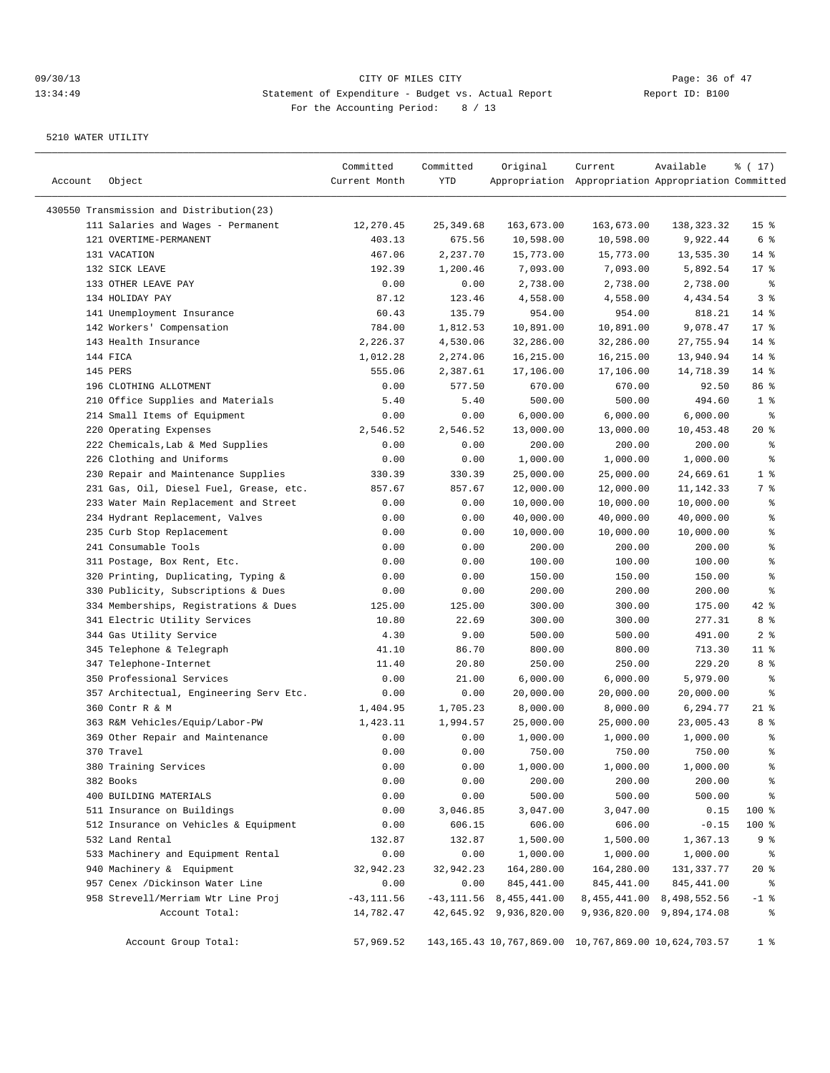| Account | Object                                                       | Committed<br>Current Month | Committed<br>YTD     | Original                     | Current<br>Appropriation Appropriation Appropriation Committed  | Available                     | ៖ ( 17)                  |
|---------|--------------------------------------------------------------|----------------------------|----------------------|------------------------------|-----------------------------------------------------------------|-------------------------------|--------------------------|
|         |                                                              |                            |                      |                              |                                                                 |                               |                          |
|         | 430550 Transmission and Distribution(23)                     |                            |                      |                              |                                                                 |                               | 15 <sup>°</sup>          |
|         | 111 Salaries and Wages - Permanent<br>121 OVERTIME-PERMANENT | 12,270.45<br>403.13        | 25, 349.68<br>675.56 | 163,673.00<br>10,598.00      | 163,673.00<br>10,598.00                                         | 138,323.32<br>9,922.44        | 6 %                      |
|         | 131 VACATION                                                 | 467.06                     | 2,237.70             | 15,773.00                    | 15,773.00                                                       | 13,535.30                     | $14*$                    |
|         | 132 SICK LEAVE                                               | 192.39                     | 1,200.46             | 7,093.00                     | 7,093.00                                                        | 5,892.54                      | $17*$                    |
|         | 133 OTHER LEAVE PAY                                          | 0.00                       | 0.00                 | 2,738.00                     | 2,738.00                                                        | 2,738.00                      | နွ                       |
|         | 134 HOLIDAY PAY                                              | 87.12                      | 123.46               | 4,558.00                     | 4,558.00                                                        | 4,434.54                      | 3%                       |
|         | 141 Unemployment Insurance                                   | 60.43                      | 135.79               | 954.00                       | 954.00                                                          | 818.21                        | $14*$                    |
|         | 142 Workers' Compensation                                    | 784.00                     | 1,812.53             | 10,891.00                    | 10,891.00                                                       | 9,078.47                      | 17.8                     |
|         | 143 Health Insurance                                         | 2,226.37                   | 4,530.06             | 32,286.00                    | 32,286.00                                                       | 27,755.94                     | $14$ %                   |
|         | 144 FICA                                                     | 1,012.28                   | 2,274.06             | 16,215.00                    | 16,215.00                                                       | 13,940.94                     | $14$ %                   |
|         | 145 PERS                                                     | 555.06                     | 2,387.61             | 17,106.00                    | 17,106.00                                                       | 14,718.39                     | $14$ %                   |
|         | 196 CLOTHING ALLOTMENT                                       | 0.00                       | 577.50               | 670.00                       | 670.00                                                          | 92.50                         | 86 %                     |
|         | 210 Office Supplies and Materials                            | 5.40                       | 5.40                 | 500.00                       | 500.00                                                          | 494.60                        | 1 <sup>8</sup>           |
|         | 214 Small Items of Equipment                                 | 0.00                       | 0.00                 | 6,000.00                     | 6,000.00                                                        | 6,000.00                      | နွ                       |
|         | 220 Operating Expenses                                       | 2,546.52                   | 2,546.52             | 13,000.00                    | 13,000.00                                                       | 10,453.48                     | $20*$                    |
|         | 222 Chemicals, Lab & Med Supplies                            | 0.00                       | 0.00                 | 200.00                       | 200.00                                                          | 200.00                        | နွ                       |
|         | 226 Clothing and Uniforms                                    | 0.00                       | 0.00                 | 1,000.00                     | 1,000.00                                                        | 1,000.00                      | ి                        |
|         | 230 Repair and Maintenance Supplies                          | 330.39                     | 330.39               | 25,000.00                    | 25,000.00                                                       | 24,669.61                     | 1 <sup>°</sup>           |
|         | 231 Gas, Oil, Diesel Fuel, Grease, etc.                      | 857.67                     | 857.67               | 12,000.00                    | 12,000.00                                                       | 11, 142. 33                   | 7 %                      |
|         | 233 Water Main Replacement and Street                        | 0.00                       | 0.00                 | 10,000.00                    | 10,000.00                                                       | 10,000.00                     | နွ                       |
|         | 234 Hydrant Replacement, Valves                              | 0.00                       | 0.00                 | 40,000.00                    | 40,000.00                                                       | 40,000.00                     | ి                        |
|         | 235 Curb Stop Replacement                                    | 0.00                       | 0.00                 | 10,000.00                    | 10,000.00                                                       | 10,000.00                     | န္                       |
|         | 241 Consumable Tools                                         | 0.00                       | 0.00                 | 200.00                       | 200.00                                                          | 200.00                        | $\,$ %                   |
|         | 311 Postage, Box Rent, Etc.                                  | 0.00                       | 0.00                 | 100.00                       | 100.00                                                          | 100.00                        | $\epsilon$               |
|         | 320 Printing, Duplicating, Typing &                          | 0.00                       | 0.00                 | 150.00                       | 150.00                                                          | 150.00                        | $\epsilon$               |
|         | 330 Publicity, Subscriptions & Dues                          | 0.00                       | 0.00                 | 200.00                       | 200.00                                                          | 200.00                        | ి                        |
|         | 334 Memberships, Registrations & Dues                        | 125.00                     | 125.00               | 300.00                       | 300.00                                                          | 175.00                        | 42 %                     |
|         | 341 Electric Utility Services                                | 10.80                      | 22.69                | 300.00                       | 300.00                                                          | 277.31                        | 8 %                      |
|         | 344 Gas Utility Service                                      | 4.30                       | 9.00                 | 500.00                       | 500.00                                                          | 491.00                        | 2 <sup>8</sup>           |
|         | 345 Telephone & Telegraph                                    | 41.10                      | 86.70                | 800.00                       | 800.00                                                          | 713.30                        | $11$ %                   |
|         | 347 Telephone-Internet                                       | 11.40                      | 20.80                | 250.00                       | 250.00                                                          | 229.20                        | 8 %                      |
|         | 350 Professional Services                                    | 0.00                       | 21.00                | 6,000.00                     | 6,000.00                                                        | 5,979.00                      | ႜ                        |
|         | 357 Architectual, Engineering Serv Etc.                      | 0.00                       | 0.00                 | 20,000.00                    | 20,000.00                                                       | 20,000.00                     | နွ                       |
|         | 360 Contr R & M                                              | 1,404.95                   | 1,705.23             | 8,000.00                     | 8,000.00                                                        | 6,294.77                      | $21$ %                   |
|         | 363 R&M Vehicles/Equip/Labor-PW                              | 1,423.11                   | 1,994.57             | 25,000.00                    | 25,000.00                                                       | 23,005.43                     | 8 %                      |
|         | 369 Other Repair and Maintenance                             | 0.00                       | 0.00                 | 1,000.00                     | 1,000.00                                                        | 1,000.00                      | ್ಠಿ                      |
|         | 370 Travel                                                   | 0.00                       | 0.00                 | 750.00                       | 750.00                                                          | 750.00                        | ి                        |
|         | 380 Training Services                                        | 0.00                       | 0.00                 | 1,000.00                     | 1,000.00                                                        | 1,000.00                      | ៖                        |
|         | 382 Books                                                    | 0.00                       | 0.00                 | 200.00                       | 200.00                                                          | 200.00                        | $\,{}^{\circ}\!$         |
|         | 400 BUILDING MATERIALS                                       | 0.00                       | 0.00                 | 500.00                       | 500.00                                                          | 500.00                        | $\,{}^{\circ}\!\!\delta$ |
|         | 511 Insurance on Buildings                                   | 0.00                       | 3,046.85             | 3,047.00                     | 3,047.00                                                        | 0.15                          | 100 %                    |
|         | 512 Insurance on Vehicles & Equipment                        | 0.00                       | 606.15               | 606.00                       | 606.00                                                          | $-0.15$                       | 100 %                    |
|         | 532 Land Rental                                              | 132.87                     | 132.87               | 1,500.00                     | 1,500.00                                                        | 1,367.13                      | 9%                       |
|         | 533 Machinery and Equipment Rental                           | 0.00                       | 0.00                 | 1,000.00                     | 1,000.00                                                        | 1,000.00                      | နွ                       |
|         | 940 Machinery & Equipment                                    | 32,942.23                  | 32,942.23            | 164,280.00                   | 164,280.00                                                      | 131,337.77                    | $20*$                    |
|         | 957 Cenex /Dickinson Water Line                              | 0.00                       | 0.00                 | 845, 441.00                  | 845,441.00                                                      | 845,441.00                    | ႜૢ                       |
|         | 958 Strevell/Merriam Wtr Line Proj                           | $-43, 111.56$              |                      | $-43, 111.56$ 8, 455, 441.00 |                                                                 | 8, 455, 441.00 8, 498, 552.56 | $-1$ %                   |
|         | Account Total:                                               | 14,782.47                  |                      | 42,645.92 9,936,820.00       |                                                                 | 9,936,820.00 9,894,174.08     | နွ                       |
|         | Account Group Total:                                         | 57,969.52                  |                      |                              | 143, 165. 43 10, 767, 869. 00 10, 767, 869. 00 10, 624, 703. 57 |                               | 1 <sup>8</sup>           |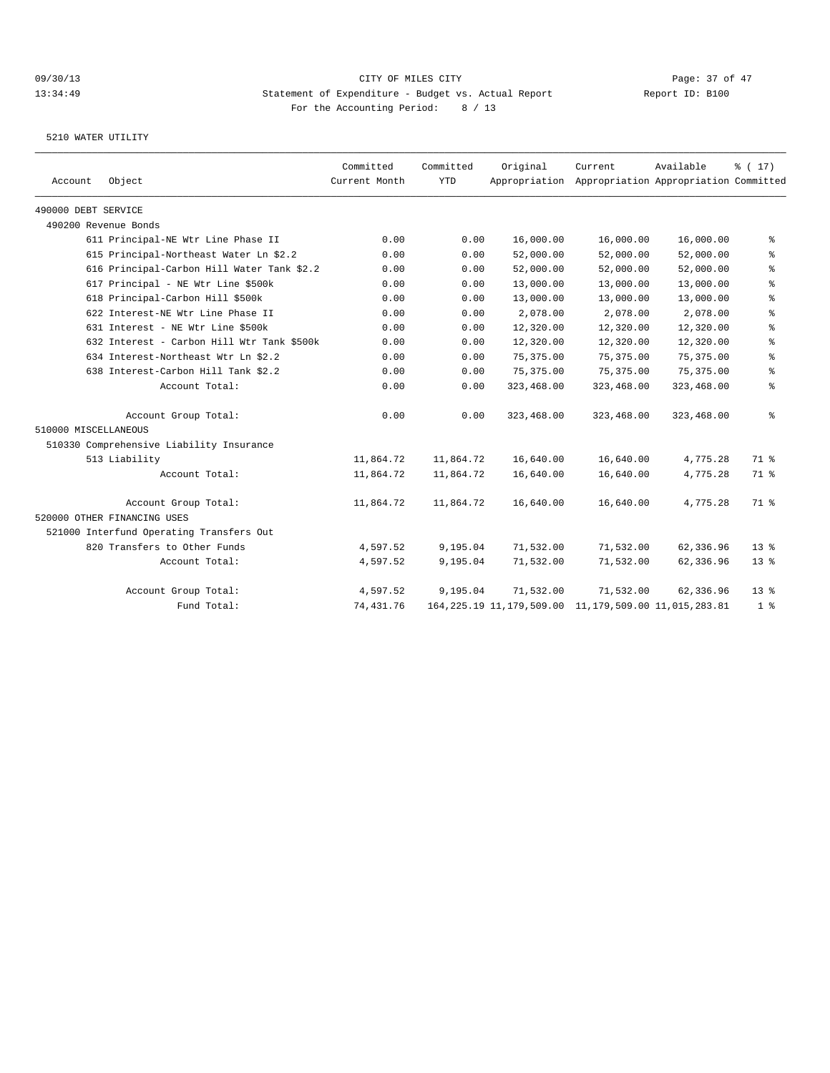| Account              | Object                                     | Committed<br>Current Month | Committed<br><b>YTD</b> | Original                                                    | Current<br>Appropriation Appropriation Appropriation Committed | Available  | $\frac{1}{6}$ ( 17) |
|----------------------|--------------------------------------------|----------------------------|-------------------------|-------------------------------------------------------------|----------------------------------------------------------------|------------|---------------------|
|                      |                                            |                            |                         |                                                             |                                                                |            |                     |
| 490000 DEBT SERVICE  |                                            |                            |                         |                                                             |                                                                |            |                     |
|                      | 490200 Revenue Bonds                       |                            |                         |                                                             |                                                                |            |                     |
|                      | 611 Principal-NE Wtr Line Phase II         | 0.00                       | 0.00                    | 16,000.00                                                   | 16,000.00                                                      | 16,000.00  | နွ                  |
|                      | 615 Principal-Northeast Water Ln \$2.2     | 0.00                       | 0.00                    | 52,000.00                                                   | 52,000.00                                                      | 52,000.00  | နွ                  |
|                      | 616 Principal-Carbon Hill Water Tank \$2.2 | 0.00                       | 0.00                    | 52,000.00                                                   | 52,000.00                                                      | 52,000.00  | ి                   |
|                      | 617 Principal - NE Wtr Line \$500k         | 0.00                       | 0.00                    | 13,000.00                                                   | 13,000.00                                                      | 13,000.00  | $\,$ %              |
|                      | 618 Principal-Carbon Hill \$500k           | 0.00                       | 0.00                    | 13,000.00                                                   | 13,000.00                                                      | 13,000.00  | $\,$ %              |
|                      | 622 Interest-NE Wtr Line Phase II          | 0.00                       | 0.00                    | 2,078.00                                                    | 2,078.00                                                       | 2,078.00   | နွ                  |
|                      | 631 Interest - NE Wtr Line \$500k          | 0.00                       | 0.00                    | 12,320.00                                                   | 12,320.00                                                      | 12,320.00  | နွ                  |
|                      | 632 Interest - Carbon Hill Wtr Tank \$500k | 0.00                       | 0.00                    | 12,320.00                                                   | 12,320.00                                                      | 12,320.00  | နွ                  |
|                      | 634 Interest-Northeast Wtr Ln \$2.2        | 0.00                       | 0.00                    | 75, 375, 00                                                 | 75, 375, 00                                                    | 75,375.00  | ి                   |
|                      | 638 Interest-Carbon Hill Tank \$2.2        | 0.00                       | 0.00                    | 75, 375.00                                                  | 75,375.00                                                      | 75,375.00  | နွ                  |
|                      | Account Total:                             | 0.00                       | 0.00                    | 323,468.00                                                  | 323,468.00                                                     | 323,468.00 | နွ                  |
|                      | Account Group Total:                       | 0.00                       | 0.00                    | 323,468.00                                                  | 323,468.00                                                     | 323,468.00 | နွ                  |
| 510000 MISCELLANEOUS |                                            |                            |                         |                                                             |                                                                |            |                     |
|                      | 510330 Comprehensive Liability Insurance   |                            |                         |                                                             |                                                                |            |                     |
|                      | 513 Liability                              | 11,864.72                  | 11,864.72               | 16,640.00                                                   | 16,640.00                                                      | 4,775.28   | 71.8                |
|                      | Account Total:                             | 11,864.72                  | 11,864.72               | 16,640.00                                                   | 16,640.00                                                      | 4,775.28   | 71 %                |
|                      | Account Group Total:                       | 11,864.72                  | 11,864.72               | 16,640.00                                                   | 16,640.00                                                      | 4,775.28   | 71 %                |
|                      | 520000 OTHER FINANCING USES                |                            |                         |                                                             |                                                                |            |                     |
|                      | 521000 Interfund Operating Transfers Out   |                            |                         |                                                             |                                                                |            |                     |
|                      | 820 Transfers to Other Funds               | 4,597.52                   | 9,195.04                | 71,532.00                                                   | 71,532.00                                                      | 62,336.96  | $13*$               |
|                      | Account Total:                             | 4,597.52                   | 9,195.04                | 71,532.00                                                   | 71,532.00                                                      | 62,336.96  | 13 <sup>8</sup>     |
|                      | Account Group Total:                       | 4,597.52                   | 9,195.04                | 71,532.00                                                   | 71,532.00                                                      | 62,336.96  | 13 <sup>8</sup>     |
|                      | Fund Total:                                | 74,431.76                  |                         | 164, 225.19 11, 179, 509.00 11, 179, 509.00 11, 015, 283.81 |                                                                |            | 1 <sup>8</sup>      |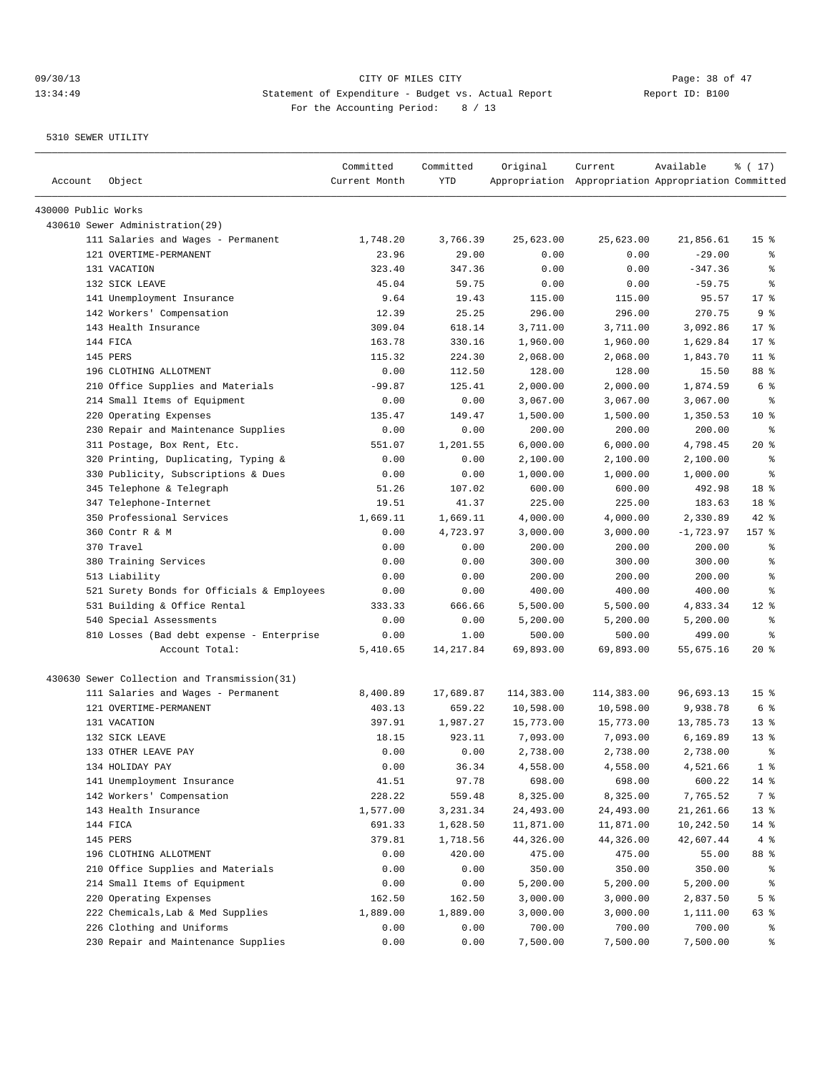## 09/30/13 Page: 38 of 47<br>13:34:49 CITY OF MILES CITY CITY Actual Report Page: 38 of 47<br>13:34:49 Statement of Expenditure - Budget vs. Actual Report Page: 28 of 47 13:34:49 Statement of Expenditure - Budget vs. Actual Report For the Accounting Period: 8 / 13

| Account             | Object                                       | Committed<br>Current Month | Committed<br>YTD | Original   | Current<br>Appropriation Appropriation Appropriation Committed | Available   | % (17)           |
|---------------------|----------------------------------------------|----------------------------|------------------|------------|----------------------------------------------------------------|-------------|------------------|
| 430000 Public Works |                                              |                            |                  |            |                                                                |             |                  |
|                     | 430610 Sewer Administration(29)              |                            |                  |            |                                                                |             |                  |
|                     | 111 Salaries and Wages - Permanent           | 1,748.20                   | 3,766.39         | 25,623.00  | 25,623.00                                                      | 21,856.61   | 15 <sup>°</sup>  |
|                     | 121 OVERTIME-PERMANENT                       | 23.96                      | 29.00            | 0.00       | 0.00                                                           | $-29.00$    | ႜ                |
|                     | 131 VACATION                                 | 323.40                     | 347.36           | 0.00       | 0.00                                                           | $-347.36$   | ి                |
|                     | 132 SICK LEAVE                               | 45.04                      | 59.75            | 0.00       | 0.00                                                           | $-59.75$    | ి                |
|                     | 141 Unemployment Insurance                   | 9.64                       | 19.43            | 115.00     | 115.00                                                         | 95.57       | $17*$            |
|                     | 142 Workers' Compensation                    | 12.39                      | 25.25            | 296.00     | 296.00                                                         | 270.75      | 9 %              |
|                     | 143 Health Insurance                         | 309.04                     | 618.14           | 3,711.00   | 3,711.00                                                       | 3,092.86    | $17$ %           |
|                     | 144 FICA                                     | 163.78                     | 330.16           | 1,960.00   | 1,960.00                                                       | 1,629.84    | $17*$            |
|                     | 145 PERS                                     | 115.32                     | 224.30           | 2,068.00   | 2,068.00                                                       | 1,843.70    | $11$ %           |
|                     | 196 CLOTHING ALLOTMENT                       | 0.00                       | 112.50           | 128.00     | 128.00                                                         | 15.50       | 88 %             |
|                     | 210 Office Supplies and Materials            | $-99.87$                   | 125.41           | 2,000.00   | 2,000.00                                                       | 1,874.59    | 6 %              |
|                     | 214 Small Items of Equipment                 | 0.00                       | 0.00             | 3,067.00   | 3,067.00                                                       | 3,067.00    | နွ               |
|                     | 220 Operating Expenses                       | 135.47                     | 149.47           | 1,500.00   | 1,500.00                                                       | 1,350.53    | $10*$            |
|                     | 230 Repair and Maintenance Supplies          | 0.00                       | 0.00             | 200.00     | 200.00                                                         | 200.00      | ႜ                |
|                     | 311 Postage, Box Rent, Etc.                  | 551.07                     | 1,201.55         | 6,000.00   | 6,000.00                                                       | 4,798.45    | $20*$            |
|                     | 320 Printing, Duplicating, Typing &          | 0.00                       | 0.00             | 2,100.00   | 2,100.00                                                       | 2,100.00    | နွ               |
|                     | 330 Publicity, Subscriptions & Dues          | 0.00                       | 0.00             | 1,000.00   | 1,000.00                                                       | 1,000.00    | $\epsilon$       |
|                     | 345 Telephone & Telegraph                    | 51.26                      | 107.02           | 600.00     | 600.00                                                         | 492.98      | 18 %             |
|                     | 347 Telephone-Internet                       | 19.51                      | 41.37            | 225.00     | 225.00                                                         | 183.63      | 18 %             |
|                     | 350 Professional Services                    | 1,669.11                   | 1,669.11         | 4,000.00   | 4,000.00                                                       | 2,330.89    | 42 %             |
|                     | 360 Contr R & M                              | 0.00                       | 4,723.97         | 3,000.00   | 3,000.00                                                       | $-1,723.97$ | 157 %            |
|                     | 370 Travel                                   | 0.00                       | 0.00             | 200.00     | 200.00                                                         | 200.00      | ႜ                |
|                     | 380 Training Services                        | 0.00                       | 0.00             | 300.00     | 300.00                                                         | 300.00      | ి                |
|                     | 513 Liability                                | 0.00                       | 0.00             | 200.00     | 200.00                                                         | 200.00      | ి                |
|                     | 521 Surety Bonds for Officials & Employees   | 0.00                       | 0.00             | 400.00     | 400.00                                                         | 400.00      | ి                |
|                     | 531 Building & Office Rental                 | 333.33                     | 666.66           | 5,500.00   | 5,500.00                                                       | 4,833.34    | $12*$            |
|                     | 540 Special Assessments                      | 0.00                       | 0.00             | 5,200.00   | 5,200.00                                                       | 5,200.00    | $\,{}^{\circ}\!$ |
|                     | 810 Losses (Bad debt expense - Enterprise    | 0.00                       | 1.00             | 500.00     | 500.00                                                         | 499.00      | ႜ                |
|                     | Account Total:                               | 5,410.65                   | 14, 217.84       | 69,893.00  | 69,893.00                                                      | 55,675.16   | $20*$            |
|                     | 430630 Sewer Collection and Transmission(31) |                            |                  |            |                                                                |             |                  |
|                     | 111 Salaries and Wages - Permanent           | 8,400.89                   | 17,689.87        | 114,383.00 | 114,383.00                                                     | 96,693.13   | 15 <sup>8</sup>  |
|                     | 121 OVERTIME-PERMANENT                       | 403.13                     | 659.22           | 10,598.00  | 10,598.00                                                      | 9,938.78    | 6 %              |
|                     | 131 VACATION                                 | 397.91                     | 1,987.27         | 15,773.00  | 15,773.00                                                      | 13,785.73   | $13*$            |
|                     | 132 SICK LEAVE                               | 18.15                      | 923.11           | 7,093.00   | 7,093.00                                                       | 6,169.89    | $13*$            |
|                     | 133 OTHER LEAVE PAY                          | 0.00                       | 0.00             | 2,738.00   | 2,738.00                                                       | 2,738.00    | ÷                |
|                     | 134 HOLIDAY PAY                              | 0.00                       | 36.34            | 4,558.00   | 4,558.00                                                       | 4,521.66    | 1 <sup>8</sup>   |
|                     | 141 Unemployment Insurance                   | 41.51                      | 97.78            | 698.00     | 698.00                                                         | 600.22      | $14$ %           |
|                     | 142 Workers' Compensation                    | 228.22                     | 559.48           | 8,325.00   | 8,325.00                                                       | 7,765.52    | $7\degree$       |
|                     | 143 Health Insurance                         | 1,577.00                   | 3,231.34         | 24,493.00  | 24,493.00                                                      | 21,261.66   | 13 <sub>8</sub>  |
|                     | 144 FICA                                     | 691.33                     | 1,628.50         | 11,871.00  | 11,871.00                                                      | 10,242.50   | $14$ %           |
|                     | 145 PERS                                     | 379.81                     | 1,718.56         | 44,326.00  | 44,326.00                                                      | 42,607.44   | 4%               |
|                     | 196 CLOTHING ALLOTMENT                       | 0.00                       | 420.00           | 475.00     | 475.00                                                         | 55.00       | 88 %             |
|                     | 210 Office Supplies and Materials            | 0.00                       | 0.00             | 350.00     | 350.00                                                         | 350.00      | ွေ               |
|                     | 214 Small Items of Equipment                 | 0.00                       | 0.00             | 5,200.00   | 5,200.00                                                       | 5,200.00    | ್ಠಿ              |
|                     | 220 Operating Expenses                       | 162.50                     | 162.50           | 3,000.00   | 3,000.00                                                       | 2,837.50    | 5 <sup>°</sup>   |
|                     | 222 Chemicals, Lab & Med Supplies            | 1,889.00                   | 1,889.00         | 3,000.00   | 3,000.00                                                       | 1,111.00    | 63 %             |
|                     | 226 Clothing and Uniforms                    | 0.00                       | 0.00             | 700.00     | 700.00                                                         | 700.00      | ွေ               |
|                     | 230 Repair and Maintenance Supplies          | 0.00                       | 0.00             | 7,500.00   | 7,500.00                                                       | 7,500.00    | ್ಠಿ              |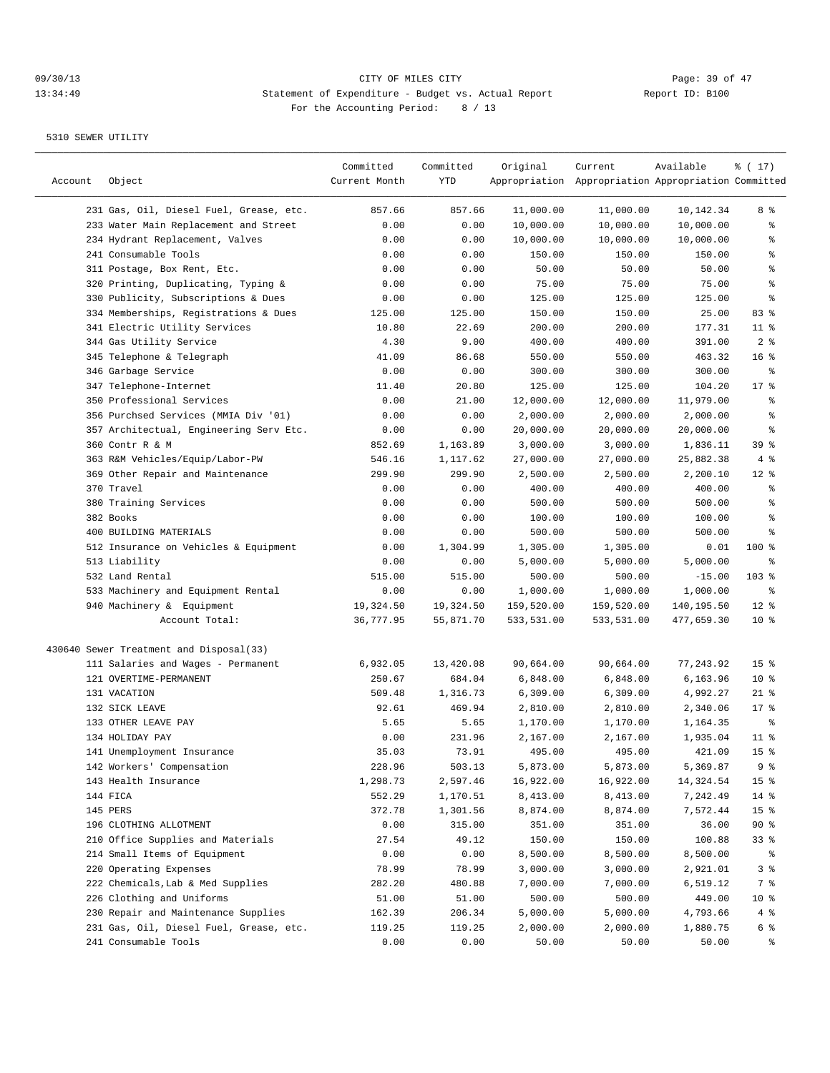## 09/30/13 Page: 39 of 47 13:34:49 Statement of Expenditure - Budget vs. Actual Report Changer Report ID: B100 For the Accounting Period: 8 / 13

| Account | Object                                  | Committed<br>Current Month | Committed<br>YTD | Original   | Current<br>Appropriation Appropriation Appropriation Committed | Available  | ៖ ( 17)         |
|---------|-----------------------------------------|----------------------------|------------------|------------|----------------------------------------------------------------|------------|-----------------|
|         | 231 Gas, Oil, Diesel Fuel, Grease, etc. | 857.66                     | 857.66           | 11,000.00  | 11,000.00                                                      | 10,142.34  | 8 %             |
|         | 233 Water Main Replacement and Street   | 0.00                       | 0.00             | 10,000.00  | 10,000.00                                                      | 10,000.00  | န္              |
|         | 234 Hydrant Replacement, Valves         | 0.00                       | 0.00             | 10,000.00  | 10,000.00                                                      | 10,000.00  | န္              |
|         | 241 Consumable Tools                    | 0.00                       | 0.00             | 150.00     | 150.00                                                         | 150.00     | န္              |
|         | 311 Postage, Box Rent, Etc.             | 0.00                       | 0.00             | 50.00      | 50.00                                                          | 50.00      | $\,$ %          |
|         | 320 Printing, Duplicating, Typing &     | 0.00                       | 0.00             | 75.00      | 75.00                                                          | 75.00      | $\epsilon$      |
|         | 330 Publicity, Subscriptions & Dues     | 0.00                       | 0.00             | 125.00     | 125.00                                                         | 125.00     | ి               |
|         | 334 Memberships, Registrations & Dues   | 125.00                     | 125.00           | 150.00     | 150.00                                                         | 25.00      | 83%             |
|         | 341 Electric Utility Services           | 10.80                      | 22.69            | 200.00     | 200.00                                                         | 177.31     | $11$ %          |
|         | 344 Gas Utility Service                 | 4.30                       | 9.00             | 400.00     | 400.00                                                         | 391.00     | 2 <sup>8</sup>  |
|         | 345 Telephone & Telegraph               | 41.09                      | 86.68            | 550.00     | 550.00                                                         | 463.32     | 16 <sup>8</sup> |
|         | 346 Garbage Service                     | 0.00                       | 0.00             | 300.00     | 300.00                                                         | 300.00     | ႜ               |
|         | 347 Telephone-Internet                  | 11.40                      | 20.80            | 125.00     | 125.00                                                         | 104.20     | $17$ %          |
|         | 350 Professional Services               | 0.00                       | 21.00            | 12,000.00  | 12,000.00                                                      | 11,979.00  | န္              |
|         | 356 Purchsed Services (MMIA Div '01)    | 0.00                       | 0.00             | 2,000.00   | 2,000.00                                                       | 2,000.00   | န္              |
|         | 357 Architectual, Engineering Serv Etc. | 0.00                       | 0.00             | 20,000.00  | 20,000.00                                                      | 20,000.00  | $\epsilon$      |
|         | 360 Contr R & M                         | 852.69                     | 1,163.89         | 3,000.00   | 3,000.00                                                       | 1,836.11   | 39 %            |
|         | 363 R&M Vehicles/Equip/Labor-PW         | 546.16                     | 1,117.62         | 27,000.00  | 27,000.00                                                      | 25,882.38  | 4%              |
|         | 369 Other Repair and Maintenance        | 299.90                     | 299.90           | 2,500.00   | 2,500.00                                                       | 2,200.10   | $12*$           |
|         | 370 Travel                              | 0.00                       | 0.00             | 400.00     | 400.00                                                         | 400.00     | န္              |
|         | 380 Training Services                   | 0.00                       | 0.00             | 500.00     | 500.00                                                         | 500.00     | န္              |
|         | 382 Books                               | 0.00                       | 0.00             | 100.00     | 100.00                                                         | 100.00     | ి               |
|         | 400 BUILDING MATERIALS                  | 0.00                       | 0.00             | 500.00     | 500.00                                                         | 500.00     | ႜ               |
|         | 512 Insurance on Vehicles & Equipment   | 0.00                       | 1,304.99         | 1,305.00   | 1,305.00                                                       | 0.01       | $100$ %         |
|         | 513 Liability                           | 0.00                       | 0.00             | 5,000.00   | 5,000.00                                                       | 5,000.00   | ႜ               |
|         | 532 Land Rental                         | 515.00                     | 515.00           | 500.00     | 500.00                                                         | $-15.00$   | $103$ %         |
|         | 533 Machinery and Equipment Rental      | 0.00                       | 0.00             | 1,000.00   | 1,000.00                                                       | 1,000.00   | ႜ               |
|         | 940 Machinery & Equipment               | 19,324.50                  | 19,324.50        | 159,520.00 | 159,520.00                                                     | 140,195.50 | $12*$           |
|         | Account Total:                          | 36,777.95                  | 55,871.70        | 533,531.00 | 533,531.00                                                     | 477,659.30 | $10*$           |
|         | 430640 Sewer Treatment and Disposal(33) |                            |                  |            |                                                                |            |                 |
|         | 111 Salaries and Wages - Permanent      | 6,932.05                   | 13,420.08        | 90,664.00  | 90,664.00                                                      | 77,243.92  | 15 <sup>°</sup> |
|         | 121 OVERTIME-PERMANENT                  | 250.67                     | 684.04           | 6,848.00   | 6,848.00                                                       | 6,163.96   | $10*$           |
|         | 131 VACATION                            | 509.48                     | 1,316.73         | 6,309.00   | 6,309.00                                                       | 4,992.27   | $21$ %          |
|         | 132 SICK LEAVE                          | 92.61                      | 469.94           | 2,810.00   | 2,810.00                                                       | 2,340.06   | $17*$           |
|         | 133 OTHER LEAVE PAY                     | 5.65                       | 5.65             | 1,170.00   | 1,170.00                                                       | 1,164.35   | နွ              |
|         | 134 HOLIDAY PAY                         | 0.00                       | 231.96           | 2,167.00   | 2,167.00                                                       | 1,935.04   | $11$ %          |
|         | 141 Unemployment Insurance              | 35.03                      | 73.91            | 495.00     | 495.00                                                         | 421.09     | 15 <sup>°</sup> |
|         | 142 Workers' Compensation               | 228.96                     | 503.13           | 5,873.00   | 5,873.00                                                       | 5,369.87   | 9 %             |
|         | 143 Health Insurance                    | 1,298.73                   | 2,597.46         | 16,922.00  | 16,922.00                                                      | 14,324.54  | 15 <sup>°</sup> |
|         | 144 FICA                                | 552.29                     | 1,170.51         | 8,413.00   | 8,413.00                                                       | 7,242.49   | $14$ %          |
|         | 145 PERS                                | 372.78                     | 1,301.56         | 8,874.00   | 8,874.00                                                       | 7,572.44   | 15 <sub>8</sub> |
|         | 196 CLOTHING ALLOTMENT                  | 0.00                       | 315.00           | 351.00     | 351.00                                                         | 36.00      | $90*$           |
|         | 210 Office Supplies and Materials       | 27.54                      | 49.12            | 150.00     | 150.00                                                         | 100.88     | 33 %            |
|         | 214 Small Items of Equipment            | 0.00                       | 0.00             | 8,500.00   | 8,500.00                                                       | 8,500.00   | ိ               |
|         | 220 Operating Expenses                  | 78.99                      | 78.99            | 3,000.00   | 3,000.00                                                       | 2,921.01   | 3 %             |
|         | 222 Chemicals, Lab & Med Supplies       | 282.20                     | 480.88           | 7,000.00   | 7,000.00                                                       | 6,519.12   | 7 %             |
|         | 226 Clothing and Uniforms               | 51.00                      | 51.00            | 500.00     | 500.00                                                         | 449.00     | 10 <sub>8</sub> |
|         | 230 Repair and Maintenance Supplies     | 162.39                     | 206.34           | 5,000.00   | 5,000.00                                                       | 4,793.66   | 4%              |
|         | 231 Gas, Oil, Diesel Fuel, Grease, etc. | 119.25                     | 119.25           | 2,000.00   | 2,000.00                                                       | 1,880.75   | 6 %             |
|         | 241 Consumable Tools                    | 0.00                       | 0.00             | 50.00      | 50.00                                                          | 50.00      | ್ಠಿ             |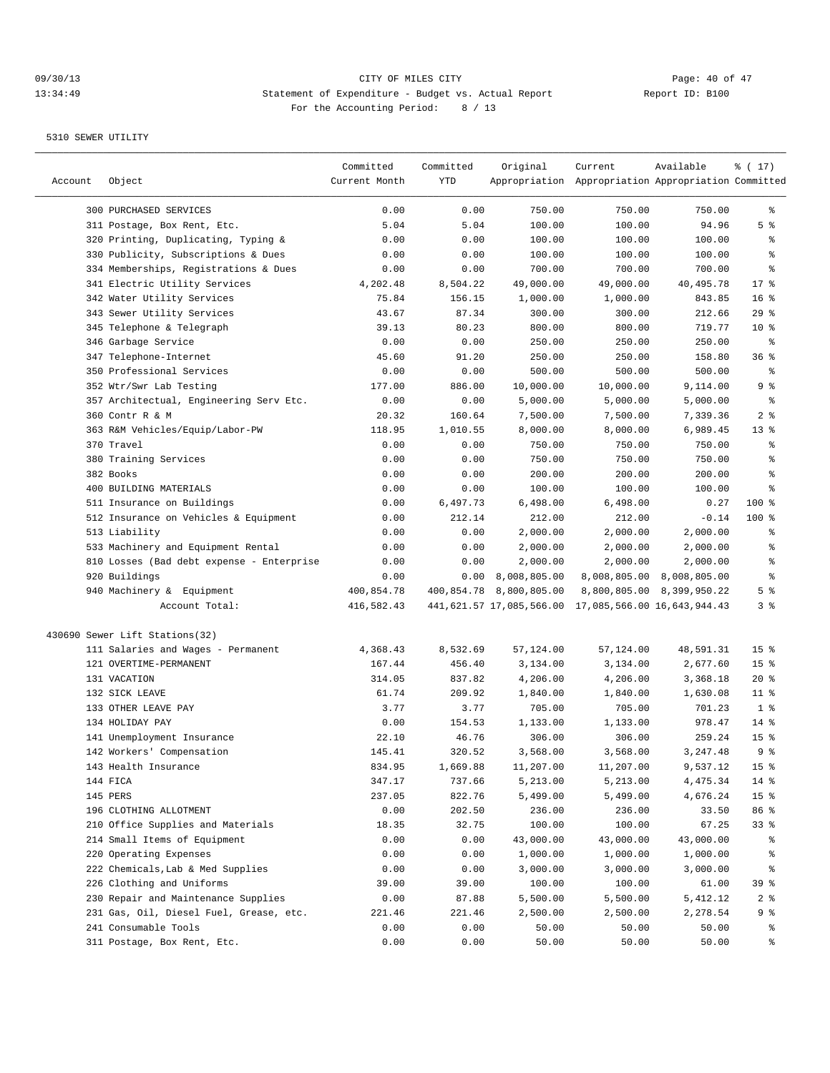| Account | Object                                    | Committed<br>Current Month | Committed<br>YTD | Original                 | Current<br>Appropriation Appropriation Appropriation Committed | Available                 | ៖ ( 17)          |
|---------|-------------------------------------------|----------------------------|------------------|--------------------------|----------------------------------------------------------------|---------------------------|------------------|
|         |                                           |                            |                  |                          |                                                                |                           |                  |
|         | 300 PURCHASED SERVICES                    | 0.00                       | 0.00             | 750.00                   | 750.00                                                         | 750.00                    | ွေ               |
|         | 311 Postage, Box Rent, Etc.               | 5.04                       | 5.04             | 100.00                   | 100.00                                                         | 94.96                     | 5 <sup>°</sup>   |
|         | 320 Printing, Duplicating, Typing &       | 0.00                       | 0.00             | 100.00                   | 100.00                                                         | 100.00                    | ႜ                |
|         | 330 Publicity, Subscriptions & Dues       | 0.00                       | 0.00             | 100.00                   | 100.00                                                         | 100.00                    | န္               |
|         | 334 Memberships, Registrations & Dues     | 0.00                       | 0.00             | 700.00                   | 700.00                                                         | 700.00                    | ి                |
|         | 341 Electric Utility Services             | 4,202.48                   | 8,504.22         | 49,000.00                | 49,000.00                                                      | 40,495.78                 | $17*$            |
|         | 342 Water Utility Services                | 75.84                      | 156.15           | 1,000.00                 | 1,000.00                                                       | 843.85                    | 16 <sup>°</sup>  |
|         | 343 Sewer Utility Services                | 43.67                      | 87.34            | 300.00                   | 300.00                                                         | 212.66                    | 29%              |
|         | 345 Telephone & Telegraph                 | 39.13                      | 80.23            | 800.00                   | 800.00                                                         | 719.77                    | $10*$            |
|         | 346 Garbage Service                       | 0.00                       | 0.00             | 250.00                   | 250.00                                                         | 250.00                    | ႜ                |
|         | 347 Telephone-Internet                    | 45.60                      | 91.20            | 250.00                   | 250.00                                                         | 158.80                    | 36%              |
|         | 350 Professional Services                 | 0.00                       | 0.00             | 500.00                   | 500.00                                                         | 500.00                    | နွ               |
|         | 352 Wtr/Swr Lab Testing                   | 177.00                     | 886.00           | 10,000.00                | 10,000.00                                                      | 9,114.00                  | 9 %              |
|         | 357 Architectual, Engineering Serv Etc.   | 0.00                       | 0.00             | 5,000.00                 | 5,000.00                                                       | 5,000.00                  | နွ               |
|         | 360 Contr R & M                           | 20.32                      | 160.64           | 7,500.00                 | 7,500.00                                                       | 7,339.36                  | 2 <sub>8</sub>   |
|         | 363 R&M Vehicles/Equip/Labor-PW           | 118.95                     | 1,010.55         | 8,000.00                 | 8,000.00                                                       | 6,989.45                  | $13*$            |
|         | 370 Travel                                | 0.00                       | 0.00             | 750.00                   | 750.00                                                         | 750.00                    | န္               |
|         | 380 Training Services                     | 0.00                       | 0.00             | 750.00                   | 750.00                                                         | 750.00                    | ႜ                |
|         | 382 Books                                 | 0.00                       | 0.00             | 200.00                   | 200.00                                                         | 200.00                    | $\,{}^{\circ}\!$ |
|         | 400 BUILDING MATERIALS                    | 0.00                       | 0.00             | 100.00                   | 100.00                                                         | 100.00                    | ి                |
|         | 511 Insurance on Buildings                | 0.00                       | 6,497.73         | 6,498.00                 | 6,498.00                                                       | 0.27                      | $100$ %          |
|         | 512 Insurance on Vehicles & Equipment     | 0.00                       | 212.14           | 212.00                   | 212.00                                                         | $-0.14$                   | $100$ %          |
|         | 513 Liability                             | 0.00                       | 0.00             | 2,000.00                 | 2,000.00                                                       | 2,000.00                  | ႜ                |
|         | 533 Machinery and Equipment Rental        | 0.00                       | 0.00             | 2,000.00                 | 2,000.00                                                       | 2,000.00                  | န္               |
|         | 810 Losses (Bad debt expense - Enterprise | 0.00                       | 0.00             | 2,000.00                 | 2,000.00                                                       | 2,000.00                  | န္               |
|         | 920 Buildings                             | 0.00                       | 0.00             | 8,008,805.00             |                                                                | 8,008,805.00 8,008,805.00 | ి                |
|         | 940 Machinery & Equipment                 | 400,854.78                 |                  | 400,854.78 8,800,805.00  |                                                                | 8,800,805.00 8,399,950.22 | 5 <sup>°</sup>   |
|         | Account Total:                            | 416,582.43                 |                  | 441,621.57 17,085,566.00 | 17,085,566.00 16,643,944.43                                    |                           | 3%               |
|         | 430690 Sewer Lift Stations(32)            |                            |                  |                          |                                                                |                           |                  |
|         | 111 Salaries and Wages - Permanent        | 4,368.43                   | 8,532.69         | 57,124.00                | 57,124.00                                                      | 48,591.31                 | 15 <sup>°</sup>  |
|         | 121 OVERTIME-PERMANENT                    | 167.44                     | 456.40           | 3,134.00                 | 3,134.00                                                       | 2,677.60                  | 15 <sup>°</sup>  |
|         | 131 VACATION                              | 314.05                     | 837.82           | 4,206.00                 | 4,206.00                                                       | 3,368.18                  | $20*$            |
|         | 132 SICK LEAVE                            | 61.74                      | 209.92           | 1,840.00                 | 1,840.00                                                       | 1,630.08                  | $11$ %           |
|         | 133 OTHER LEAVE PAY                       | 3.77                       | 3.77             | 705.00                   | 705.00                                                         | 701.23                    | 1 <sup>°</sup>   |
|         | 134 HOLIDAY PAY                           | 0.00                       | 154.53           | 1,133.00                 | 1,133.00                                                       | 978.47                    | $14$ %           |
|         | 141 Unemployment Insurance                | 22.10                      | 46.76            | 306.00                   | 306.00                                                         | 259.24                    | 15 <sup>°</sup>  |
|         | 142 Workers' Compensation                 | 145.41                     | 320.52           | 3,568.00                 | 3,568.00                                                       | 3,247.48                  | 9 %              |
|         | 143 Health Insurance                      | 834.95                     | 1,669.88         | 11,207.00                | 11,207.00                                                      | 9,537.12                  | 15 <sup>°</sup>  |
|         | 144 FICA                                  | 347.17                     | 737.66           | 5,213.00                 | 5,213.00                                                       | 4,475.34                  | $14$ %           |
|         | 145 PERS                                  | 237.05                     | 822.76           | 5,499.00                 | 5,499.00                                                       | 4,676.24                  | 15 <sub>8</sub>  |
|         | 196 CLOTHING ALLOTMENT                    | 0.00                       | 202.50           | 236.00                   | 236.00                                                         | 33.50                     | 86 %             |
|         | 210 Office Supplies and Materials         | 18.35                      | 32.75            | 100.00                   | 100.00                                                         | 67.25                     | $33*$            |
|         | 214 Small Items of Equipment              | 0.00                       | 0.00             | 43,000.00                | 43,000.00                                                      | 43,000.00                 | ိင               |
|         | 220 Operating Expenses                    | 0.00                       | 0.00             | 1,000.00                 | 1,000.00                                                       | 1,000.00                  | ိင               |
|         | 222 Chemicals, Lab & Med Supplies         | 0.00                       | 0.00             | 3,000.00                 | 3,000.00                                                       | 3,000.00                  | ွေ               |
|         | 226 Clothing and Uniforms                 | 39.00                      | 39.00            | 100.00                   | 100.00                                                         | 61.00                     | 39 %             |
|         | 230 Repair and Maintenance Supplies       | 0.00                       | 87.88            | 5,500.00                 | 5,500.00                                                       | 5,412.12                  | 2 <sub>8</sub>   |
|         | 231 Gas, Oil, Diesel Fuel, Grease, etc.   | 221.46                     | 221.46           | 2,500.00                 | 2,500.00                                                       | 2,278.54                  | 9 %              |
|         | 241 Consumable Tools                      | 0.00                       | 0.00             | 50.00                    | 50.00                                                          | 50.00                     | ွေ               |
|         | 311 Postage, Box Rent, Etc.               | 0.00                       | 0.00             | 50.00                    | 50.00                                                          | 50.00                     | ွေ               |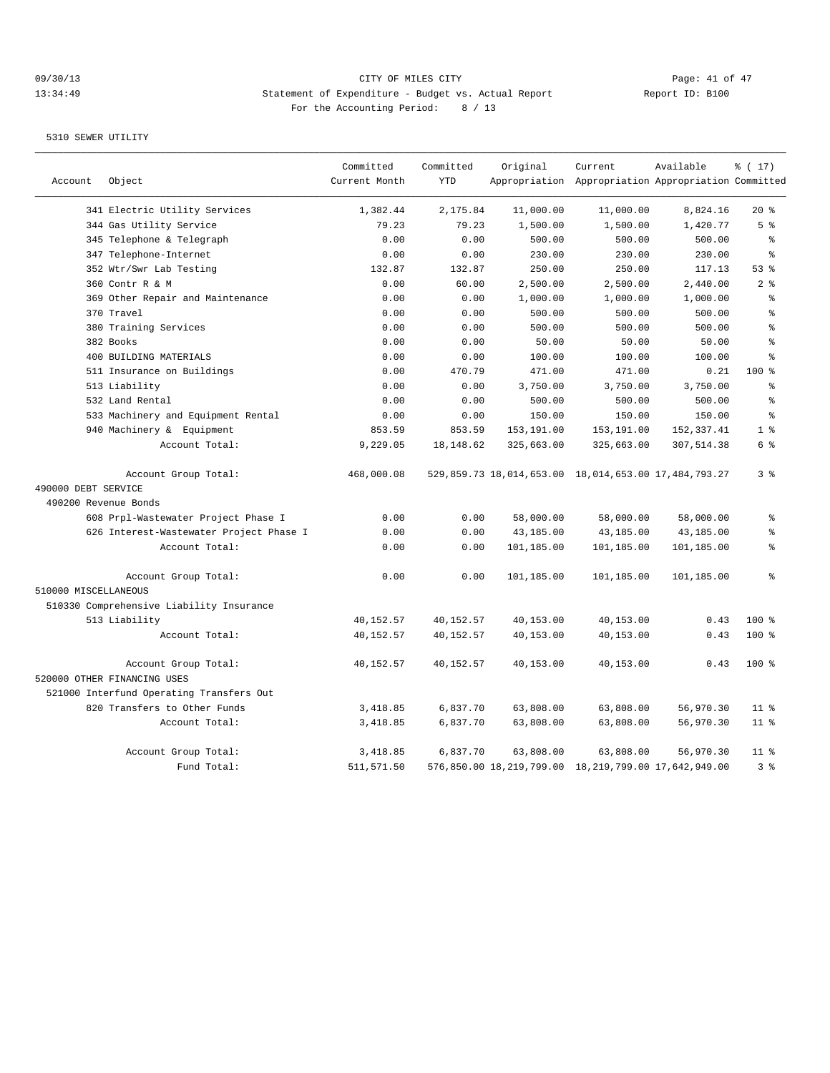## 09/30/13 Page: 41 of 47 13:34:49 Statement of Expenditure - Budget vs. Actual Report Changer Report ID: B100 For the Accounting Period: 8 / 13

|                      |                                          | Committed     | Committed  | Original   | Current                                              | Available  | % (17)                                   |
|----------------------|------------------------------------------|---------------|------------|------------|------------------------------------------------------|------------|------------------------------------------|
| Account              | Object                                   | Current Month | <b>YTD</b> |            | Appropriation Appropriation Appropriation Committed  |            |                                          |
|                      | 341 Electric Utility Services            | 1,382.44      | 2,175.84   | 11,000.00  | 11,000.00                                            | 8,824.16   | $20*$                                    |
|                      | 344 Gas Utility Service                  | 79.23         | 79.23      | 1,500.00   | 1,500.00                                             | 1,420.77   | 5 <sup>8</sup>                           |
|                      | 345 Telephone & Telegraph                | 0.00          | 0.00       | 500.00     | 500.00                                               | 500.00     | $\epsilon$                               |
|                      | 347 Telephone-Internet                   | 0.00          | 0.00       | 230.00     | 230.00                                               | 230.00     | $\approx$                                |
|                      | 352 Wtr/Swr Lab Testing                  | 132.87        | 132.87     | 250.00     | 250.00                                               | 117.13     | 53%                                      |
|                      | 360 Contr R & M                          | 0.00          | 60.00      | 2,500.00   | 2,500.00                                             | 2,440.00   | 2 <sup>°</sup>                           |
|                      | 369 Other Repair and Maintenance         | 0.00          | 0.00       | 1,000.00   | 1,000.00                                             | 1,000.00   | $\,$ $\,$ $\,$                           |
|                      | 370 Travel                               | 0.00          | 0.00       | 500.00     | 500.00                                               | 500.00     | $\epsilon$                               |
|                      | 380 Training Services                    | 0.00          | 0.00       | 500.00     | 500.00                                               | 500.00     | $\epsilon$                               |
|                      | 382 Books                                | 0.00          | 0.00       | 50.00      | 50.00                                                | 50.00      | $\approx$                                |
|                      | 400 BUILDING MATERIALS                   | 0.00          | 0.00       | 100.00     | 100.00                                               | 100.00     | $\approx$                                |
|                      | 511 Insurance on Buildings               | 0.00          | 470.79     | 471.00     | 471.00                                               | 0.21       | 100 %                                    |
|                      | 513 Liability                            | 0.00          | 0.00       | 3,750.00   | 3,750.00                                             | 3,750.00   | $\epsilon$                               |
|                      | 532 Land Rental                          | 0.00          | 0.00       | 500.00     | 500.00                                               | 500.00     | န္                                       |
|                      | 533 Machinery and Equipment Rental       | 0.00          | 0.00       | 150.00     | 150.00                                               | 150.00     | $\epsilon$                               |
|                      | 940 Machinery & Equipment                | 853.59        | 853.59     | 153,191.00 | 153,191.00                                           | 152,337.41 | 1 <sup>8</sup>                           |
|                      | Account Total:                           | 9,229.05      | 18,148.62  | 325,663.00 | 325,663.00                                           | 307,514.38 | 6 %                                      |
|                      | Account Group Total:                     | 468,000.08    |            |            | 529,859.73 18,014,653.00 18,014,653.00 17,484,793.27 |            | 38                                       |
| 490000 DEBT SERVICE  |                                          |               |            |            |                                                      |            |                                          |
| 490200 Revenue Bonds |                                          |               |            |            |                                                      |            |                                          |
|                      | 608 Prpl-Wastewater Project Phase I      | 0.00          | 0.00       | 58,000.00  | 58,000.00                                            | 58,000.00  | ៖                                        |
|                      | 626 Interest-Wastewater Project Phase I  | 0.00          | 0.00       | 43,185.00  | 43,185.00                                            | 43,185.00  | ి                                        |
|                      | Account Total:                           | 0.00          | 0.00       | 101,185.00 | 101,185.00                                           | 101,185.00 | $\, \raisebox{0.6ex}{\scriptsize{*}} \,$ |
|                      | Account Group Total:                     | 0.00          | 0.00       | 101,185.00 | 101,185.00                                           | 101,185.00 | န္                                       |
| 510000 MISCELLANEOUS |                                          |               |            |            |                                                      |            |                                          |
|                      | 510330 Comprehensive Liability Insurance |               |            |            |                                                      |            |                                          |
|                      | 513 Liability                            | 40,152.57     | 40,152.57  | 40,153.00  | 40,153.00                                            | 0.43       | $100$ %                                  |
|                      | Account Total:                           | 40,152.57     | 40,152.57  | 40,153.00  | 40,153.00                                            | 0.43       | 100 %                                    |
|                      | Account Group Total:                     | 40,152.57     | 40,152.57  | 40,153.00  | 40,153.00                                            | 0.43       | $100$ %                                  |
|                      | 520000 OTHER FINANCING USES              |               |            |            |                                                      |            |                                          |
|                      | 521000 Interfund Operating Transfers Out |               |            |            |                                                      |            |                                          |
|                      | 820 Transfers to Other Funds             | 3,418.85      | 6,837.70   | 63,808.00  | 63,808.00                                            | 56,970.30  | $11$ %                                   |
|                      | Account Total:                           | 3,418.85      | 6,837.70   | 63,808.00  | 63,808.00                                            | 56,970.30  | 11 <sup>8</sup>                          |
|                      | Account Group Total:                     | 3,418.85      | 6,837.70   | 63,808.00  | 63,808.00                                            | 56,970.30  | $11$ %                                   |
|                      | Fund Total:                              | 511,571.50    |            |            | 576,850.00 18,219,799.00 18,219,799.00 17,642,949.00 |            | 3%                                       |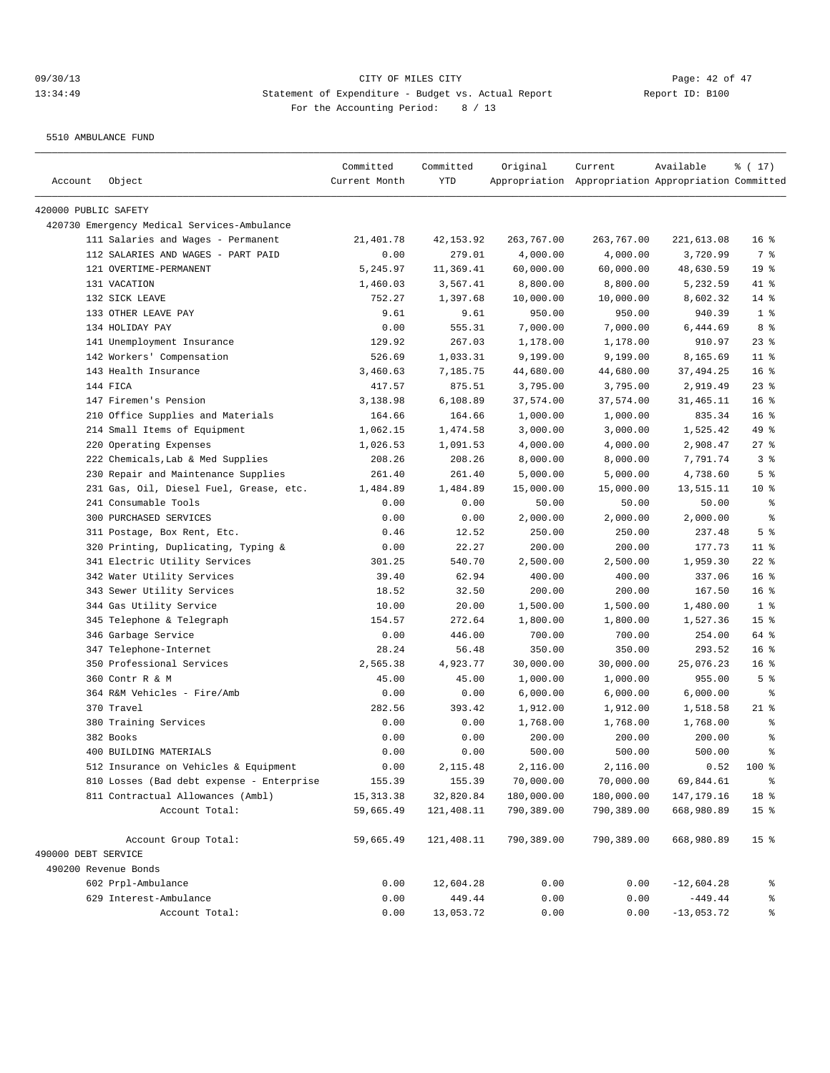5510 AMBULANCE FUND

| Account              | Object                                      | Committed<br>Current Month | Committed<br>YTD | Original   | Current<br>Appropriation Appropriation Appropriation Committed | Available    | % (17)          |
|----------------------|---------------------------------------------|----------------------------|------------------|------------|----------------------------------------------------------------|--------------|-----------------|
| 420000 PUBLIC SAFETY |                                             |                            |                  |            |                                                                |              |                 |
|                      | 420730 Emergency Medical Services-Ambulance |                            |                  |            |                                                                |              |                 |
|                      | 111 Salaries and Wages - Permanent          | 21,401.78                  | 42, 153.92       | 263,767.00 | 263,767.00                                                     | 221,613.08   | 16 <sup>8</sup> |
|                      | 112 SALARIES AND WAGES - PART PAID          | 0.00                       | 279.01           | 4,000.00   | 4,000.00                                                       | 3,720.99     | 7 %             |
|                      | 121 OVERTIME-PERMANENT                      | 5,245.97                   | 11,369.41        | 60,000.00  | 60,000.00                                                      | 48,630.59    | 19 <sup>°</sup> |
|                      | 131 VACATION                                | 1,460.03                   | 3,567.41         | 8,800.00   | 8,800.00                                                       | 5,232.59     | 41 %            |
|                      | 132 SICK LEAVE                              | 752.27                     | 1,397.68         | 10,000.00  | 10,000.00                                                      | 8,602.32     | $14$ %          |
|                      | 133 OTHER LEAVE PAY                         | 9.61                       | 9.61             | 950.00     | 950.00                                                         | 940.39       | 1 <sup>8</sup>  |
|                      | 134 HOLIDAY PAY                             | 0.00                       | 555.31           | 7,000.00   | 7,000.00                                                       | 6,444.69     | 8 %             |
|                      | 141 Unemployment Insurance                  | 129.92                     | 267.03           | 1,178.00   | 1,178.00                                                       | 910.97       | $23$ %          |
|                      | 142 Workers' Compensation                   | 526.69                     | 1,033.31         | 9,199.00   | 9,199.00                                                       | 8,165.69     | $11$ %          |
|                      | 143 Health Insurance                        | 3,460.63                   | 7,185.75         | 44,680.00  | 44,680.00                                                      | 37,494.25    | 16 <sup>°</sup> |
|                      | 144 FICA                                    | 417.57                     | 875.51           | 3,795.00   | 3,795.00                                                       | 2,919.49     | $23$ $%$        |
|                      | 147 Firemen's Pension                       | 3,138.98                   | 6,108.89         | 37,574.00  | 37,574.00                                                      | 31,465.11    | 16 <sup>°</sup> |
|                      | 210 Office Supplies and Materials           | 164.66                     | 164.66           | 1,000.00   | 1,000.00                                                       | 835.34       | 16 <sup>°</sup> |
|                      | 214 Small Items of Equipment                | 1,062.15                   | 1,474.58         | 3,000.00   | 3,000.00                                                       | 1,525.42     | 49 %            |
|                      | 220 Operating Expenses                      | 1,026.53                   | 1,091.53         | 4,000.00   | 4,000.00                                                       | 2,908.47     | 27%             |
|                      | 222 Chemicals, Lab & Med Supplies           | 208.26                     | 208.26           | 8,000.00   | 8,000.00                                                       | 7,791.74     | 3 <sup>8</sup>  |
|                      | 230 Repair and Maintenance Supplies         | 261.40                     | 261.40           | 5,000.00   | 5,000.00                                                       | 4,738.60     | 5 <sup>°</sup>  |
|                      | 231 Gas, Oil, Diesel Fuel, Grease, etc.     | 1,484.89                   | 1,484.89         | 15,000.00  | 15,000.00                                                      | 13,515.11    | $10*$           |
|                      | 241 Consumable Tools                        | 0.00                       | 0.00             | 50.00      | 50.00                                                          | 50.00        | ႜ               |
|                      | 300 PURCHASED SERVICES                      | 0.00                       | 0.00             | 2,000.00   | 2,000.00                                                       | 2,000.00     | န္              |
|                      | 311 Postage, Box Rent, Etc.                 | 0.46                       | 12.52            | 250.00     | 250.00                                                         | 237.48       | 5 <sup>8</sup>  |
|                      | 320 Printing, Duplicating, Typing &         | 0.00                       | 22.27            | 200.00     | 200.00                                                         | 177.73       | $11$ %          |
|                      | 341 Electric Utility Services               | 301.25                     | 540.70           | 2,500.00   | 2,500.00                                                       | 1,959.30     | $22$ %          |
|                      | 342 Water Utility Services                  | 39.40                      | 62.94            | 400.00     | 400.00                                                         | 337.06       | 16 <sup>°</sup> |
|                      | 343 Sewer Utility Services                  | 18.52                      | 32.50            | 200.00     | 200.00                                                         | 167.50       | 16 <sup>°</sup> |
|                      | 344 Gas Utility Service                     | 10.00                      | 20.00            | 1,500.00   | 1,500.00                                                       | 1,480.00     | 1 <sup>8</sup>  |
|                      | 345 Telephone & Telegraph                   | 154.57                     | 272.64           | 1,800.00   | 1,800.00                                                       | 1,527.36     | 15 <sup>°</sup> |
|                      | 346 Garbage Service                         | 0.00                       | 446.00           | 700.00     | 700.00                                                         | 254.00       | 64 %            |
|                      | 347 Telephone-Internet                      | 28.24                      | 56.48            | 350.00     | 350.00                                                         | 293.52       | 16 <sup>°</sup> |
|                      | 350 Professional Services                   | 2,565.38                   | 4,923.77         | 30,000.00  | 30,000.00                                                      | 25,076.23    | 16 <sup>°</sup> |
|                      | 360 Contr R & M                             | 45.00                      | 45.00            | 1,000.00   | 1,000.00                                                       | 955.00       | 5 <sup>°</sup>  |
|                      | 364 R&M Vehicles - Fire/Amb                 | 0.00                       | 0.00             | 6,000.00   | 6,000.00                                                       | 6,000.00     | နွ              |
|                      | 370 Travel                                  | 282.56                     | 393.42           | 1,912.00   | 1,912.00                                                       | 1,518.58     | $21$ %          |
|                      | 380 Training Services                       | 0.00                       | 0.00             | 1,768.00   | 1,768.00                                                       | 1,768.00     | ್ಠಿ             |
|                      | 382 Books                                   | 0.00                       | 0.00             | 200.00     | 200.00                                                         | 200.00       | $\epsilon$      |
|                      | 400 BUILDING MATERIALS                      | 0.00                       | 0.00             | 500.00     | 500.00                                                         | 500.00       | နွ              |
|                      | 512 Insurance on Vehicles & Equipment       | 0.00                       | 2,115.48         | 2,116.00   | 2,116.00                                                       | 0.52         | 100 %           |
|                      | 810 Losses (Bad debt expense - Enterprise   | 155.39                     | 155.39           | 70,000.00  | 70,000.00                                                      | 69,844.61    | $\frac{6}{9}$   |
|                      | 811 Contractual Allowances (Ambl)           | 15, 313.38                 | 32,820.84        | 180,000.00 | 180,000.00                                                     | 147, 179. 16 | 18 %            |
|                      | Account Total:                              | 59,665.49                  | 121,408.11       | 790,389.00 | 790,389.00                                                     | 668,980.89   | 15 <sup>°</sup> |
|                      | Account Group Total:                        | 59,665.49                  | 121,408.11       | 790,389.00 | 790,389.00                                                     | 668,980.89   | 15 <sup>°</sup> |
| 490000 DEBT SERVICE  |                                             |                            |                  |            |                                                                |              |                 |
| 490200 Revenue Bonds |                                             |                            |                  |            |                                                                |              |                 |
|                      | 602 Prpl-Ambulance                          | 0.00                       | 12,604.28        | 0.00       | 0.00                                                           | $-12,604.28$ | ွ               |
|                      | 629 Interest-Ambulance                      | 0.00                       | 449.44           | 0.00       | 0.00                                                           | $-449.44$    | ್ಠಿ             |
|                      | Account Total:                              | 0.00                       | 13,053.72        | 0.00       | 0.00                                                           | $-13,053.72$ | ိင              |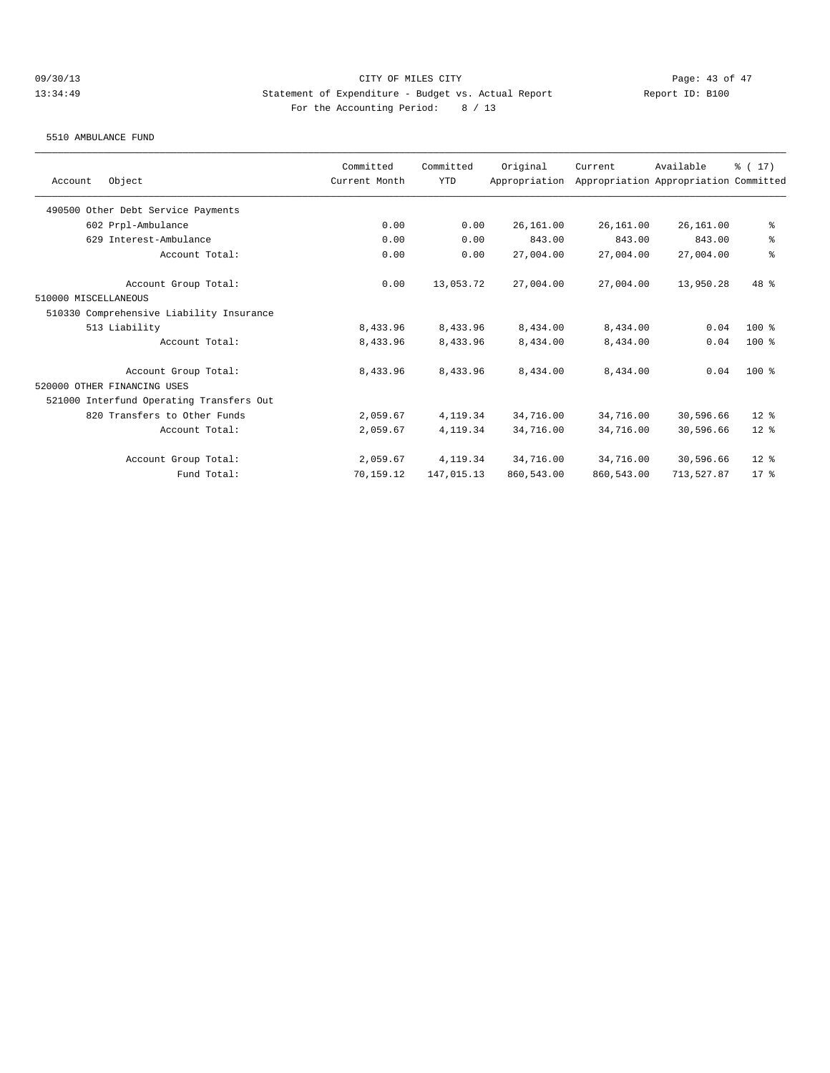5510 AMBULANCE FUND

|                                          | Committed     | Committed  | Original      | Current    | Available                             | $\frac{1}{2}$ (17) |
|------------------------------------------|---------------|------------|---------------|------------|---------------------------------------|--------------------|
| Object<br>Account                        | Current Month | <b>YTD</b> | Appropriation |            | Appropriation Appropriation Committed |                    |
| 490500 Other Debt Service Payments       |               |            |               |            |                                       |                    |
| 602 Prpl-Ambulance                       | 0.00          | 0.00       | 26,161.00     | 26,161.00  | 26,161.00                             | ್ಠಿ                |
| 629 Interest-Ambulance                   | 0.00          | 0.00       | 843.00        | 843.00     | 843.00                                | ್ಠಿ                |
| Account Total:                           | 0.00          | 0.00       | 27,004.00     | 27,004.00  | 27,004.00                             | $\,$ $\,$ $\,$     |
| Account Group Total:                     | 0.00          | 13,053.72  | 27,004.00     | 27,004.00  | 13,950.28                             | $48*$              |
| 510000 MISCELLANEOUS                     |               |            |               |            |                                       |                    |
| 510330 Comprehensive Liability Insurance |               |            |               |            |                                       |                    |
| 513 Liability                            | 8,433.96      | 8,433.96   | 8,434.00      | 8,434.00   | 0.04                                  | $100*$             |
| Account Total:                           | 8,433.96      | 8,433.96   | 8,434.00      | 8,434.00   | 0.04                                  | $100$ %            |
| Account Group Total:                     | 8,433.96      | 8,433.96   | 8,434.00      | 8,434.00   | 0.04                                  | $100$ %            |
| 520000 OTHER FINANCING USES              |               |            |               |            |                                       |                    |
| 521000 Interfund Operating Transfers Out |               |            |               |            |                                       |                    |
| 820 Transfers to Other Funds             | 2,059.67      | 4, 119.34  | 34,716.00     | 34,716.00  | 30,596.66                             | $12*$              |
| Account Total:                           | 2,059.67      | 4, 119.34  | 34,716.00     | 34,716.00  | 30,596.66                             | $12*$              |
| Account Group Total:                     | 2,059.67      | 4, 119.34  | 34,716.00     | 34,716.00  | 30,596.66                             | $12*$              |
| Fund Total:                              | 70,159.12     | 147,015.13 | 860,543.00    | 860,543.00 | 713,527.87                            | 17 <sup>8</sup>    |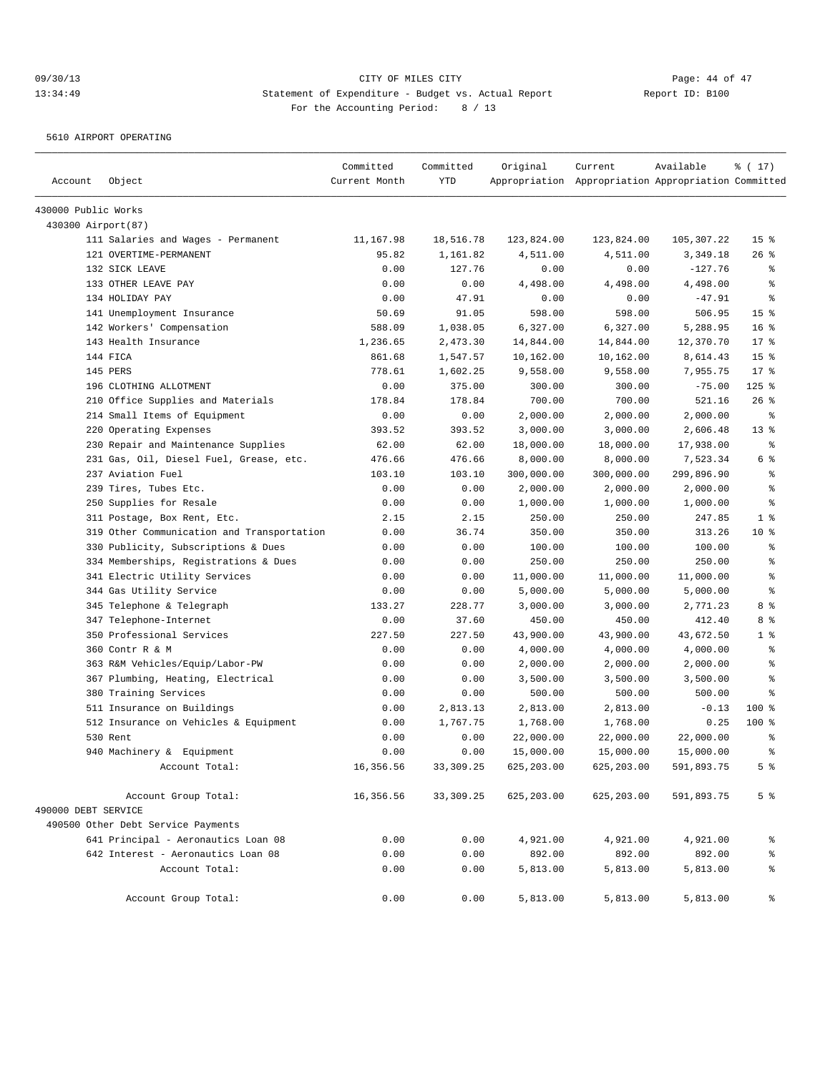5610 AIRPORT OPERATING

| Account             | Object                                                                    | Committed<br>Current Month | Committed<br><b>YTD</b> | Original    | Current<br>Appropriation Appropriation Appropriation Committed | Available  | % (17)          |
|---------------------|---------------------------------------------------------------------------|----------------------------|-------------------------|-------------|----------------------------------------------------------------|------------|-----------------|
| 430000 Public Works |                                                                           |                            |                         |             |                                                                |            |                 |
| 430300 Airport (87) |                                                                           |                            |                         |             |                                                                |            |                 |
|                     | 111 Salaries and Wages - Permanent                                        | 11,167.98                  | 18,516.78               | 123,824.00  | 123,824.00                                                     | 105,307.22 | 15 <sup>°</sup> |
|                     | 121 OVERTIME-PERMANENT                                                    | 95.82                      | 1,161.82                | 4,511.00    | 4,511.00                                                       | 3,349.18   | $26$ %          |
|                     | 132 SICK LEAVE                                                            | 0.00                       | 127.76                  | 0.00        | 0.00                                                           | $-127.76$  | နွ              |
|                     | 133 OTHER LEAVE PAY                                                       | 0.00                       | 0.00                    | 4,498.00    | 4,498.00                                                       | 4,498.00   | ి               |
|                     | 134 HOLIDAY PAY                                                           | 0.00                       | 47.91                   | 0.00        | 0.00                                                           | $-47.91$   | ి               |
|                     | 141 Unemployment Insurance                                                | 50.69                      | 91.05                   | 598.00      | 598.00                                                         | 506.95     | 15 <sup>8</sup> |
|                     | 142 Workers' Compensation                                                 | 588.09                     | 1,038.05                | 6,327.00    | 6,327.00                                                       | 5,288.95   | 16 <sup>8</sup> |
|                     | 143 Health Insurance                                                      | 1,236.65                   | 2,473.30                | 14,844.00   | 14,844.00                                                      | 12,370.70  | $17*$           |
|                     | 144 FICA                                                                  | 861.68                     | 1,547.57                | 10,162.00   | 10,162.00                                                      | 8,614.43   | 15 <sup>°</sup> |
|                     | 145 PERS                                                                  | 778.61                     | 1,602.25                | 9,558.00    | 9,558.00                                                       | 7,955.75   | $17*$           |
|                     | 196 CLOTHING ALLOTMENT                                                    | 0.00                       | 375.00                  | 300.00      | 300.00                                                         | $-75.00$   | $125$ %         |
|                     | 210 Office Supplies and Materials                                         | 178.84                     | 178.84                  | 700.00      | 700.00                                                         | 521.16     | $26$ %          |
|                     | 214 Small Items of Equipment                                              | 0.00                       | 0.00                    | 2,000.00    | 2,000.00                                                       | 2,000.00   | နွ              |
|                     | 220 Operating Expenses                                                    | 393.52                     | 393.52                  | 3,000.00    | 3,000.00                                                       | 2,606.48   | $13*$           |
|                     | 230 Repair and Maintenance Supplies                                       | 62.00                      | 62.00                   | 18,000.00   | 18,000.00                                                      | 17,938.00  | $\epsilon$      |
|                     | 231 Gas, Oil, Diesel Fuel, Grease, etc.                                   | 476.66                     | 476.66                  | 8,000.00    | 8,000.00                                                       | 7,523.34   | 6 %             |
|                     | 237 Aviation Fuel                                                         | 103.10                     | 103.10                  | 300,000.00  | 300,000.00                                                     | 299,896.90 | န္              |
|                     | 239 Tires, Tubes Etc.                                                     | 0.00                       | 0.00                    | 2,000.00    | 2,000.00                                                       | 2,000.00   | န္              |
|                     | 250 Supplies for Resale                                                   | 0.00                       | 0.00                    | 1,000.00    | 1,000.00                                                       | 1,000.00   | န္              |
|                     | 311 Postage, Box Rent, Etc.                                               | 2.15                       | 2.15                    | 250.00      | 250.00                                                         | 247.85     | 1 <sup>°</sup>  |
|                     | 319 Other Communication and Transportation                                | 0.00                       | 36.74                   | 350.00      | 350.00                                                         | 313.26     | $10*$           |
|                     | 330 Publicity, Subscriptions & Dues                                       | 0.00                       | 0.00                    | 100.00      | 100.00                                                         | 100.00     | နွ              |
|                     | 334 Memberships, Registrations & Dues                                     | 0.00                       | 0.00                    | 250.00      | 250.00                                                         | 250.00     | နွ              |
|                     | 341 Electric Utility Services                                             | 0.00                       | 0.00                    | 11,000.00   | 11,000.00                                                      | 11,000.00  | န္              |
|                     | 344 Gas Utility Service                                                   | 0.00                       | 0.00                    | 5,000.00    | 5,000.00                                                       | 5,000.00   | ి               |
|                     | 345 Telephone & Telegraph                                                 | 133.27                     | 228.77                  | 3,000.00    | 3,000.00                                                       | 2,771.23   | 8 %             |
|                     | 347 Telephone-Internet                                                    | 0.00                       | 37.60                   | 450.00      | 450.00                                                         | 412.40     | 8 %             |
|                     | 350 Professional Services                                                 | 227.50                     | 227.50                  | 43,900.00   | 43,900.00                                                      | 43,672.50  | 1 <sup>°</sup>  |
|                     | 360 Contr R & M                                                           | 0.00                       | 0.00                    | 4,000.00    | 4,000.00                                                       | 4,000.00   | နွ              |
|                     | 363 R&M Vehicles/Equip/Labor-PW                                           | 0.00                       | 0.00                    | 2,000.00    | 2,000.00                                                       | 2,000.00   | ి               |
|                     | 367 Plumbing, Heating, Electrical                                         | 0.00                       | 0.00                    | 3,500.00    | 3,500.00                                                       | 3,500.00   | န္              |
|                     | 380 Training Services                                                     | 0.00                       | 0.00                    | 500.00      | 500.00                                                         | 500.00     | ి               |
|                     | 511 Insurance on Buildings                                                | 0.00                       | 2,813.13                | 2,813.00    | 2,813.00                                                       | $-0.13$    | $100$ %         |
|                     | 512 Insurance on Vehicles & Equipment                                     | 0.00                       | 1,767.75                | 1,768.00    | 1,768.00                                                       | 0.25       | $100$ %         |
|                     | 530 Rent                                                                  | 0.00                       | 0.00                    | 22,000.00   | 22,000.00                                                      | 22,000.00  | ి               |
|                     | 940 Machinery & Equipment                                                 | 0.00                       | 0.00                    | 15,000.00   | 15,000.00                                                      | 15,000.00  | ៖               |
|                     | Account Total:                                                            | 16,356.56                  | 33, 309.25              | 625, 203.00 | 625, 203.00                                                    | 591,893.75 | 5 <sup>8</sup>  |
|                     | Account Group Total:                                                      | 16,356.56                  | 33, 309.25              | 625,203.00  | 625,203.00                                                     | 591,893.75 | 5 <sup>°</sup>  |
| 490000 DEBT SERVICE |                                                                           |                            |                         |             |                                                                |            |                 |
|                     | 490500 Other Debt Service Payments                                        |                            |                         |             |                                                                |            |                 |
|                     | 641 Principal - Aeronautics Loan 08<br>642 Interest - Aeronautics Loan 08 | 0.00                       | 0.00                    | 4,921.00    | 4,921.00                                                       | 4,921.00   | ိင              |
|                     |                                                                           | 0.00                       | 0.00                    | 892.00      | 892.00                                                         | 892.00     | ್ಠಿ             |
|                     | Account Total:                                                            | 0.00                       | 0.00                    | 5,813.00    | 5,813.00                                                       | 5,813.00   | ್ಠಿ             |
|                     | Account Group Total:                                                      | 0.00                       | 0.00                    | 5,813.00    | 5,813.00                                                       | 5,813.00   | ွေ              |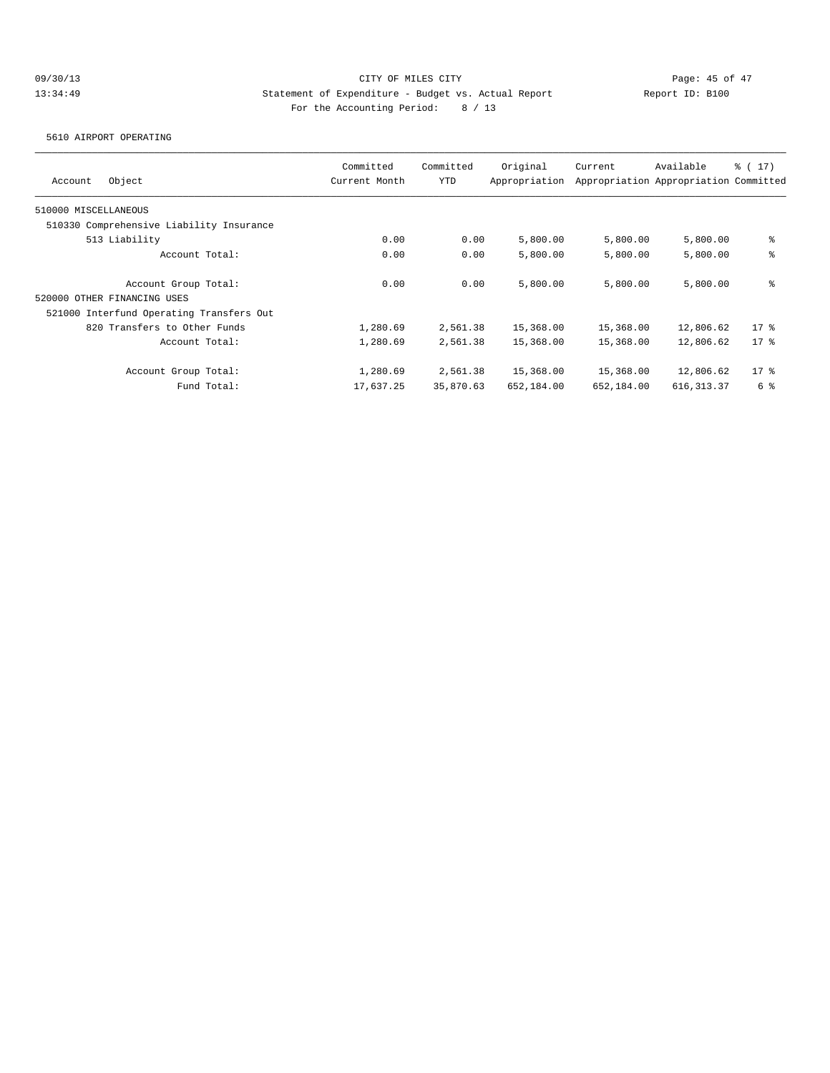5610 AIRPORT OPERATING

| Object<br>Account                        | Committed<br>Current Month | Committed<br><b>YTD</b> | Original<br>Appropriation | Current    | Available<br>Appropriation Appropriation Committed | $\frac{1}{6}$ ( 17) |
|------------------------------------------|----------------------------|-------------------------|---------------------------|------------|----------------------------------------------------|---------------------|
| 510000 MISCELLANEOUS                     |                            |                         |                           |            |                                                    |                     |
| 510330 Comprehensive Liability Insurance |                            |                         |                           |            |                                                    |                     |
| 513 Liability                            | 0.00                       | 0.00                    | 5,800.00                  | 5,800.00   | 5,800.00                                           | နွ                  |
| Account Total:                           | 0.00                       | 0.00                    | 5,800.00                  | 5,800.00   | 5,800.00                                           | နွ                  |
| Account Group Total:                     | 0.00                       | 0.00                    | 5,800.00                  | 5,800.00   | 5,800.00                                           | နွ                  |
| 520000 OTHER FINANCING USES              |                            |                         |                           |            |                                                    |                     |
| 521000 Interfund Operating Transfers Out |                            |                         |                           |            |                                                    |                     |
| 820 Transfers to Other Funds             | 1,280.69                   | 2,561.38                | 15,368.00                 | 15,368.00  | 12,806.62                                          | $17*$               |
| Account Total:                           | 1,280.69                   | 2,561.38                | 15,368.00                 | 15,368.00  | 12,806.62                                          | $17*$               |
| Account Group Total:                     | 1,280.69                   | 2,561.38                | 15,368.00                 | 15,368.00  | 12,806.62                                          | $17$ %              |
| Fund Total:                              | 17,637.25                  | 35,870.63               | 652,184.00                | 652,184.00 | 616, 313.37                                        | 6 %                 |